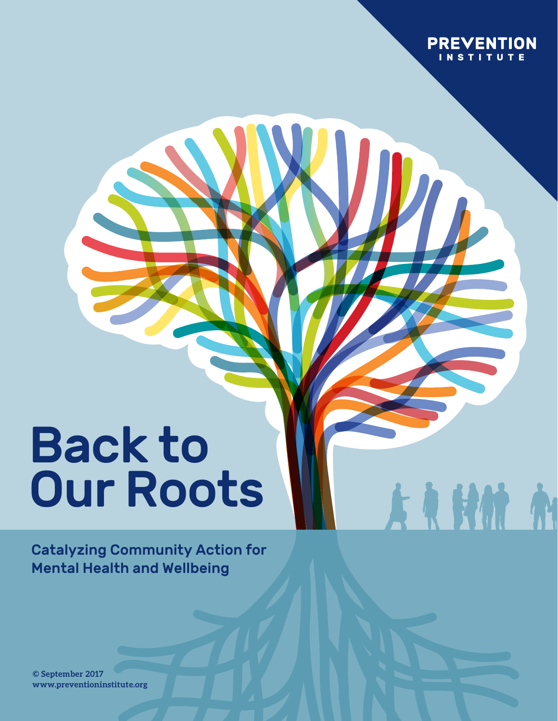

A R HM A

# Back to Our Roots

Catalyzing Community Action for Mental Health and Wellbeing

**© August 2017 www.preventioninstitute.org© September 2017**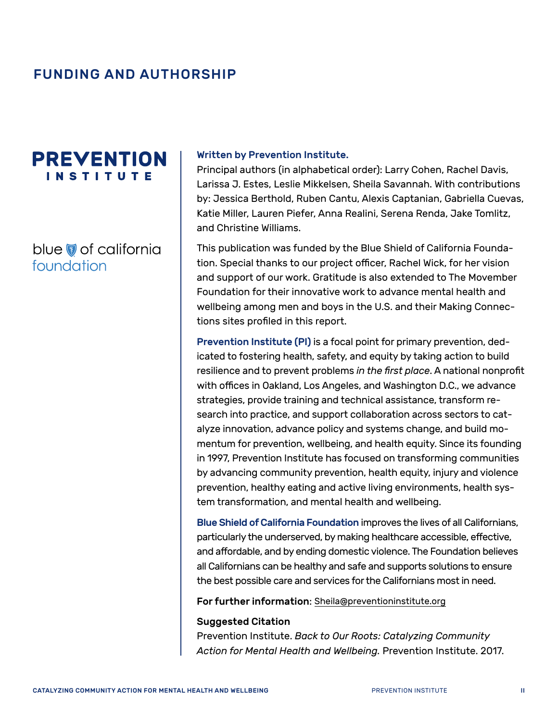### FUNDING AND AUTHORSHIP

## **PREVENTION INSTITUTE**

#### blue of california foundation

#### Written by Prevention Institute.

Principal authors (in alphabetical order): Larry Cohen, Rachel Davis, Larissa J. Estes, Leslie Mikkelsen, Sheila Savannah. With contributions by: Jessica Berthold, Ruben Cantu, Alexis Captanian, Gabriella Cuevas, Katie Miller, Lauren Piefer, Anna Realini, Serena Renda, Jake Tomlitz, and Christine Williams.

This publication was funded by the Blue Shield of California Foundation. Special thanks to our project officer, Rachel Wick, for her vision and support of our work. Gratitude is also extended to The Movember Foundation for their innovative work to advance mental health and wellbeing among men and boys in the U.S. and their Making Connections sites profiled in this report.

Prevention Institute (PI) is a focal point for primary prevention, dedicated to fostering health, safety, and equity by taking action to build resilience and to prevent problems *in the first place*. A national nonprofit with offices in Oakland, Los Angeles, and Washington D.C., we advance strategies, provide training and technical assistance, transform research into practice, and support collaboration across sectors to catalyze innovation, advance policy and systems change, and build momentum for prevention, wellbeing, and health equity. Since its founding in 1997, Prevention Institute has focused on transforming communities by advancing community prevention, health equity, injury and violence prevention, healthy eating and active living environments, health system transformation, and mental health and wellbeing.

Blue Shield of California Foundation improves the lives of all Californians, particularly the underserved, by making healthcare accessible, effective, and affordable, and by ending domestic violence. The Foundation believes all Californians can be healthy and safe and supports solutions to ensure the best possible care and services for the Californians most in need.

For further information: [Sheila@preventioninstitute.org](mailto:Sheila@preventioninstitute.org)

#### Suggested Citation

Prevention Institute. *Back to Our Roots: Catalyzing Community Action for Mental Health and Wellbeing.* Prevention Institute. 2017.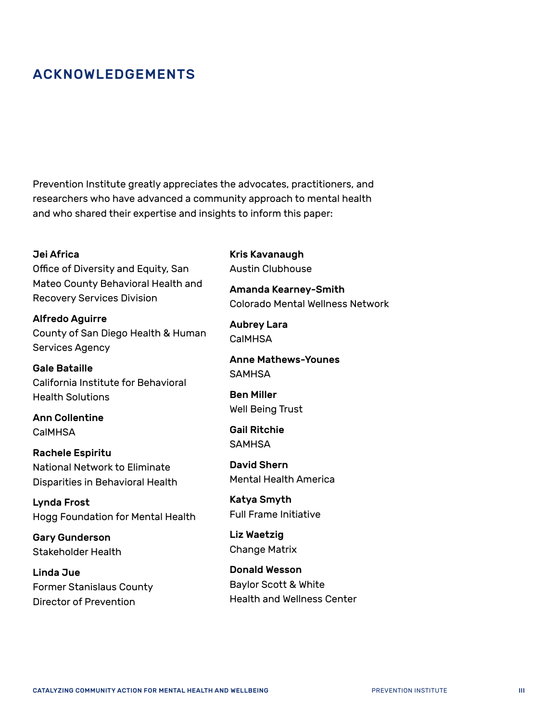### ACKNOWLEDGEMENTS

Prevention Institute greatly appreciates the advocates, practitioners, and researchers who have advanced a community approach to mental health and who shared their expertise and insights to inform this paper:

#### Jei Africa

Office of Diversity and Equity, San Mateo County Behavioral Health and Recovery Services Division

Alfredo Aguirre County of San Diego Health & Human Services Agency

Gale Bataille California Institute for Behavioral Health Solutions

Ann Collentine **CalMHSA** 

Rachele Espiritu National Network to Eliminate Disparities in Behavioral Health

Lynda Frost Hogg Foundation for Mental Health

Gary Gunderson Stakeholder Health

Linda Jue Former Stanislaus County Director of Prevention

Kris Kavanaugh Austin Clubhouse

Amanda Kearney-Smith Colorado Mental Wellness Network

Aubrey Lara CalMHSA

Anne Mathews-Younes **SAMHSA** 

Ben Miller Well Being Trust

Gail Ritchie **SAMHSA** 

David Shern Mental Health America

Katya Smyth Full Frame Initiative

Liz Waetzig Change Matrix

Donald Wesson Baylor Scott & White Health and Wellness Center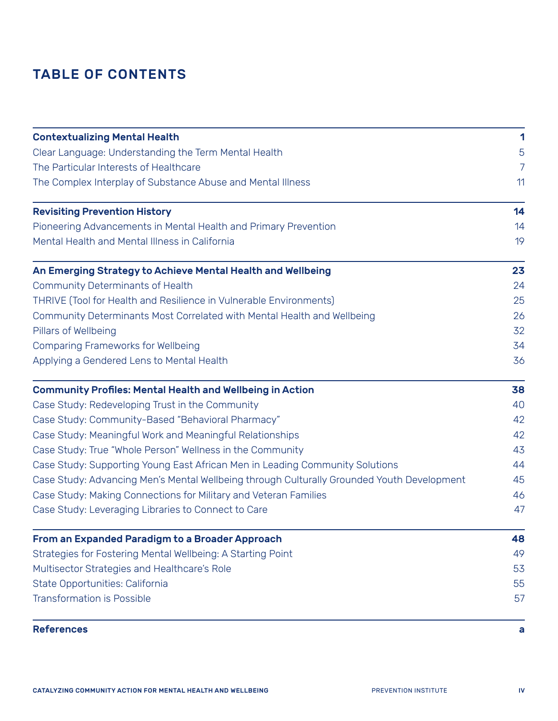## TABLE OF CONTENTS

| <b>Contextualizing Mental Health</b>                                                                                                                          | 1  |  |  |  |  |  |                                                                 |    |
|---------------------------------------------------------------------------------------------------------------------------------------------------------------|----|--|--|--|--|--|-----------------------------------------------------------------|----|
| Clear Language: Understanding the Term Mental Health<br>The Particular Interests of Healthcare<br>The Complex Interplay of Substance Abuse and Mental Illness |    |  |  |  |  |  |                                                                 |    |
|                                                                                                                                                               |    |  |  |  |  |  | <b>Revisiting Prevention History</b>                            | 14 |
|                                                                                                                                                               |    |  |  |  |  |  | Pioneering Advancements in Mental Health and Primary Prevention | 14 |
| Mental Health and Mental Illness in California                                                                                                                | 19 |  |  |  |  |  |                                                                 |    |
| An Emerging Strategy to Achieve Mental Health and Wellbeing                                                                                                   | 23 |  |  |  |  |  |                                                                 |    |
| <b>Community Determinants of Health</b>                                                                                                                       | 24 |  |  |  |  |  |                                                                 |    |
| THRIVE (Tool for Health and Resilience in Vulnerable Environments)                                                                                            | 25 |  |  |  |  |  |                                                                 |    |
| Community Determinants Most Correlated with Mental Health and Wellbeing                                                                                       | 26 |  |  |  |  |  |                                                                 |    |
| Pillars of Wellbeing                                                                                                                                          | 32 |  |  |  |  |  |                                                                 |    |
| <b>Comparing Frameworks for Wellbeing</b>                                                                                                                     | 34 |  |  |  |  |  |                                                                 |    |
| Applying a Gendered Lens to Mental Health                                                                                                                     | 36 |  |  |  |  |  |                                                                 |    |
| <b>Community Profiles: Mental Health and Wellbeing in Action</b>                                                                                              | 38 |  |  |  |  |  |                                                                 |    |
| Case Study: Redeveloping Trust in the Community                                                                                                               | 40 |  |  |  |  |  |                                                                 |    |
| Case Study: Community-Based "Behavioral Pharmacy"                                                                                                             | 42 |  |  |  |  |  |                                                                 |    |
| Case Study: Meaningful Work and Meaningful Relationships                                                                                                      | 42 |  |  |  |  |  |                                                                 |    |
| Case Study: True "Whole Person" Wellness in the Community                                                                                                     | 43 |  |  |  |  |  |                                                                 |    |
| Case Study: Supporting Young East African Men in Leading Community Solutions                                                                                  | 44 |  |  |  |  |  |                                                                 |    |
| Case Study: Advancing Men's Mental Wellbeing through Culturally Grounded Youth Development                                                                    | 45 |  |  |  |  |  |                                                                 |    |
| Case Study: Making Connections for Military and Veteran Families                                                                                              | 46 |  |  |  |  |  |                                                                 |    |
| Case Study: Leveraging Libraries to Connect to Care                                                                                                           | 47 |  |  |  |  |  |                                                                 |    |
| From an Expanded Paradigm to a Broader Approach                                                                                                               | 48 |  |  |  |  |  |                                                                 |    |
| Strategies for Fostering Mental Wellbeing: A Starting Point                                                                                                   | 49 |  |  |  |  |  |                                                                 |    |
| Multisector Strategies and Healthcare's Role                                                                                                                  | 53 |  |  |  |  |  |                                                                 |    |
| State Opportunities: California                                                                                                                               | 55 |  |  |  |  |  |                                                                 |    |
| <b>Transformation is Possible</b>                                                                                                                             | 57 |  |  |  |  |  |                                                                 |    |
| <b>References</b>                                                                                                                                             | a  |  |  |  |  |  |                                                                 |    |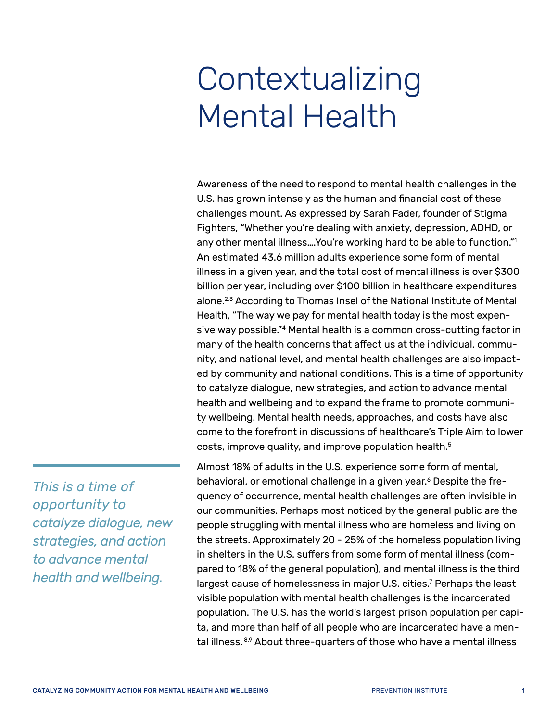## <span id="page-4-0"></span>Contextualizing Mental Health

Awareness of the need to respond to mental health challenges in the U.S. has grown intensely as the human and financial cost of these challenges mount. As expressed by Sarah Fader, founder of Stigma Fighters, "Whether you're dealing with anxiety, depression, ADHD, or any other mental illness….You're working hard to be able to function.["1](#page-61-0) An estimated 43.6 million adults experience some form of mental illness in a given year, and the total cost of mental illness is over \$300 billion per year, including over \$100 billion in healthcare expenditures alone.[2](#page-61-1),[3](#page-61-2) According to Thomas Insel of the National Institute of Mental Health, "The way we pay for mental health today is the most expensive way possible."[4](#page-61-3) Mental health is a common cross-cutting factor in many of the health concerns that affect us at the individual, community, and national level, and mental health challenges are also impacted by community and national conditions. This is a time of opportunity to catalyze dialogue, new strategies, and action to advance mental health and wellbeing and to expand the frame to promote community wellbeing. Mental health needs, approaches, and costs have also come to the forefront in discussions of healthcare's Triple Aim to lower costs, improve quality, and improve population health.<sup>[5](#page-61-4)</sup>

*This is a time of opportunity to catalyze dialogue, new strategies, and action to advance mental health and wellbeing.*

Almost 18% of adults in the U.S. experience some form of mental, behavioral, or emotional challenge in a given year.<sup>6</sup> Despite the frequency of occurrence, mental health challenges are often invisible in our communities. Perhaps most noticed by the general public are the people struggling with mental illness who are homeless and living on the streets. Approximately 20 - 25% of the homeless population living in shelters in the U.S. suffers from some form of mental illness (compared to 18% of the general population), and mental illness is the third largest cause of homelessness in major U.S. cities[.7](#page-61-6) Perhaps the least visible population with mental health challenges is the incarcerated population. The U.S. has the world's largest prison population per capita, and more than half of all people who are incarcerated have a men-tal illness. [8](#page-61-7)[,9](#page-61-8) About three-quarters of those who have a mental illness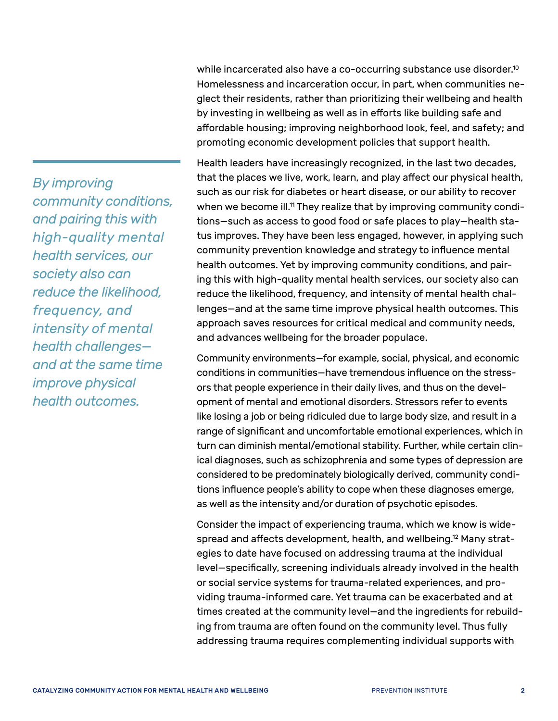*By improving community conditions, and pairing this with high-quality mental health services, our society also can reduce the likelihood, frequency, and intensity of mental health challenges and at the same time improve physical health outcomes.*

while incarcerated also have a co-occurring substance use disorder.<sup>10</sup> Homelessness and incarceration occur, in part, when communities neglect their residents, rather than prioritizing their wellbeing and health by investing in wellbeing as well as in efforts like building safe and affordable housing; improving neighborhood look, feel, and safety; and promoting economic development policies that support health.

Health leaders have increasingly recognized, in the last two decades, that the places we live, work, learn, and play affect our physical health, such as our risk for diabetes or heart disease, or our ability to recover when we become ill.<sup>11</sup> They realize that by improving community conditions—such as access to good food or safe places to play—health status improves. They have been less engaged, however, in applying such community prevention knowledge and strategy to influence mental health outcomes. Yet by improving community conditions, and pairing this with high-quality mental health services, our society also can reduce the likelihood, frequency, and intensity of mental health challenges—and at the same time improve physical health outcomes. This approach saves resources for critical medical and community needs, and advances wellbeing for the broader populace.

Community environments—for example, social, physical, and economic conditions in communities—have tremendous influence on the stressors that people experience in their daily lives, and thus on the development of mental and emotional disorders. Stressors refer to events like losing a job or being ridiculed due to large body size, and result in a range of significant and uncomfortable emotional experiences, which in turn can diminish mental/emotional stability. Further, while certain clinical diagnoses, such as schizophrenia and some types of depression are considered to be predominately biologically derived, community conditions influence people's ability to cope when these diagnoses emerge, as well as the intensity and/or duration of psychotic episodes.

Consider the impact of experiencing trauma, which we know is widespread and affects development, health, and wellbeing.[12](#page-61-11) Many strategies to date have focused on addressing trauma at the individual level—specifically, screening individuals already involved in the health or social service systems for trauma-related experiences, and providing trauma-informed care. Yet trauma can be exacerbated and at times created at the community level—and the ingredients for rebuilding from trauma are often found on the community level. Thus fully addressing trauma requires complementing individual supports with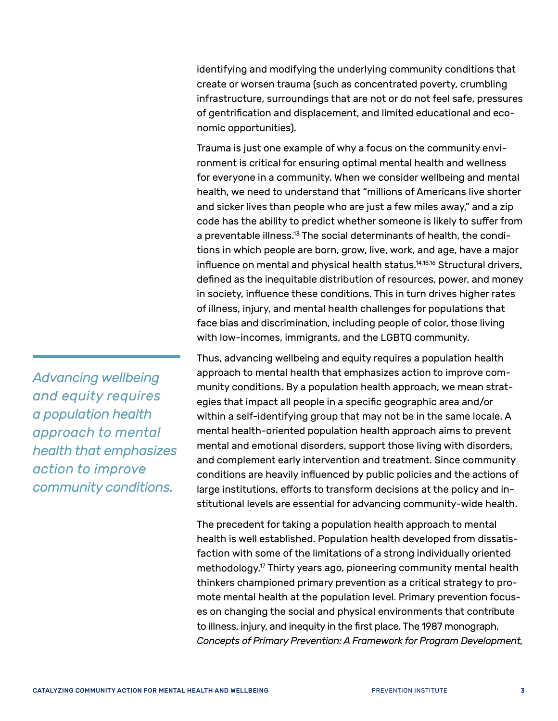identifying and modifying the underlying community conditions that create or worsen trauma (such as concentrated poverty, crumbling infrastructure, surroundings that are not or do not feel safe, pressures of gentrification and displacement, and limited educational and economic opportunities).

Trauma is just one example of why a focus on the community environment is critical for ensuring optimal mental health and wellness for everyone in a community. When we consider wellbeing and mental health, we need to understand that "millions of Americans live shorter and sicker lives than people who are just a few miles away," and a zip code has the ability to predict whether someone is likely to suffer from a preventable illness.<sup>13</sup> The social determinants of health, the conditions in which people are born, grow, live, work, and age, have a major influence on mental and physical health status.<sup>[14](#page-61-13)[,15,](#page-61-14)[16](#page-61-15)</sup> Structural drivers, defined as the inequitable distribution of resources, power, and money in society, influence these conditions. This in turn drives higher rates of illness, injury, and mental health challenges for populations that face bias and discrimination, including people of color, those living with low-incomes, immigrants, and the LGBTQ community.

Thus, advancing wellbeing and equity requires a population health approach to mental health that emphasizes action to improve community conditions. By a population health approach, we mean strategies that impact all people in a specific geographic area and/or within a self-identifying group that may not be in the same locale. A mental health-oriented population health approach aims to prevent mental and emotional disorders, support those living with disorders, and complement early intervention and treatment. Since community conditions are heavily influenced by public policies and the actions of large institutions, efforts to transform decisions at the policy and institutional levels are essential for advancing community-wide health.

The precedent for taking a population health approach to mental health is well established. Population health developed from dissatisfaction with some of the limitations of a strong individually oriented methodology[.17](#page-61-16) Thirty years ago, pioneering community mental health thinkers championed primary prevention as a critical strategy to promote mental health at the population level. Primary prevention focuses on changing the social and physical environments that contribute to illness, injury, and inequity in the first place. The 1987 monograph, *Concepts of Primary Prevention: A Framework for Program Development,*

*Advancing wellbeing and equity requires a population health approach to mental health that emphasizes action to improve community conditions.*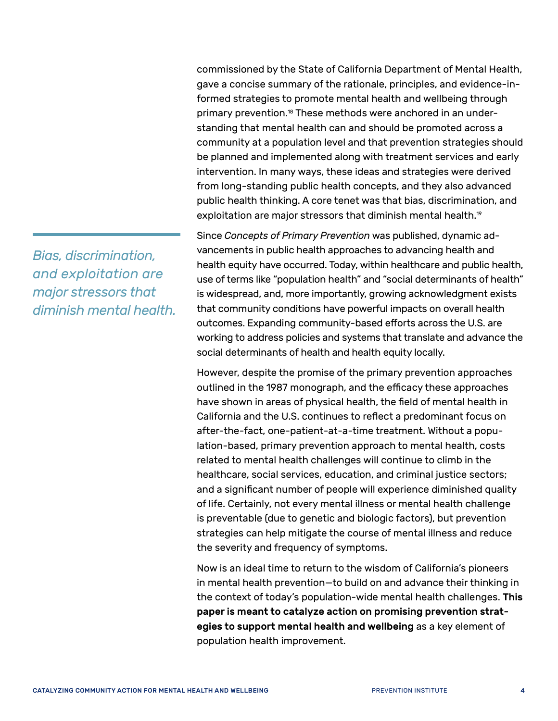commissioned by the State of California Department of Mental Health, gave a concise summary of the rationale, principles, and evidence-informed strategies to promote mental health and wellbeing through primary prevention.[18](#page-61-17) These methods were anchored in an understanding that mental health can and should be promoted across a community at a population level and that prevention strategies should be planned and implemented along with treatment services and early intervention. In many ways, these ideas and strategies were derived from long-standing public health concepts, and they also advanced public health thinking. A core tenet was that bias, discrimination, and exploitation are major stressors that diminish mental health.<sup>19</sup>

Since *Concepts of Primary Prevention* was published, dynamic advancements in public health approaches to advancing health and health equity have occurred. Today, within healthcare and public health, use of terms like "population health" and "social determinants of health" is widespread, and, more importantly, growing acknowledgment exists that community conditions have powerful impacts on overall health outcomes. Expanding community-based efforts across the U.S. are working to address policies and systems that translate and advance the social determinants of health and health equity locally.

However, despite the promise of the primary prevention approaches outlined in the 1987 monograph, and the efficacy these approaches have shown in areas of physical health, the field of mental health in California and the U.S. continues to reflect a predominant focus on after-the-fact, one-patient-at-a-time treatment. Without a population-based, primary prevention approach to mental health, costs related to mental health challenges will continue to climb in the healthcare, social services, education, and criminal justice sectors; and a significant number of people will experience diminished quality of life. Certainly, not every mental illness or mental health challenge is preventable (due to genetic and biologic factors), but prevention strategies can help mitigate the course of mental illness and reduce the severity and frequency of symptoms.

Now is an ideal time to return to the wisdom of California's pioneers in mental health prevention—to build on and advance their thinking in the context of today's population-wide mental health challenges. This paper is meant to catalyze action on promising prevention strategies to support mental health and wellbeing as a key element of population health improvement.

*Bias, discrimination, and exploitation are major stressors that diminish mental health.*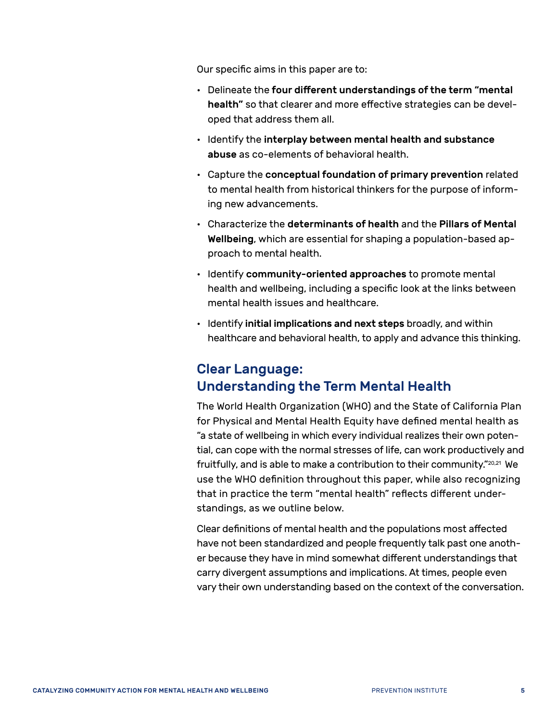Our specific aims in this paper are to:

- Delineate the four different understandings of the term "mental health" so that clearer and more effective strategies can be developed that address them all.
- Identify the interplay between mental health and substance abuse as co-elements of behavioral health.
- Capture the conceptual foundation of primary prevention related to mental health from historical thinkers for the purpose of informing new advancements.
- Characterize the determinants of health and the Pillars of Mental Wellbeing, which are essential for shaping a population-based approach to mental health.
- Identify community-oriented approaches to promote mental health and wellbeing, including a specific look at the links between mental health issues and healthcare.
- Identify initial implications and next steps broadly, and within healthcare and behavioral health, to apply and advance this thinking.

#### <span id="page-8-0"></span>Clear Language: Understanding the Term Mental Health

The World Health Organization (WHO) and the State of California Plan for Physical and Mental Health Equity have defined mental health as "a state of wellbeing in which every individual realizes their own potential, can cope with the normal stresses of life, can work productively and fruitfully, and is able to make a contribution to their community."[20,](#page-61-19)[21](#page-61-20) We use the WHO definition throughout this paper, while also recognizing that in practice the term "mental health" reflects different understandings, as we outline below.

Clear definitions of mental health and the populations most affected have not been standardized and people frequently talk past one another because they have in mind somewhat different understandings that carry divergent assumptions and implications. At times, people even vary their own understanding based on the context of the conversation.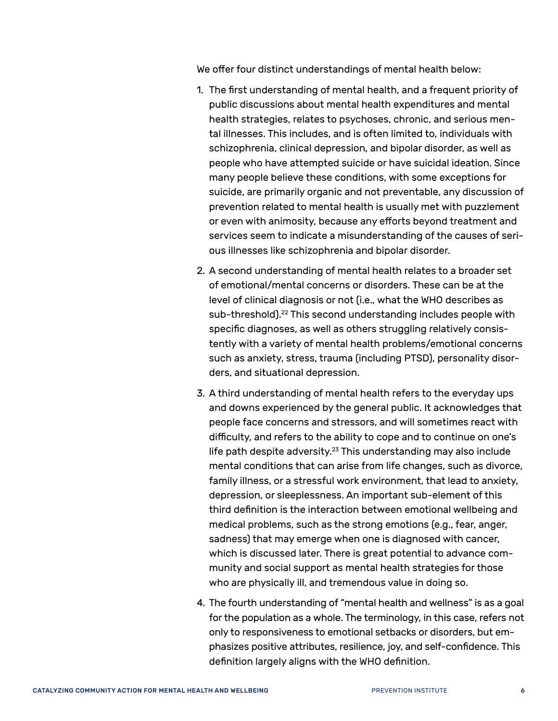We offer four distinct understandings of mental health below:

- 1. The first understanding of mental health, and a frequent priority of public discussions about mental health expenditures and mental health strategies, relates to psychoses, chronic, and serious mental illnesses. This includes, and is often limited to, individuals with schizophrenia, clinical depression, and bipolar disorder, as well as people who have attempted suicide or have suicidal ideation. Since many people believe these conditions, with some exceptions for suicide, are primarily organic and not preventable, any discussion of prevention related to mental health is usually met with puzzlement or even with animosity, because any efforts beyond treatment and services seem to indicate a misunderstanding of the causes of serious illnesses like schizophrenia and bipolar disorder.
- 2. A second understanding of mental health relates to a broader set of emotional/mental concerns or disorders. These can be at the level of clinical diagnosis or not (i.e., what the WHO describes as sub-threshold).<sup>[22](#page-61-21)</sup> This second understanding includes people with specific diagnoses, as well as others struggling relatively consistently with a variety of mental health problems/emotional concerns such as anxiety, stress, trauma (including PTSD), personality disorders, and situational depression.
- 3. A third understanding of mental health refers to the everyday ups and downs experienced by the general public. It acknowledges that people face concerns and stressors, and will sometimes react with difficulty, and refers to the ability to cope and to continue on one's life path despite adversity.<sup>23</sup> This understanding may also include mental conditions that can arise from life changes, such as divorce, family illness, or a stressful work environment, that lead to anxiety, depression, or sleeplessness. An important sub-element of this third definition is the interaction between emotional wellbeing and medical problems, such as the strong emotions (e.g., fear, anger, sadness) that may emerge when one is diagnosed with cancer, which is discussed later. There is great potential to advance community and social support as mental health strategies for those who are physically ill, and tremendous value in doing so.
- 4. The fourth understanding of "mental health and wellness" is as a goal for the population as a whole. The terminology, in this case, refers not only to responsiveness to emotional setbacks or disorders, but emphasizes positive attributes, resilience, joy, and self-confidence. This definition largely aligns with the WHO definition.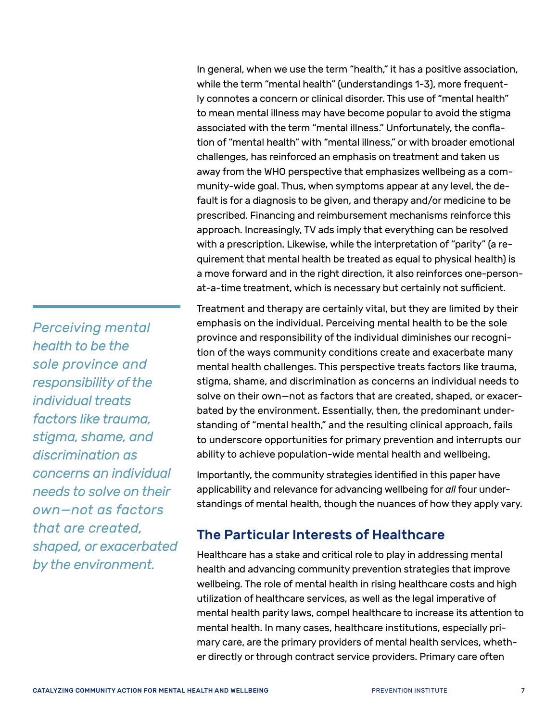In general, when we use the term "health," it has a positive association, while the term "mental health" (understandings 1-3), more frequently connotes a concern or clinical disorder. This use of "mental health" to mean mental illness may have become popular to avoid the stigma associated with the term "mental illness." Unfortunately, the conflation of "mental health" with "mental illness," or with broader emotional challenges, has reinforced an emphasis on treatment and taken us away from the WHO perspective that emphasizes wellbeing as a community-wide goal. Thus, when symptoms appear at any level, the default is for a diagnosis to be given, and therapy and/or medicine to be prescribed. Financing and reimbursement mechanisms reinforce this approach. Increasingly, TV ads imply that everything can be resolved with a prescription. Likewise, while the interpretation of "parity" (a requirement that mental health be treated as equal to physical health) is a move forward and in the right direction, it also reinforces one-personat-a-time treatment, which is necessary but certainly not sufficient.

Treatment and therapy are certainly vital, but they are limited by their emphasis on the individual. Perceiving mental health to be the sole province and responsibility of the individual diminishes our recognition of the ways community conditions create and exacerbate many mental health challenges. This perspective treats factors like trauma, stigma, shame, and discrimination as concerns an individual needs to solve on their own—not as factors that are created, shaped, or exacerbated by the environment. Essentially, then, the predominant understanding of "mental health," and the resulting clinical approach, fails to underscore opportunities for primary prevention and interrupts our ability to achieve population-wide mental health and wellbeing.

Importantly, the community strategies identified in this paper have applicability and relevance for advancing wellbeing for *all* four understandings of mental health, though the nuances of how they apply vary.

#### <span id="page-10-0"></span>The Particular Interests of Healthcare

Healthcare has a stake and critical role to play in addressing mental health and advancing community prevention strategies that improve wellbeing. The role of mental health in rising healthcare costs and high utilization of healthcare services, as well as the legal imperative of mental health parity laws, compel healthcare to increase its attention to mental health. In many cases, healthcare institutions, especially primary care, are the primary providers of mental health services, whether directly or through contract service providers. Primary care often

*Perceiving mental health to be the sole province and responsibility of the individual treats factors like trauma, stigma, shame, and discrimination as concerns an individual needs to solve on their own—not as factors that are created, shaped, or exacerbated by the environment.*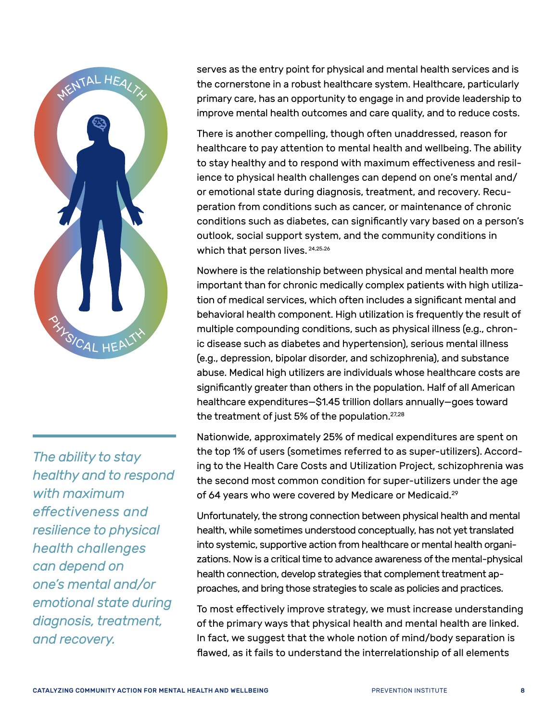

*The ability to stay healthy and to respond with maximum effectiveness and resilience to physical health challenges can depend on one's mental and/or emotional state during diagnosis, treatment, and recovery.*

serves as the entry point for physical and mental health services and is the cornerstone in a robust healthcare system. Healthcare, particularly primary care, has an opportunity to engage in and provide leadership to improve mental health outcomes and care quality, and to reduce costs.

There is another compelling, though often unaddressed, reason for healthcare to pay attention to mental health and wellbeing. The ability to stay healthy and to respond with maximum effectiveness and resilience to physical health challenges can depend on one's mental and/ or emotional state during diagnosis, treatment, and recovery. Recuperation from conditions such as cancer, or maintenance of chronic conditions such as diabetes, can significantly vary based on a person's outlook, social support system, and the community conditions in which that person lives. [24,](#page-62-0)[25,](#page-62-1)[26](#page-62-2)

Nowhere is the relationship between physical and mental health more important than for chronic medically complex patients with high utilization of medical services, which often includes a significant mental and behavioral health component. High utilization is frequently the result of multiple compounding conditions, such as physical illness (e.g., chronic disease such as diabetes and hypertension), serious mental illness (e.g., depression, bipolar disorder, and schizophrenia), and substance abuse. Medical high utilizers are individuals whose healthcare costs are significantly greater than others in the population. Half of all American healthcare expenditures—\$1.45 trillion dollars annually—goes toward the treatment of just 5% of the population.<sup>27[,28](#page-62-4)</sup>

Nationwide, approximately 25% of medical expenditures are spent on the top 1% of users (sometimes referred to as super-utilizers). According to the Health Care Costs and Utilization Project, schizophrenia was the second most common condition for super-utilizers under the age of 64 years who were covered by Medicare or Medicaid.<sup>[29](#page-62-5)</sup>

Unfortunately, the strong connection between physical health and mental health, while sometimes understood conceptually, has not yet translated into systemic, supportive action from healthcare or mental health organizations. Now is a critical time to advance awareness of the mental-physical health connection, develop strategies that complement treatment approaches, and bring those strategies to scale as policies and practices.

To most effectively improve strategy, we must increase understanding of the primary ways that physical health and mental health are linked. In fact, we suggest that the whole notion of mind/body separation is flawed, as it fails to understand the interrelationship of all elements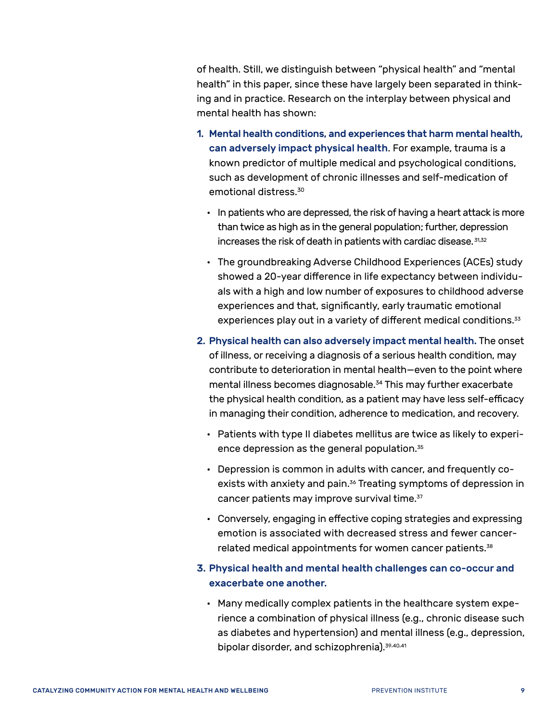of health. Still, we distinguish between "physical health" and "mental health" in this paper, since these have largely been separated in thinking and in practice. Research on the interplay between physical and mental health has shown:

- 1. Mental health conditions, and experiences that harm mental health, can adversely impact physical health. For example, trauma is a known predictor of multiple medical and psychological conditions, such as development of chronic illnesses and self-medication of emotional distress[.30](#page-62-6)
	- In patients who are depressed, the risk of having a heart attack is more than twice as high as in the general population; further, depression increases the risk of death in patients with cardiac disease.  $31,32$  $31,32$  $31,32$
	- The groundbreaking Adverse Childhood Experiences (ACEs) study showed a 20-year difference in life expectancy between individuals with a high and low number of exposures to childhood adverse experiences and that, significantly, early traumatic emotional experiences play out in a variety of different medical conditions.<sup>[33](#page-62-9)</sup>
- 2. Physical health can also adversely impact mental health. The onset of illness, or receiving a diagnosis of a serious health condition, may contribute to deterioration in mental health—even to the point where mental illness becomes diagnosable.<sup>34</sup> This may further exacerbate the physical health condition, as a patient may have less self-efficacy in managing their condition, adherence to medication, and recovery.
	- Patients with type II diabetes mellitus are twice as likely to experience depression as the general population.[35](#page-62-11)
	- Depression is common in adults with cancer, and frequently coexists with anxiety and pain.<sup>36</sup> Treating symptoms of depression in cancer patients may improve survival time.<sup>37</sup>
	- Conversely, engaging in effective coping strategies and expressing emotion is associated with decreased stress and fewer cancer-related medical appointments for women cancer patients.<sup>[38](#page-62-14)</sup>

#### 3. Physical health and mental health challenges can co-occur and exacerbate one another.

• Many medically complex patients in the healthcare system experience a combination of physical illness (e.g., chronic disease such as diabetes and hypertension) and mental illness (e.g., depression, bipolar disorder, and schizophrenia).[39,](#page-62-15)[40,](#page-62-16)[41](#page-62-17)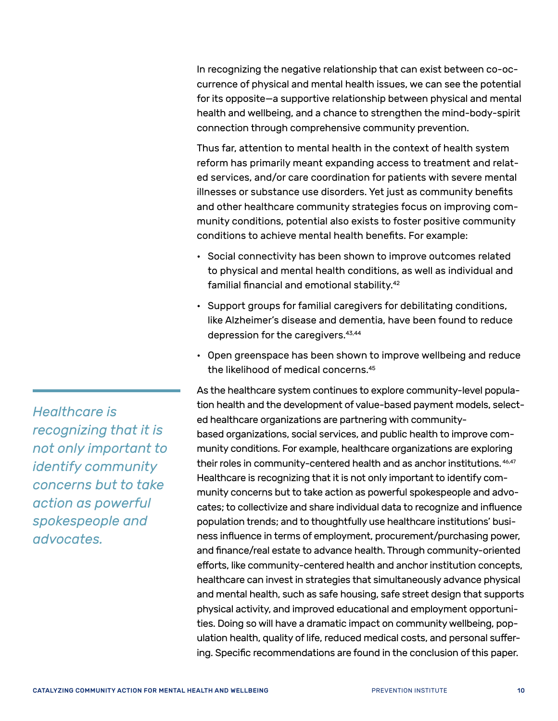In recognizing the negative relationship that can exist between co-occurrence of physical and mental health issues, we can see the potential for its opposite—a supportive relationship between physical and mental health and wellbeing, and a chance to strengthen the mind-body-spirit connection through comprehensive community prevention.

Thus far, attention to mental health in the context of health system reform has primarily meant expanding access to treatment and related services, and/or care coordination for patients with severe mental illnesses or substance use disorders. Yet just as community benefits and other healthcare community strategies focus on improving community conditions, potential also exists to foster positive community conditions to achieve mental health benefits. For example:

- Social connectivity has been shown to improve outcomes related to physical and mental health conditions, as well as individual and familial financial and emotional stability.[42](#page-62-18)
- Support groups for familial caregivers for debilitating conditions, like Alzheimer's disease and dementia, have been found to reduce depression for the caregivers[.43](#page-62-19),[44](#page-62-20)
- Open greenspace has been shown to improve wellbeing and reduce the likelihood of medical concerns[.45](#page-62-21)

As the healthcare system continues to explore community-level population health and the development of value-based payment models, selected healthcare organizations are partnering with communitybased organizations, social services, and public health to improve community conditions. For example, healthcare organizations are exploring their roles in community-centered health and as anchor institutions. [46](#page-62-22)[,47](#page-62-23) Healthcare is recognizing that it is not only important to identify community concerns but to take action as powerful spokespeople and advocates; to collectivize and share individual data to recognize and influence population trends; and to thoughtfully use healthcare institutions' business influence in terms of employment, procurement/purchasing power, and finance/real estate to advance health. Through community-oriented efforts, like community-centered health and anchor institution concepts, healthcare can invest in strategies that simultaneously advance physical and mental health, such as safe housing, safe street design that supports physical activity, and improved educational and employment opportunities. Doing so will have a dramatic impact on community wellbeing, population health, quality of life, reduced medical costs, and personal suffering. Specific recommendations are found in the conclusion of this paper.

*Healthcare is recognizing that it is not only important to identify community concerns but to take action as powerful spokespeople and advocates.*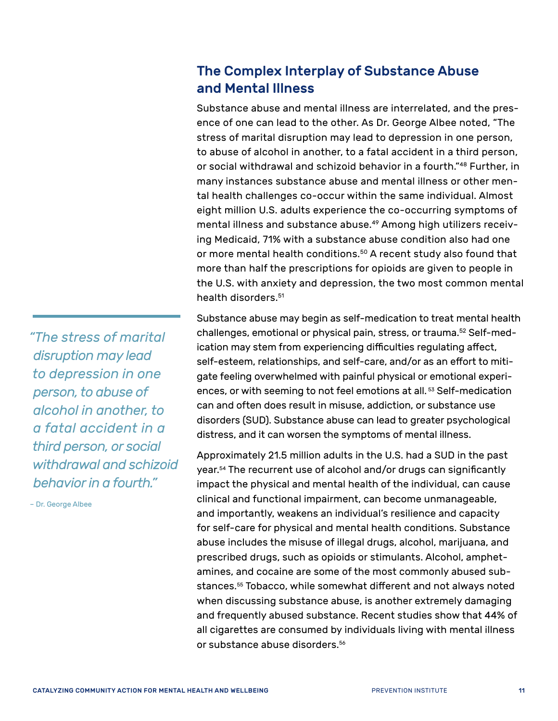### <span id="page-14-0"></span>The Complex Interplay of Substance Abuse and Mental Illness

Substance abuse and mental illness are interrelated, and the presence of one can lead to the other. As Dr. George Albee noted, "The stress of marital disruption may lead to depression in one person, to abuse of alcohol in another, to a fatal accident in a third person, or social withdrawal and schizoid behavior in a fourth."[48](#page-62-24) Further, in many instances substance abuse and mental illness or other mental health challenges co-occur within the same individual. Almost eight million U.S. adults experience the co-occurring symptoms of mental illness and substance abuse.<sup>49</sup> Among high utilizers receiving Medicaid, 71% with a substance abuse condition also had one or more mental health conditions.<sup>50</sup> A recent study also found that more than half the prescriptions for opioids are given to people in the U.S. with anxiety and depression, the two most common mental health disorders.<sup>51</sup>

Substance abuse may begin as self-medication to treat mental health challenges, emotional or physical pain, stress, or trauma.<sup>52</sup> Self-medication may stem from experiencing difficulties regulating affect, self-esteem, relationships, and self-care, and/or as an effort to mitigate feeling overwhelmed with painful physical or emotional experiences, or with seeming to not feel emotions at all.<sup>53</sup> Self-medication can and often does result in misuse, addiction, or substance use disorders (SUD). Substance abuse can lead to greater psychological distress, and it can worsen the symptoms of mental illness.

Approximately 21.5 million adults in the U.S. had a SUD in the past year.[54](#page-63-4) The recurrent use of alcohol and/or drugs can significantly impact the physical and mental health of the individual, can cause clinical and functional impairment, can become unmanageable, and importantly, weakens an individual's resilience and capacity for self-care for physical and mental health conditions. Substance abuse includes the misuse of illegal drugs, alcohol, marijuana, and prescribed drugs, such as opioids or stimulants. Alcohol, amphetamines, and cocaine are some of the most commonly abused substances.[55](#page-63-5) Tobacco, while somewhat different and not always noted when discussing substance abuse, is another extremely damaging and frequently abused substance. Recent studies show that 44% of all cigarettes are consumed by individuals living with mental illness or substance abuse disorders[.56](#page-63-6)

*"The stress of marital disruption may lead to depression in one person, to abuse of alcohol in another, to a fatal accident in a third person, or social withdrawal and schizoid behavior in a fourth."*

– Dr. George Albee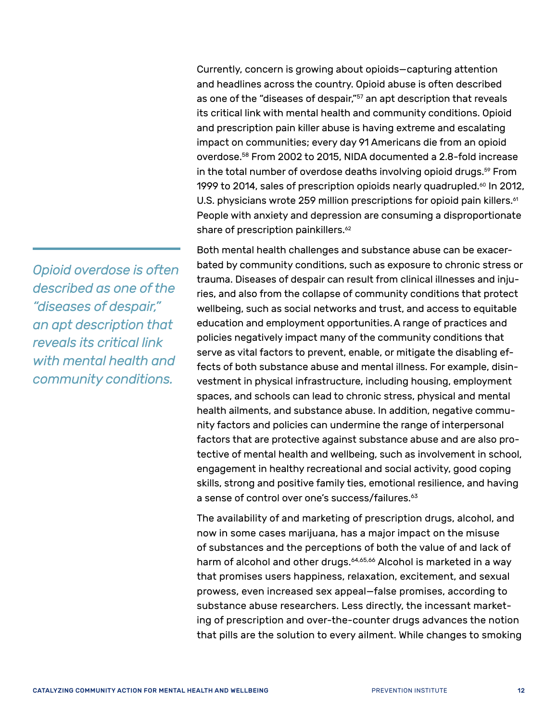Currently, concern is growing about opioids—capturing attention and headlines across the country. Opioid abuse is often described as one of the "diseases of despair,"<sup>57</sup> an apt description that reveals its critical link with mental health and community conditions. Opioid and prescription pain killer abuse is having extreme and escalating impact on communities; every day 91 Americans die from an opioid overdose.[58](#page-63-8) From 2002 to 2015, NIDA documented a 2.8-fold increase in the total number of overdose deaths involving opioid drugs.<sup>59</sup> From 1999 to 2014, sales of prescription opioids nearly quadrupled.<sup>60</sup> In 2012, U.S. physicians wrote 259 million prescriptions for opioid pain killers.<sup>61</sup> People with anxiety and depression are consuming a disproportionate share of prescription painkillers.<sup>[62](#page-63-12)</sup>

Both mental health challenges and substance abuse can be exacerbated by community conditions, such as exposure to chronic stress or trauma. Diseases of despair can result from clinical illnesses and injuries, and also from the collapse of community conditions that protect wellbeing, such as social networks and trust, and access to equitable education and employment opportunities.A range of practices and policies negatively impact many of the community conditions that serve as vital factors to prevent, enable, or mitigate the disabling effects of both substance abuse and mental illness. For example, disinvestment in physical infrastructure, including housing, employment spaces, and schools can lead to chronic stress, physical and mental health ailments, and substance abuse. In addition, negative community factors and policies can undermine the range of interpersonal factors that are protective against substance abuse and are also protective of mental health and wellbeing, such as involvement in school, engagement in healthy recreational and social activity, good coping skills, strong and positive family ties, emotional resilience, and having a sense of control over one's success/failures.<sup>[63](#page-63-13)</sup>

The availability of and marketing of prescription drugs, alcohol, and now in some cases marijuana, has a major impact on the misuse of substances and the perceptions of both the value of and lack of harm of alcohol and other drugs.<sup>64,[65,](#page-63-15)[66](#page-63-16)</sup> Alcohol is marketed in a way that promises users happiness, relaxation, excitement, and sexual prowess, even increased sex appeal—false promises, according to substance abuse researchers. Less directly, the incessant marketing of prescription and over-the-counter drugs advances the notion that pills are the solution to every ailment. While changes to smoking

*Opioid overdose is often described as one of the "diseases of despair," an apt description that reveals its critical link with mental health and community conditions.*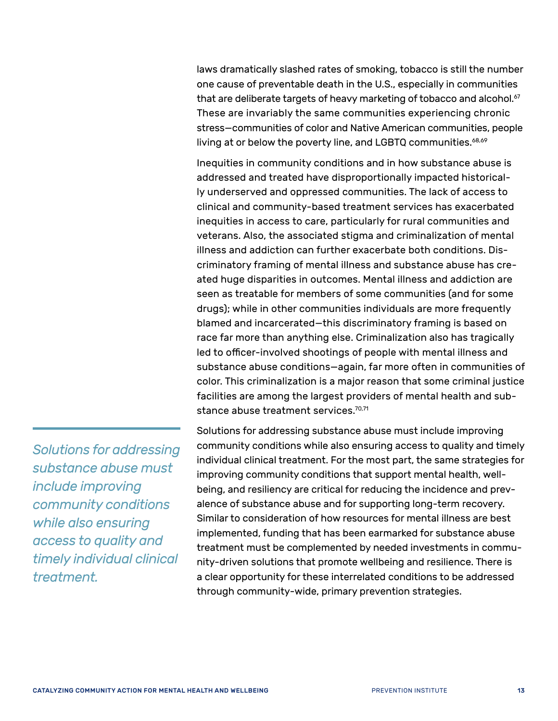laws dramatically slashed rates of smoking, tobacco is still the number one cause of preventable death in the U.S., especially in communities that are deliberate targets of heavy marketing of tobacco and alcohol.<sup>67</sup> These are invariably the same communities experiencing chronic stress—communities of color and Native American communities, people living at or below the poverty line, and LGBTQ communities.<sup>68[,69](#page-63-19)</sup>

Inequities in community conditions and in how substance abuse is addressed and treated have disproportionally impacted historically underserved and oppressed communities. The lack of access to clinical and community-based treatment services has exacerbated inequities in access to care, particularly for rural communities and veterans. Also, the associated stigma and criminalization of mental illness and addiction can further exacerbate both conditions. Discriminatory framing of mental illness and substance abuse has created huge disparities in outcomes. Mental illness and addiction are seen as treatable for members of some communities (and for some drugs); while in other communities individuals are more frequently blamed and incarcerated—this discriminatory framing is based on race far more than anything else. Criminalization also has tragically led to officer-involved shootings of people with mental illness and substance abuse conditions—again, far more often in communities of color. This criminalization is a major reason that some criminal justice facilities are among the largest providers of mental health and sub-stance abuse treatment services.<sup>[70](#page-63-20)[,71](#page-63-21)</sup>

Solutions for addressing substance abuse must include improving community conditions while also ensuring access to quality and timely individual clinical treatment. For the most part, the same strategies for improving community conditions that support mental health, wellbeing, and resiliency are critical for reducing the incidence and prevalence of substance abuse and for supporting long-term recovery. Similar to consideration of how resources for mental illness are best implemented, funding that has been earmarked for substance abuse treatment must be complemented by needed investments in community-driven solutions that promote wellbeing and resilience. There is a clear opportunity for these interrelated conditions to be addressed through community-wide, primary prevention strategies.

*Solutions for addressing substance abuse must include improving community conditions while also ensuring access to quality and timely individual clinical treatment.*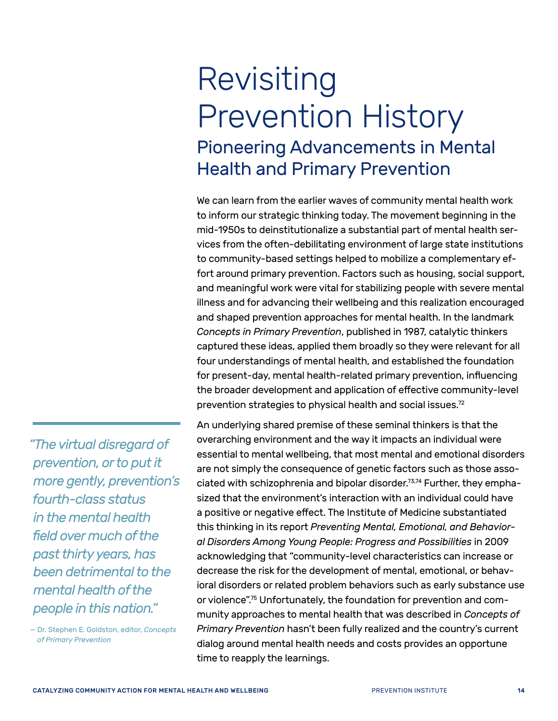## <span id="page-17-0"></span>Revisiting Prevention History Pioneering Advancements in Mental Health and Primary Prevention

We can learn from the earlier waves of community mental health work to inform our strategic thinking today. The movement beginning in the mid-1950s to deinstitutionalize a substantial part of mental health services from the often-debilitating environment of large state institutions to community-based settings helped to mobilize a complementary effort around primary prevention. Factors such as housing, social support, and meaningful work were vital for stabilizing people with severe mental illness and for advancing their wellbeing and this realization encouraged and shaped prevention approaches for mental health. In the landmark *Concepts in Primary Prevention*, published in 1987, catalytic thinkers captured these ideas, applied them broadly so they were relevant for all four understandings of mental health, and established the foundation for present-day, mental health-related primary prevention, influencing the broader development and application of effective community-level prevention strategies to physical health and social issues.<sup>72</sup>

An underlying shared premise of these seminal thinkers is that the overarching environment and the way it impacts an individual were essential to mental wellbeing, that most mental and emotional disorders are not simply the consequence of genetic factors such as those associated with schizophrenia and bipolar disorder.<sup>73,74</sup> Further, they emphasized that the environment's interaction with an individual could have a positive or negative effect. The Institute of Medicine substantiated this thinking in its report *Preventing Mental, Emotional, and Behavioral Disorders Among Young People: Progress and Possibilities* in 2009 acknowledging that "community-level characteristics can increase or decrease the risk for the development of mental, emotional, or behavioral disorders or related problem behaviors such as early substance use or violence"[.75](#page-63-25) Unfortunately, the foundation for prevention and community approaches to mental health that was described in *Concepts of Primary Prevention* hasn't been fully realized and the country's current dialog around mental health needs and costs provides an opportune time to reapply the learnings.

*"The virtual disregard of prevention, or to put it more gently, prevention's fourth-class status in the mental health field over much of the past thirty years, has been detrimental to the mental health of the people in this nation."* 

— Dr. Stephen E. Goldston, editor, *Concepts of Primary Prevention*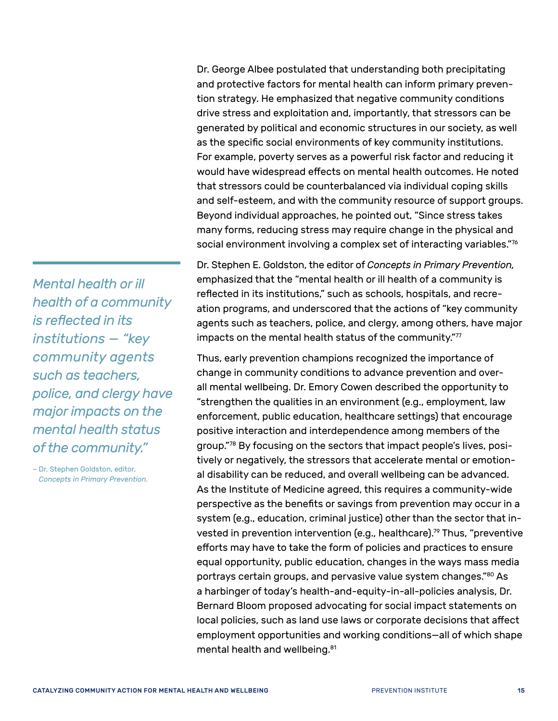Dr. George Albee postulated that understanding both precipitating and protective factors for mental health can inform primary prevention strategy. He emphasized that negative community conditions drive stress and exploitation and, importantly, that stressors can be generated by political and economic structures in our society, as well as the specific social environments of key community institutions. For example, poverty serves as a powerful risk factor and reducing it would have widespread effects on mental health outcomes. He noted that stressors could be counterbalanced via individual coping skills and self-esteem, and with the community resource of support groups. Beyond individual approaches, he pointed out, "Since stress takes many forms, reducing stress may require change in the physical and social environment involving a complex set of interacting variables."<sup>[76](#page-63-26)</sup>

Dr. Stephen E. Goldston, the editor of *Concepts in Primary Prevention,* emphasized that the "mental health or ill health of a community is reflected in its institutions," such as schools, hospitals, and recreation programs, and underscored that the actions of "key community agents such as teachers, police, and clergy, among others, have major impacts on the mental health status of the community.["77](#page-63-27)

Thus, early prevention champions recognized the importance of change in community conditions to advance prevention and overall mental wellbeing. Dr. Emory Cowen described the opportunity to "strengthen the qualities in an environment (e.g., employment, law enforcement, public education, healthcare settings) that encourage positive interaction and interdependence among members of the group."[78](#page-64-0) By focusing on the sectors that impact people's lives, positively or negatively, the stressors that accelerate mental or emotional disability can be reduced, and overall wellbeing can be advanced. As the Institute of Medicine agreed, this requires a community-wide perspective as the benefits or savings from prevention may occur in a system (e.g., education, criminal justice) other than the sector that invested in prevention intervention (e.g., healthcare)[.79](#page-64-1) Thus, "preventive efforts may have to take the form of policies and practices to ensure equal opportunity, public education, changes in the ways mass media portrays certain groups, and pervasive value system changes.["80](#page-64-2) As a harbinger of today's health-and-equity-in-all-policies analysis, Dr. Bernard Bloom proposed advocating for social impact statements on local policies, such as land use laws or corporate decisions that affect employment opportunities and working conditions—all of which shape mental health and wellbeing.<sup>[81](#page-64-3)</sup>

*Mental health or ill health of a community is reflected in its institutions — "key community agents such as teachers, police, and clergy have major impacts on the mental health status of the community."*

– Dr. Stephen Goldston, editor, *Concepts in Primary Prevention.*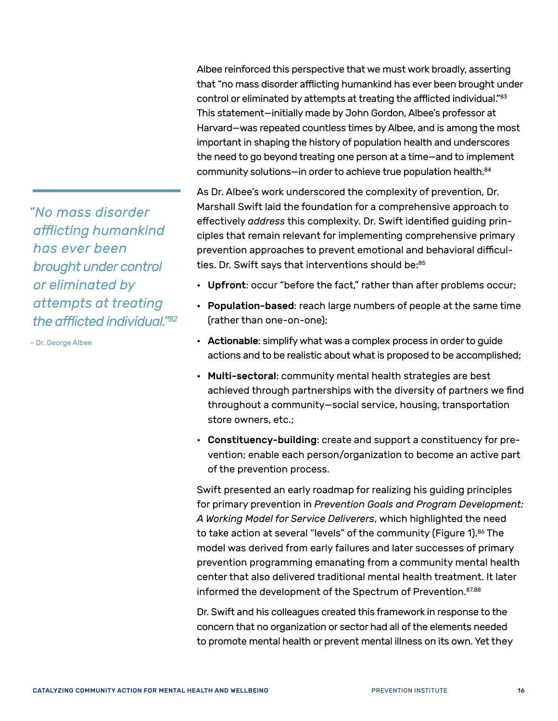that "no mass disorder afflicting humankind has ever been brought under control or eliminated by attempts at treating the afflicted individual."[83](#page-64-4) This statement—initially made by John Gordon, Albee's professor at Harvard—was repeated countless times by Albee, and is among the most important in shaping the history of population health and underscores the need to go beyond treating one person at a time—and to implement community solutions—in order to achieve true population health.<sup>84</sup>

Albee reinforced this perspective that we must work broadly, asserting

As Dr. Albee's work underscored the complexity of prevention, Dr. Marshall Swift laid the foundation for a comprehensive approach to effectively *address* this complexity. Dr. Swift identified guiding principles that remain relevant for implementing comprehensive primary prevention approaches to prevent emotional and behavioral difficul-ties. Dr. Swift says that interventions should be[:85](#page-64-6)

- Upfront: occur "before the fact," rather than after problems occur;
- Population-based: reach large numbers of people at the same time (rather than one-on-one);
- Actionable: simplify what was a complex process in order to guide actions and to be realistic about what is proposed to be accomplished;
- Multi-sectoral: community mental health strategies are best achieved through partnerships with the diversity of partners we find throughout a community—social service, housing, transportation store owners, etc.;
- Constituency-building: create and support a constituency for prevention; enable each person/organization to become an active part of the prevention process.

Swift presented an early roadmap for realizing his guiding principles for primary prevention in *Prevention Goals and Program Development: A Working Model for Service Deliverers*, which highlighted the need to take action at several "levels" of the community (Figure 1).<sup>86</sup> The model was derived from early failures and later successes of primary prevention programming emanating from a community mental health center that also delivered traditional mental health treatment. It later informed the development of the Spectrum of Prevention.<sup>[87,](#page-64-8)[88](#page-64-9)</sup>

Dr. Swift and his colleagues created this framework in response to the concern that no organization or sector had all of the elements needed to promote mental health or prevent mental illness on its own. Yet they

*"No mass disorder afflicting humankind has ever been brought under control or eliminated by attempts at treating the afflicted individual."[82](#page-64-10)*

– Dr. George Albee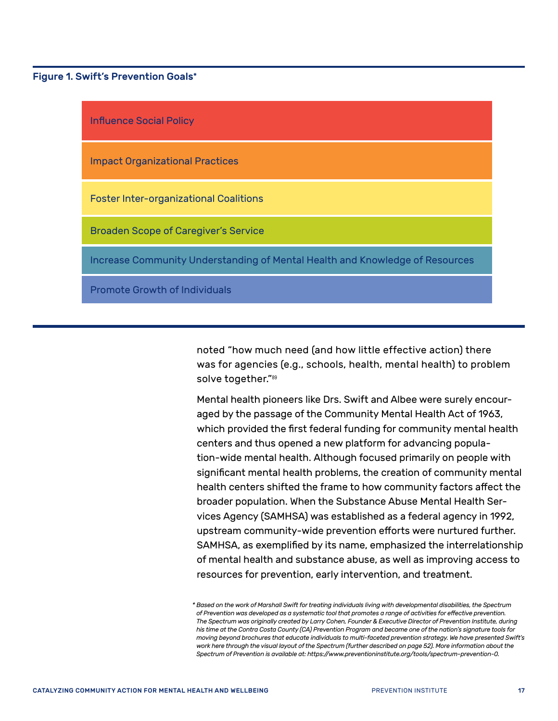Figure 1. Swift's Prevention Goals\*



noted "how much need (and how little effective action) there was for agencies (e.g., schools, health, mental health) to problem solve together."[89](#page-64-11)

Mental health pioneers like Drs. Swift and Albee were surely encouraged by the passage of the Community Mental Health Act of 1963, which provided the first federal funding for community mental health centers and thus opened a new platform for advancing population-wide mental health. Although focused primarily on people with significant mental health problems, the creation of community mental health centers shifted the frame to how community factors affect the broader population. When the Substance Abuse Mental Health Services Agency (SAMHSA) was established as a federal agency in 1992, upstream community-wide prevention efforts were nurtured further. SAMHSA, as exemplified by its name, emphasized the interrelationship of mental health and substance abuse, as well as improving access to resources for prevention, early intervention, and treatment.

*<sup>\*</sup> Based on the work of Marshall Swift for treating individuals living with developmental disabilities, the Spectrum of Prevention was developed as a systematic tool that promotes a range of activities for effective prevention. The Spectrum was originally created by Larry Cohen, Founder & Executive Director of Prevention Institute, during his time at the Contra Costa County (CA) Prevention Program and became one of the nation's signature tools for moving beyond brochures that educate individuals to multi-faceted prevention strategy. We have presented Swift's work here through the visual layout of the Spectrum (further described on page 52). More information about the Spectrum of Prevention is available at: https://www.preventioninstitute.org/tools/spectrum-prevention-0.*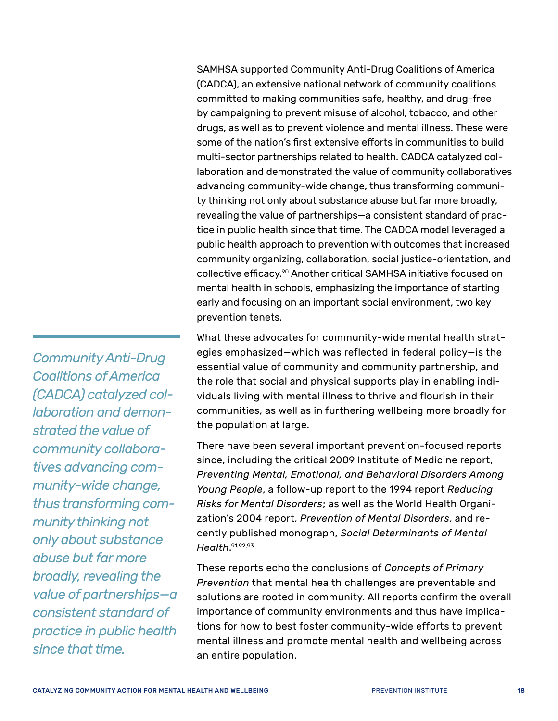SAMHSA supported Community Anti-Drug Coalitions of America (CADCA), an extensive national network of community coalitions committed to making communities safe, healthy, and drug-free by campaigning to prevent misuse of alcohol, tobacco, and other drugs, as well as to prevent violence and mental illness. These were some of the nation's first extensive efforts in communities to build multi-sector partnerships related to health. CADCA catalyzed collaboration and demonstrated the value of community collaboratives advancing community-wide change, thus transforming community thinking not only about substance abuse but far more broadly, revealing the value of partnerships—a consistent standard of practice in public health since that time. The CADCA model leveraged a public health approach to prevention with outcomes that increased community organizing, collaboration, social justice-orientation, and collective efficacy.[90](#page-64-12) Another critical SAMHSA initiative focused on mental health in schools, emphasizing the importance of starting early and focusing on an important social environment, two key prevention tenets.

What these advocates for community-wide mental health strategies emphasized—which was reflected in federal policy—is the essential value of community and community partnership, and the role that social and physical supports play in enabling individuals living with mental illness to thrive and flourish in their communities, as well as in furthering wellbeing more broadly for the population at large.

There have been several important prevention-focused reports since, including the critical 2009 Institute of Medicine report, *Preventing Mental, Emotional, and Behavioral Disorders Among Young People*, a follow-up report to the 1994 report *Reducing Risks for Mental Disorders*; as well as the World Health Organization's 2004 report, *Prevention of Mental Disorders*, and recently published monograph, *Social Determinants of Mental Health*. [91,](#page-64-13)[92,](#page-64-14)[93](#page-64-15)

These reports echo the conclusions of *Concepts of Primary Prevention* that mental health challenges are preventable and solutions are rooted in community. All reports confirm the overall importance of community environments and thus have implications for how to best foster community-wide efforts to prevent mental illness and promote mental health and wellbeing across an entire population.

*Community Anti-Drug Coalitions of America (CADCA) catalyzed collaboration and demonstrated the value of community collaboratives advancing community-wide change, thus transforming community thinking not only about substance abuse but far more broadly, revealing the value of partnerships—a consistent standard of practice in public health since that time.*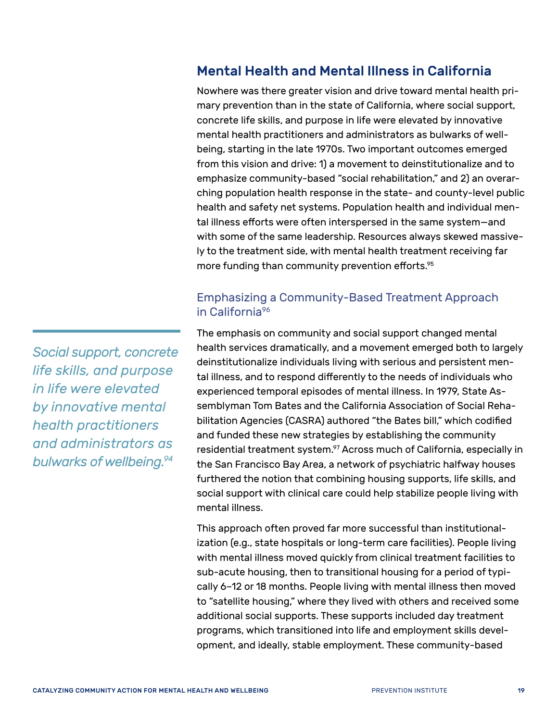## <span id="page-22-0"></span>Mental Health and Mental Illness in California

Nowhere was there greater vision and drive toward mental health primary prevention than in the state of California, where social support, concrete life skills, and purpose in life were elevated by innovative mental health practitioners and administrators as bulwarks of wellbeing, starting in the late 1970s. Two important outcomes emerged from this vision and drive: 1) a movement to deinstitutionalize and to emphasize community-based "social rehabilitation," and 2) an overarching population health response in the state- and county-level public health and safety net systems. Population health and individual mental illness efforts were often interspersed in the same system—and with some of the same leadership. Resources always skewed massively to the treatment side, with mental health treatment receiving far more funding than community prevention efforts.<sup>[95](#page-64-16)</sup>

#### Emphasizing a Community-Based Treatment Approach in California<sup>[96](#page-64-17)</sup>

The emphasis on community and social support changed mental health services dramatically, and a movement emerged both to largely deinstitutionalize individuals living with serious and persistent mental illness, and to respond differently to the needs of individuals who experienced temporal episodes of mental illness. In 1979, State Assemblyman Tom Bates and the California Association of Social Rehabilitation Agencies (CASRA) authored "the Bates bill," which codified and funded these new strategies by establishing the community residential treatment system.<sup>97</sup> Across much of California, especially in the San Francisco Bay Area, a network of psychiatric halfway houses furthered the notion that combining housing supports, life skills, and social support with clinical care could help stabilize people living with mental illness.

This approach often proved far more successful than institutionalization (e.g., state hospitals or long-term care facilities). People living with mental illness moved quickly from clinical treatment facilities to sub-acute housing, then to transitional housing for a period of typically 6–12 or 18 months. People living with mental illness then moved to "satellite housing," where they lived with others and received some additional social supports. These supports included day treatment programs, which transitioned into life and employment skills development, and ideally, stable employment. These community-based

*Social support, concrete life skills, and purpose in life were elevated by innovative mental health practitioners and administrators as bulwarks of wellbeing.[94](#page-64-19)*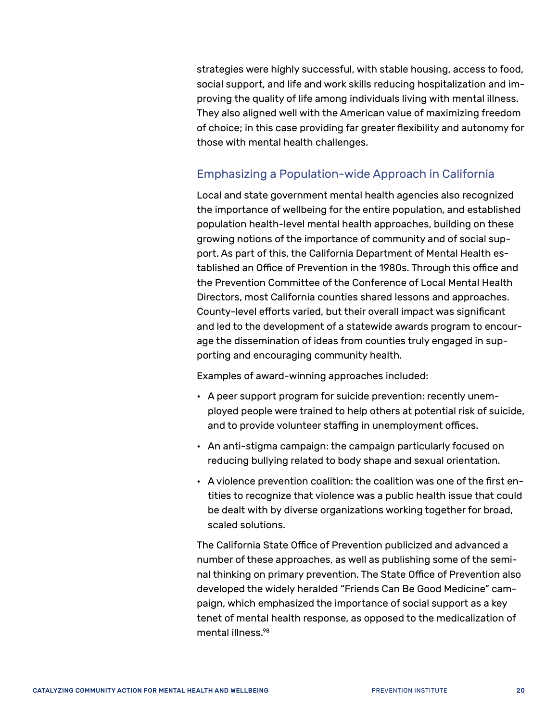strategies were highly successful, with stable housing, access to food, social support, and life and work skills reducing hospitalization and improving the quality of life among individuals living with mental illness. They also aligned well with the American value of maximizing freedom of choice; in this case providing far greater flexibility and autonomy for those with mental health challenges.

#### Emphasizing a Population-wide Approach in California

Local and state government mental health agencies also recognized the importance of wellbeing for the entire population, and established population health-level mental health approaches, building on these growing notions of the importance of community and of social support. As part of this, the California Department of Mental Health established an Office of Prevention in the 1980s. Through this office and the Prevention Committee of the Conference of Local Mental Health Directors, most California counties shared lessons and approaches. County-level efforts varied, but their overall impact was significant and led to the development of a statewide awards program to encourage the dissemination of ideas from counties truly engaged in supporting and encouraging community health.

Examples of award-winning approaches included:

- A peer support program for suicide prevention: recently unemployed people were trained to help others at potential risk of suicide, and to provide volunteer staffing in unemployment offices.
- An anti-stigma campaign: the campaign particularly focused on reducing bullying related to body shape and sexual orientation.
- A violence prevention coalition: the coalition was one of the first entities to recognize that violence was a public health issue that could be dealt with by diverse organizations working together for broad, scaled solutions.

The California State Office of Prevention publicized and advanced a number of these approaches, as well as publishing some of the seminal thinking on primary prevention. The State Office of Prevention also developed the widely heralded "Friends Can Be Good Medicine" campaign, which emphasized the importance of social support as a key tenet of mental health response, as opposed to the medicalization of mental illness[.98](#page-64-20)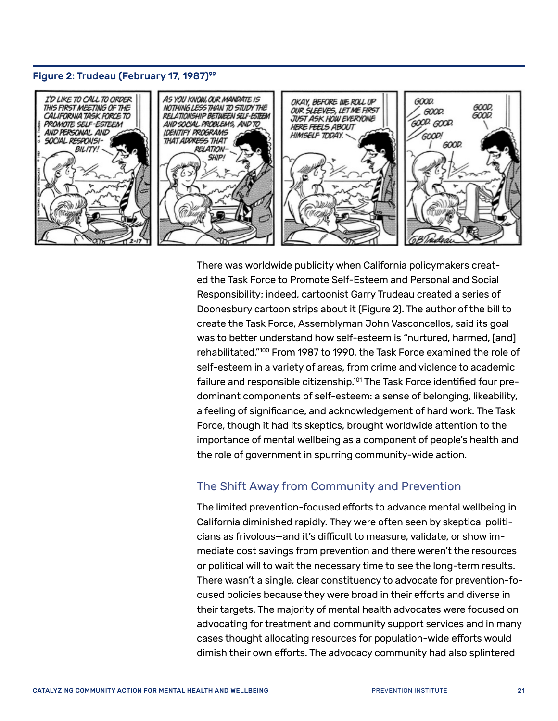#### Figure 2: Trudeau (February 17, 1987)<sup>[99](#page-64-23)</sup>



There was worldwide publicity when California policymakers created the Task Force to Promote Self-Esteem and Personal and Social Responsibility; indeed, cartoonist Garry Trudeau created a series of Doonesbury cartoon strips about it (Figure 2). The author of the bill to create the Task Force, Assemblyman John Vasconcellos, said its goal was to better understand how self-esteem is "nurtured, harmed, [and] rehabilitated.["100](#page-64-21) From 1987 to 1990, the Task Force examined the role of self-esteem in a variety of areas, from crime and violence to academic failure and responsible citizenship.<sup>101</sup> The Task Force identified four predominant components of self-esteem: a sense of belonging, likeability, a feeling of significance, and acknowledgement of hard work. The Task Force, though it had its skeptics, brought worldwide attention to the importance of mental wellbeing as a component of people's health and the role of government in spurring community-wide action.

#### The Shift Away from Community and Prevention

The limited prevention-focused efforts to advance mental wellbeing in California diminished rapidly. They were often seen by skeptical politicians as frivolous—and it's difficult to measure, validate, or show immediate cost savings from prevention and there weren't the resources or political will to wait the necessary time to see the long-term results. There wasn't a single, clear constituency to advocate for prevention-focused policies because they were broad in their efforts and diverse in their targets. The majority of mental health advocates were focused on advocating for treatment and community support services and in many cases thought allocating resources for population-wide efforts would dimish their own efforts. The advocacy community had also splintered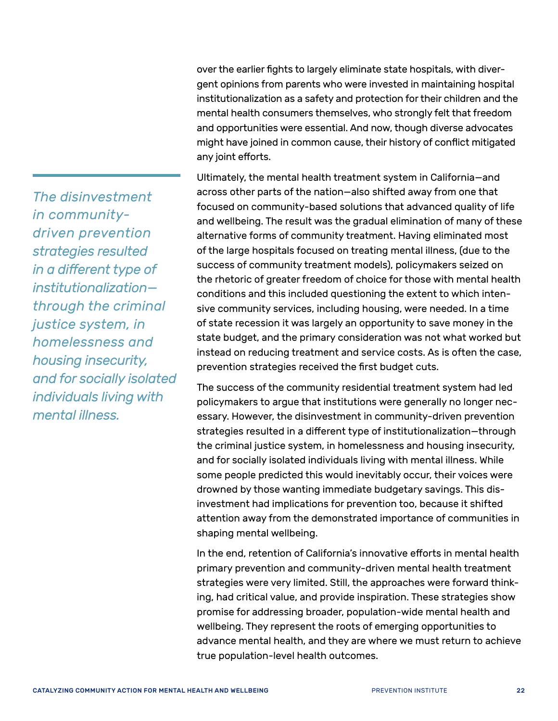*The disinvestment in communitydriven prevention strategies resulted in a different type of institutionalization through the criminal justice system, in homelessness and housing insecurity, and for socially isolated individuals living with mental illness.*

over the earlier fights to largely eliminate state hospitals, with divergent opinions from parents who were invested in maintaining hospital institutionalization as a safety and protection for their children and the mental health consumers themselves, who strongly felt that freedom and opportunities were essential. And now, though diverse advocates might have joined in common cause, their history of conflict mitigated any joint efforts.

Ultimately, the mental health treatment system in California—and across other parts of the nation—also shifted away from one that focused on community-based solutions that advanced quality of life and wellbeing. The result was the gradual elimination of many of these alternative forms of community treatment. Having eliminated most of the large hospitals focused on treating mental illness, (due to the success of community treatment models), policymakers seized on the rhetoric of greater freedom of choice for those with mental health conditions and this included questioning the extent to which intensive community services, including housing, were needed. In a time of state recession it was largely an opportunity to save money in the state budget, and the primary consideration was not what worked but instead on reducing treatment and service costs. As is often the case, prevention strategies received the first budget cuts.

The success of the community residential treatment system had led policymakers to argue that institutions were generally no longer necessary. However, the disinvestment in community-driven prevention strategies resulted in a different type of institutionalization—through the criminal justice system, in homelessness and housing insecurity, and for socially isolated individuals living with mental illness. While some people predicted this would inevitably occur, their voices were drowned by those wanting immediate budgetary savings. This disinvestment had implications for prevention too, because it shifted attention away from the demonstrated importance of communities in shaping mental wellbeing.

In the end, retention of California's innovative efforts in mental health primary prevention and community-driven mental health treatment strategies were very limited. Still, the approaches were forward thinking, had critical value, and provide inspiration. These strategies show promise for addressing broader, population-wide mental health and wellbeing. They represent the roots of emerging opportunities to advance mental health, and they are where we must return to achieve true population-level health outcomes.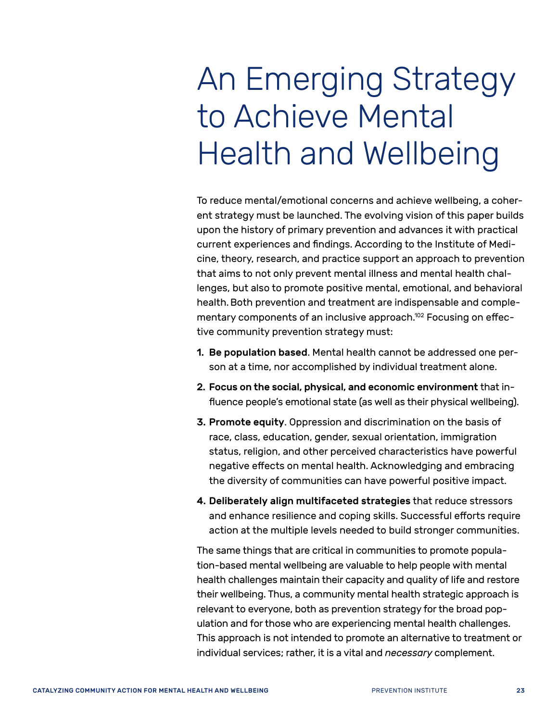# <span id="page-26-0"></span>An Emerging Strategy to Achieve Mental Health and Wellbeing

To reduce mental/emotional concerns and achieve wellbeing, a coherent strategy must be launched. The evolving vision of this paper builds upon the history of primary prevention and advances it with practical current experiences and findings. According to the Institute of Medicine, theory, research, and practice support an approach to prevention that aims to not only prevent mental illness and mental health challenges, but also to promote positive mental, emotional, and behavioral health.Both prevention and treatment are indispensable and complementary components of an inclusive approach.<sup>102</sup> Focusing on effective community prevention strategy must:

- 1. Be population based. Mental health cannot be addressed one person at a time, nor accomplished by individual treatment alone.
- 2. Focus on the social, physical, and economic environment that influence people's emotional state (as well as their physical wellbeing).
- 3. Promote equity. Oppression and discrimination on the basis of race, class, education, gender, sexual orientation, immigration status, religion, and other perceived characteristics have powerful negative effects on mental health. Acknowledging and embracing the diversity of communities can have powerful positive impact.
- 4. Deliberately align multifaceted strategies that reduce stressors and enhance resilience and coping skills. Successful efforts require action at the multiple levels needed to build stronger communities.

The same things that are critical in communities to promote population-based mental wellbeing are valuable to help people with mental health challenges maintain their capacity and quality of life and restore their wellbeing. Thus, a community mental health strategic approach is relevant to everyone, both as prevention strategy for the broad population and for those who are experiencing mental health challenges. This approach is not intended to promote an alternative to treatment or individual services; rather, it is a vital and *necessary* complement.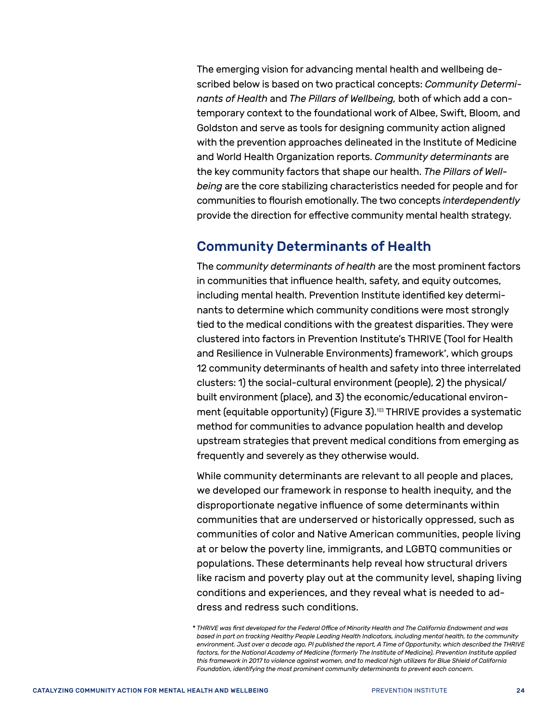The emerging vision for advancing mental health and wellbeing described below is based on two practical concepts: *Community Determinants of Health* and *The Pillars of Wellbeing,* both of which add a contemporary context to the foundational work of Albee, Swift, Bloom, and Goldston and serve as tools for designing community action aligned with the prevention approaches delineated in the Institute of Medicine and World Health Organization reports. *Community determinants* are the key community factors that shape our health. *The Pillars of Wellbeing* are the core stabilizing characteristics needed for people and for communities to flourish emotionally. The two concepts *interdependently* provide the direction for effective community mental health strategy.

#### <span id="page-27-0"></span>Community Determinants of Health

The c*ommunity determinants of health* are the most prominent factors in communities that influence health, safety, and equity outcomes, including mental health. Prevention Institute identified key determinants to determine which community conditions were most strongly tied to the medical conditions with the greatest disparities. They were clustered into factors in Prevention Institute's THRIVE (Tool for Health and Resilience in Vulnerable Environments) framework\*, which groups 12 community determinants of health and safety into three interrelated clusters: 1) the social-cultural environment (people), 2) the physical/ built environment (place), and 3) the economic/educational environ-ment (equitable opportunity) (Figure 3).<sup>[103](#page-64-25)</sup> THRIVE provides a systematic method for communities to advance population health and develop upstream strategies that prevent medical conditions from emerging as frequently and severely as they otherwise would.

While community determinants are relevant to all people and places, we developed our framework in response to health inequity, and the disproportionate negative influence of some determinants within communities that are underserved or historically oppressed, such as communities of color and Native American communities, people living at or below the poverty line, immigrants, and LGBTQ communities or populations. These determinants help reveal how structural drivers like racism and poverty play out at the community level, shaping living conditions and experiences, and they reveal what is needed to address and redress such conditions.

<sup>\*</sup> *THRIVE was first developed for the Federal Office of Minority Health and The California Endowment and was based in part on tracking Healthy People Leading Health Indicators, including mental health, to the community environment. Just over a decade ago, PI published the report, A Time of Opportunity, which described the THRIVE*  factors, for the National Academy of Medicine (formerly The Institute of Medicine). Prevention Institute applied *this framework in 2017 to violence against women, and to medical high utilizers for Blue Shield of California Foundation, identifying the most prominent community determinants to prevent each concern.*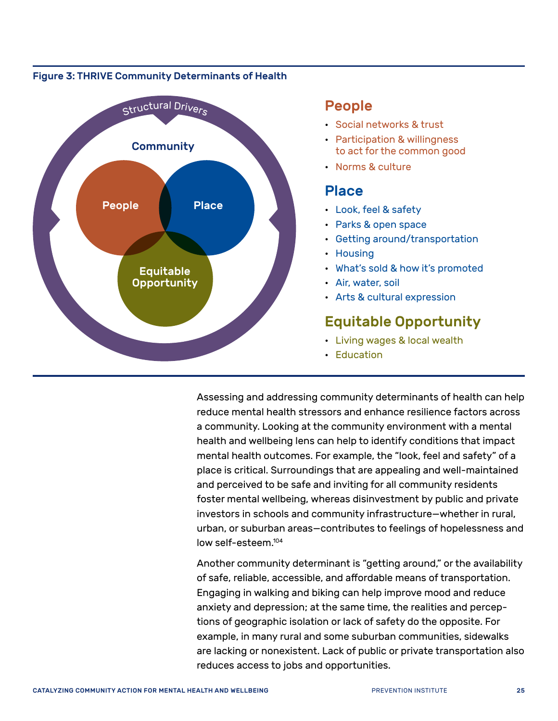#### <span id="page-28-0"></span>Figure 3: THRIVE Community Determinants of Health



#### People

- Social networks & trust
- Participation & willingness to act for the common good
- Norms & culture

#### Place

- Look, feel & safety
- Parks & open space
- Getting around/transportation
- Housing
- What's sold & how it's promoted
- Air, water, soil
- Arts & cultural expression

## Equitable Opportunity

- Living wages & local wealth
- Education

Assessing and addressing community determinants of health can help reduce mental health stressors and enhance resilience factors across a community. Looking at the community environment with a mental health and wellbeing lens can help to identify conditions that impact mental health outcomes. For example, the "look, feel and safety" of a place is critical. Surroundings that are appealing and well-maintained and perceived to be safe and inviting for all community residents foster mental wellbeing, whereas disinvestment by public and private investors in schools and community infrastructure—whether in rural, urban, or suburban areas—contributes to feelings of hopelessness and low self-esteem[.104](#page-64-26)

Another community determinant is "getting around," or the availability of safe, reliable, accessible, and affordable means of transportation. Engaging in walking and biking can help improve mood and reduce anxiety and depression; at the same time, the realities and perceptions of geographic isolation or lack of safety do the opposite. For example, in many rural and some suburban communities, sidewalks are lacking or nonexistent. Lack of public or private transportation also reduces access to jobs and opportunities.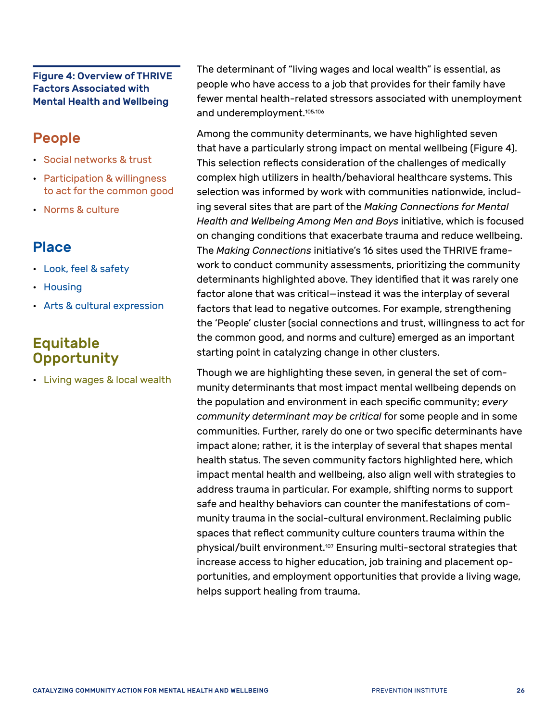#### Figure 4: Overview of THRIVE Factors Associated with Mental Health and Wellbeing

## People

- Social networks & trust
- Participation & willingness to act for the common good
- Norms & culture

## Place

- Look, feel & safety
- Housing
- Arts & cultural expression

## Equitable **Opportunity**

• Living wages & local wealth

The determinant of "living wages and local wealth" is essential, as people who have access to a job that provides for their family have fewer mental health-related stressors associated with unemployment and underemployment.<sup>[105,](#page-65-0)[106](#page-65-1)</sup>

Among the community determinants, we have highlighted seven that have a particularly strong impact on mental wellbeing (Figure 4). This selection reflects consideration of the challenges of medically complex high utilizers in health/behavioral healthcare systems. This selection was informed by work with communities nationwide, including several sites that are part of the *Making Connections for Mental Health and Wellbeing Among Men and Boys* initiative, which is focused on changing conditions that exacerbate trauma and reduce wellbeing. The *Making Connections* initiative's 16 sites used the THRIVE framework to conduct community assessments, prioritizing the community determinants highlighted above. They identified that it was rarely one factor alone that was critical—instead it was the interplay of several factors that lead to negative outcomes. For example, strengthening the 'People' cluster (social connections and trust, willingness to act for the common good, and norms and culture) emerged as an important starting point in catalyzing change in other clusters.

<span id="page-29-0"></span>Though we are highlighting these seven, in general the set of community determinants that most impact mental wellbeing depends on the population and environment in each specific community; *every community determinant may be critical* for some people and in some communities. Further, rarely do one or two specific determinants have impact alone; rather, it is the interplay of several that shapes mental health status. The seven community factors highlighted here, which impact mental health and wellbeing, also align well with strategies to address trauma in particular. For example, shifting norms to support safe and healthy behaviors can counter the manifestations of community trauma in the social-cultural environment.Reclaiming public spaces that reflect community culture counters trauma within the physical/built environment.[107](#page-65-2) Ensuring multi-sectoral strategies that increase access to higher education, job training and placement opportunities, and employment opportunities that provide a living wage, helps support healing from trauma.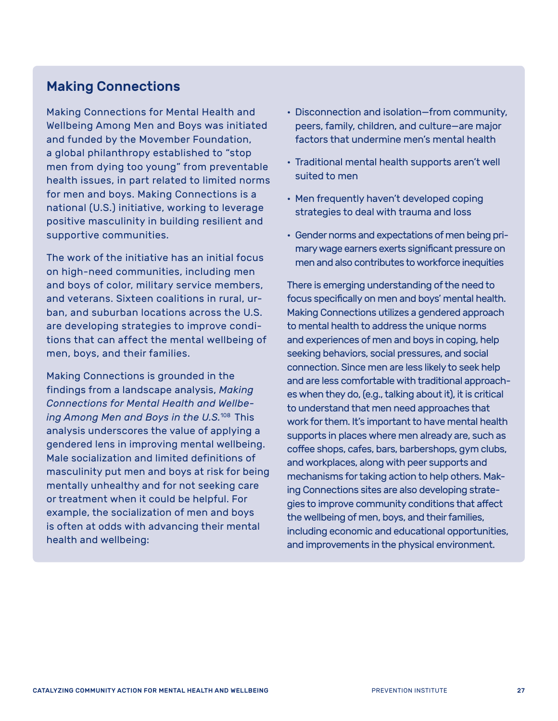#### Making Connections

Making Connections for Mental Health and Wellbeing Among Men and Boys was initiated and funded by the Movember Foundation, a global philanthropy established to "stop men from dying too young" from preventable health issues, in part related to limited norms for men and boys. Making Connections is a national (U.S.) initiative, working to leverage positive masculinity in building resilient and supportive communities.

The work of the initiative has an initial focus on high-need communities, including men and boys of color, military service members, and veterans. Sixteen coalitions in rural, urban, and suburban locations across the U.S. are developing strategies to improve conditions that can affect the mental wellbeing of men, boys, and their families.

Making Connections is grounded in the findings from a landscape analysis, *Making Connections for Mental Health and Wellbeing Among Men and Boys in the U.S.*[108](#page-65-3) This analysis underscores the value of applying a gendered lens in improving mental wellbeing. Male socialization and limited definitions of masculinity put men and boys at risk for being mentally unhealthy and for not seeking care or treatment when it could be helpful. For example, the socialization of men and boys is often at odds with advancing their mental health and wellbeing:

- Disconnection and isolation—from community, peers, family, children, and culture—are major factors that undermine men's mental health
- Traditional mental health supports aren't well suited to men
- Men frequently haven't developed coping strategies to deal with trauma and loss
- Gender norms and expectations of men being primary wage earners exerts significant pressure on men and also contributes to workforce inequities

There is emerging understanding of the need to focus specifically on men and boys' mental health. Making Connections utilizes a gendered approach to mental health to address the unique norms and experiences of men and boys in coping, help seeking behaviors, social pressures, and social connection. Since men are less likely to seek help and are less comfortable with traditional approaches when they do, (e.g., talking about it), it is critical to understand that men need approaches that work for them. It's important to have mental health supports in places where men already are, such as coffee shops, cafes, bars, barbershops, gym clubs, and workplaces, along with peer supports and mechanisms for taking action to help others. Making Connections sites are also developing strategies to improve community conditions that affect the wellbeing of men, boys, and their families, including economic and educational opportunities, and improvements in the physical environment.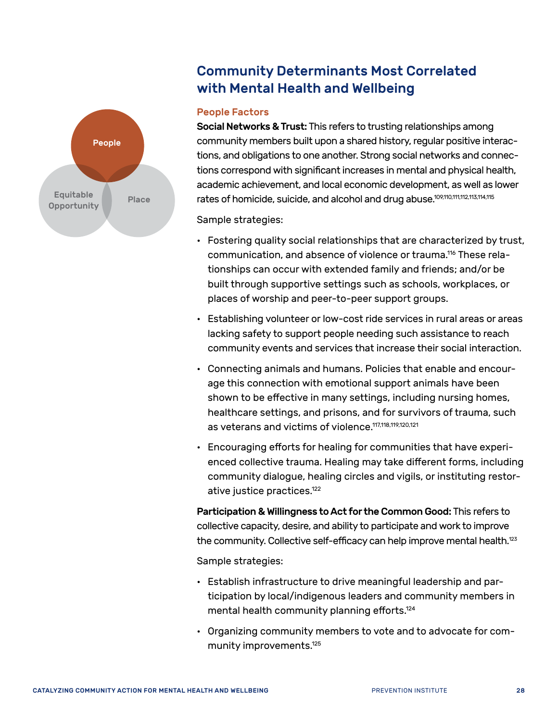

### Community Determinants Most Correlated with Mental Health and Wellbeing

#### People Factors

Social Networks & Trust: This refers to trusting relationships among community members built upon a shared history, regular positive interactions, and obligations to one another. Strong social networks and connections correspond with significant increases in mental and physical health, academic achievement, and local economic development, as well as lower rates of homicide, suicide, and alcohol and drug abuse[.109](#page-65-4)[,110,](#page-65-5)[111](#page-65-6)[,112,](#page-65-7)[113](#page-65-8)[,114](#page-65-9)[,115](#page-65-10)

Sample strategies:

- Fostering quality social relationships that are characterized by trust, communication, and absence of violence or trauma[.116](#page-65-11) These relationships can occur with extended family and friends; and/or be built through supportive settings such as schools, workplaces, or places of worship and peer-to-peer support groups.
- Establishing volunteer or low-cost ride services in rural areas or areas lacking safety to support people needing such assistance to reach community events and services that increase their social interaction.
- Connecting animals and humans. Policies that enable and encourage this connection with emotional support animals have been shown to be effective in many settings, including nursing homes, healthcare settings, and prisons, and for survivors of trauma, such as veterans and victims of violence.<sup>117[,118](#page-65-13)[,119](#page-65-14),[120](#page-65-15)[,121](#page-65-16)</sup>
- Encouraging efforts for healing for communities that have experienced collective trauma. Healing may take different forms, including community dialogue, healing circles and vigils, or instituting restorative justice practices.<sup>122</sup>

Participation & Willingness to Act for the Common Good: This refers to collective capacity, desire, and ability to participate and work to improve the community. Collective self-efficacy can help improve mental health.<sup>[123](#page-65-18)</sup>

Sample strategies:

- Establish infrastructure to drive meaningful leadership and participation by local/indigenous leaders and community members in mental health community planning efforts.[124](#page-65-19)
- Organizing community members to vote and to advocate for community improvements[.125](#page-65-20)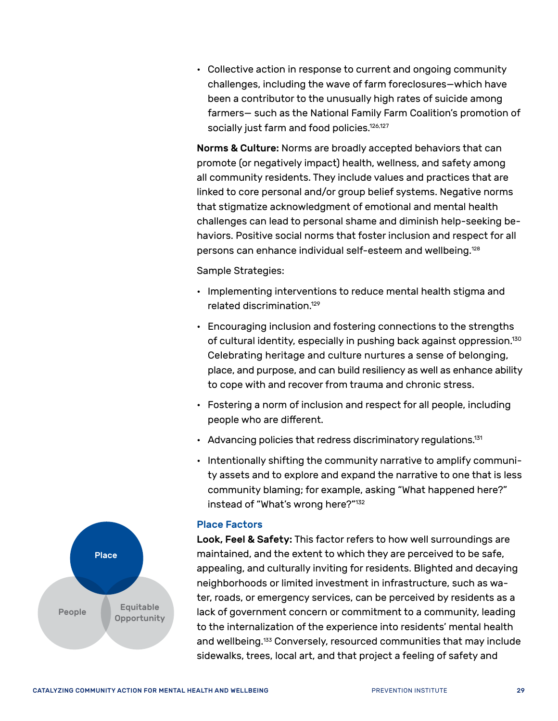• Collective action in response to current and ongoing community challenges, including the wave of farm foreclosures—which have been a contributor to the unusually high rates of suicide among farmers— such as the National Family Farm Coalition's promotion of socially just farm and food policies.<sup>126[,127](#page-65-22)</sup>

Norms & Culture: Norms are broadly accepted behaviors that can promote (or negatively impact) health, wellness, and safety among all community residents. They include values and practices that are linked to core personal and/or group belief systems. Negative norms that stigmatize acknowledgment of emotional and mental health challenges can lead to personal shame and diminish help-seeking behaviors. Positive social norms that foster inclusion and respect for all persons can enhance individual self-esteem and wellbeing.[128](#page-65-23)

Sample Strategies:

- Implementing interventions to reduce mental health stigma and related discrimination[.129](#page-65-24)
- Encouraging inclusion and fostering connections to the strengths of cultural identity, especially in pushing back against oppression.<sup>130</sup> Celebrating heritage and culture nurtures a sense of belonging, place, and purpose, and can build resiliency as well as enhance ability to cope with and recover from trauma and chronic stress.
- Fostering a norm of inclusion and respect for all people, including people who are different.
- Advancing policies that redress discriminatory regulations.<sup>131</sup>
- Intentionally shifting the community narrative to amplify community assets and to explore and expand the narrative to one that is less community blaming; for example, asking "What happened here?" instead of "What's wrong here?"[132](#page-65-27)

#### Place Factors

Look, Feel & Safety: This factor refers to how well surroundings are maintained, and the extent to which they are perceived to be safe, appealing, and culturally inviting for residents. Blighted and decaying neighborhoods or limited investment in infrastructure, such as water, roads, or emergency services, can be perceived by residents as a lack of government concern or commitment to a community, leading to the internalization of the experience into residents' mental health and wellbeing.<sup>133</sup> Conversely, resourced communities that may include sidewalks, trees, local art, and that project a feeling of safety and

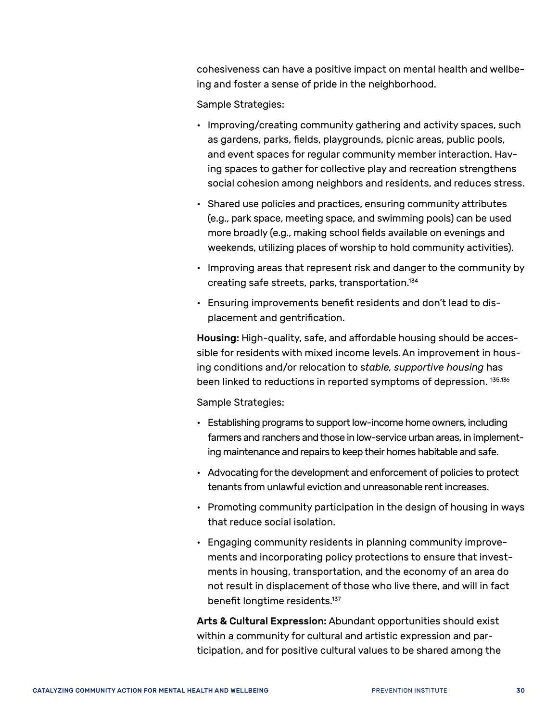cohesiveness can have a positive impact on mental health and wellbeing and foster a sense of pride in the neighborhood.

Sample Strategies:

- Improving/creating community gathering and activity spaces, such as gardens, parks, fields, playgrounds, picnic areas, public pools, and event spaces for regular community member interaction. Having spaces to gather for collective play and recreation strengthens social cohesion among neighbors and residents, and reduces stress.
- Shared use policies and practices, ensuring community attributes (e.g., park space, meeting space, and swimming pools) can be used more broadly (e.g., making school fields available on evenings and weekends, utilizing places of worship to hold community activities).
- Improving areas that represent risk and danger to the community by creating safe streets, parks, transportation[.134](#page-66-0)
- Ensuring improvements benefit residents and don't lead to displacement and gentrification.

Housing: High-quality, safe, and affordable housing should be accessible for residents with mixed income levels.An improvement in housing conditions and/or relocation to s*table, supportive housing* has been linked to reductions in reported symptoms of depression.<sup>135,[136](#page-66-2)</sup>

Sample Strategies:

- Establishing programs to support low-income home owners, including farmers and ranchers and those in low-service urban areas, in implementing maintenance and repairs to keep their homes habitable and safe.
- Advocating for the development and enforcement of policies to protect tenants from unlawful eviction and unreasonable rent increases.
- Promoting community participation in the design of housing in ways that reduce social isolation.
- Engaging community residents in planning community improvements and incorporating policy protections to ensure that investments in housing, transportation, and the economy of an area do not result in displacement of those who live there, and will in fact benefit longtime residents.<sup>[137](#page-66-3)</sup>

Arts & Cultural Expression: Abundant opportunities should exist within a community for cultural and artistic expression and participation, and for positive cultural values to be shared among the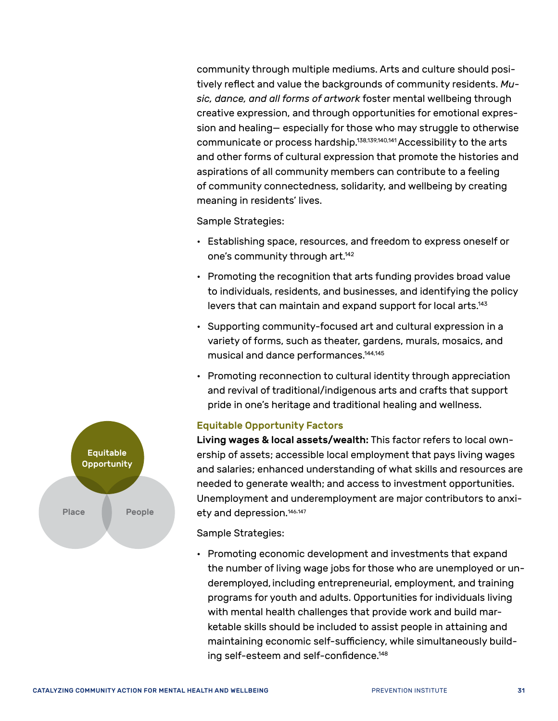community through multiple mediums. Arts and culture should positively reflect and value the backgrounds of community residents. *Music, dance, and all forms of artwork* foster mental wellbeing through creative expression, and through opportunities for emotional expression and healing— especially for those who may struggle to otherwise communicate or process hardship.<sup>138[,139](#page-66-5)[,140](#page-66-6)[,141](#page-66-7)</sup> Accessibility to the arts and other forms of cultural expression that promote the histories and aspirations of all community members can contribute to a feeling of community connectedness, solidarity, and wellbeing by creating meaning in residents' lives.

Sample Strategies:

- Establishing space, resources, and freedom to express oneself or one's community through art.<sup>142</sup>
- Promoting the recognition that arts funding provides broad value to individuals, residents, and businesses, and identifying the policy levers that can maintain and expand support for local arts.<sup>143</sup>
- Supporting community-focused art and cultural expression in a variety of forms, such as theater, gardens, murals, mosaics, and musical and dance performances[.144](#page-66-10),[145](#page-66-11)
- Promoting reconnection to cultural identity through appreciation and revival of traditional/indigenous arts and crafts that support pride in one's heritage and traditional healing and wellness.

#### Equitable Opportunity Factors

Living wages & local assets/wealth: This factor refers to local ownership of assets; accessible local employment that pays living wages and salaries; enhanced understanding of what skills and resources are needed to generate wealth; and access to investment opportunities. Unemployment and underemployment are major contributors to anxi-ety and depression.<sup>[146](#page-66-12)[,147](#page-66-13)</sup>

Sample Strategies:

• Promoting economic development and investments that expand the number of living wage jobs for those who are unemployed or underemployed, including entrepreneurial, employment, and training programs for youth and adults. Opportunities for individuals living with mental health challenges that provide work and build marketable skills should be included to assist people in attaining and maintaining economic self-sufficiency, while simultaneously building self-esteem and self-confidence.[148](#page-66-14)

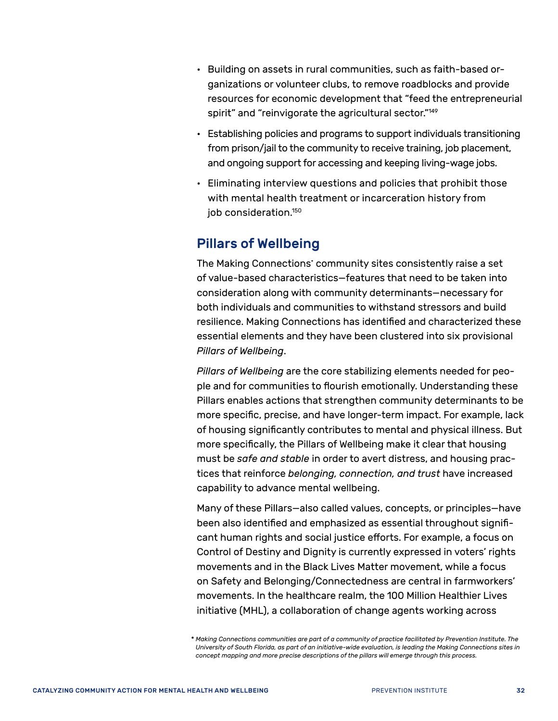- Building on assets in rural communities, such as faith-based organizations or volunteer clubs, to remove roadblocks and provide resources for economic development that "feed the entrepreneurial spirit" and "reinvigorate the agricultural sector."<sup>149</sup>
- Establishing policies and programs to support individuals transitioning from prison/jail to the community to receive training, job placement, and ongoing support for accessing and keeping living-wage jobs.
- Eliminating interview questions and policies that prohibit those with mental health treatment or incarceration history from job consideration[.150](#page-66-16)

#### <span id="page-35-0"></span>Pillars of Wellbeing

The Making Connections\* community sites consistently raise a set of value-based characteristics—features that need to be taken into consideration along with community determinants—necessary for both individuals and communities to withstand stressors and build resilience. Making Connections has identified and characterized these essential elements and they have been clustered into six provisional *Pillars of Wellbeing*.

*Pillars of Wellbeing* are the core stabilizing elements needed for people and for communities to flourish emotionally. Understanding these Pillars enables actions that strengthen community determinants to be more specific, precise, and have longer-term impact. For example, lack of housing significantly contributes to mental and physical illness. But more specifically, the Pillars of Wellbeing make it clear that housing must be *safe and stable* in order to avert distress, and housing practices that reinforce *belonging, connection, and trust* have increased capability to advance mental wellbeing.

Many of these Pillars—also called values, concepts, or principles—have been also identified and emphasized as essential throughout significant human rights and social justice efforts. For example, a focus on Control of Destiny and Dignity is currently expressed in voters' rights movements and in the Black Lives Matter movement, while a focus on Safety and Belonging/Connectedness are central in farmworkers' movements. In the healthcare realm, the 100 Million Healthier Lives initiative (MHL), a collaboration of change agents working across

<sup>\*</sup> *Making Connections communities are part of a community of practice facilitated by Prevention Institute. The University of South Florida, as part of an initiative-wide evaluation, is leading the Making Connections sites in concept mapping and more precise descriptions of the pillars will emerge through this process.*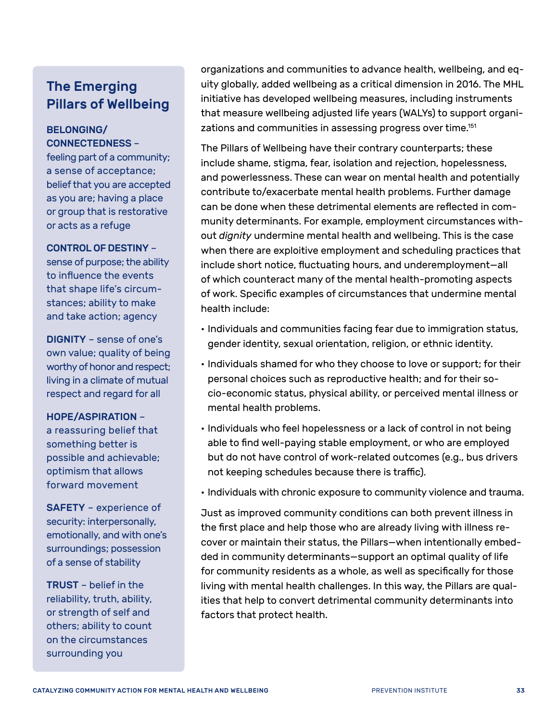## The Emerging Pillars of Wellbeing

#### BELONGING/ CONNECTEDNESS –

feeling part of a community; a sense of acceptance; belief that you are accepted as you are; having a place or group that is restorative or acts as a refuge

#### CONTROL OF DESTINY –

sense of purpose; the ability to influence the events that shape life's circumstances; ability to make and take action; agency

DIGNITY – sense of one's own value; quality of being worthy of honor and respect; living in a climate of mutual respect and regard for all

#### HOPE/ASPIRATION –

a reassuring belief that something better is possible and achievable; optimism that allows forward movement

SAFETY – experience of security: interpersonally, emotionally, and with one's surroundings; possession of a sense of stability

TRUST – belief in the reliability, truth, ability, or strength of self and others; ability to count on the circumstances surrounding you

organizations and communities to advance health, wellbeing, and equity globally, added wellbeing as a critical dimension in 2016. The MHL initiative has developed wellbeing measures, including instruments that measure wellbeing adjusted life years (WALYs) to support organizations and communities in assessing progress over time.<sup>151</sup>

The Pillars of Wellbeing have their contrary counterparts; these include shame, stigma, fear, isolation and rejection, hopelessness, and powerlessness. These can wear on mental health and potentially contribute to/exacerbate mental health problems. Further damage can be done when these detrimental elements are reflected in community determinants. For example, employment circumstances without *dignity* undermine mental health and wellbeing. This is the case when there are exploitive employment and scheduling practices that include short notice, fluctuating hours, and underemployment—all of which counteract many of the mental health-promoting aspects of work. Specific examples of circumstances that undermine mental health include:

- Individuals and communities facing fear due to immigration status, gender identity, sexual orientation, religion, or ethnic identity.
- Individuals shamed for who they choose to love or support; for their personal choices such as reproductive health; and for their socio-economic status, physical ability, or perceived mental illness or mental health problems.
- Individuals who feel hopelessness or a lack of control in not being able to find well-paying stable employment, or who are employed but do not have control of work-related outcomes (e.g., bus drivers not keeping schedules because there is traffic).
- Individuals with chronic exposure to community violence and trauma.

Just as improved community conditions can both prevent illness in the first place and help those who are already living with illness recover or maintain their status, the Pillars—when intentionally embedded in community determinants—support an optimal quality of life for community residents as a whole, as well as specifically for those living with mental health challenges. In this way, the Pillars are qualities that help to convert detrimental community determinants into factors that protect health.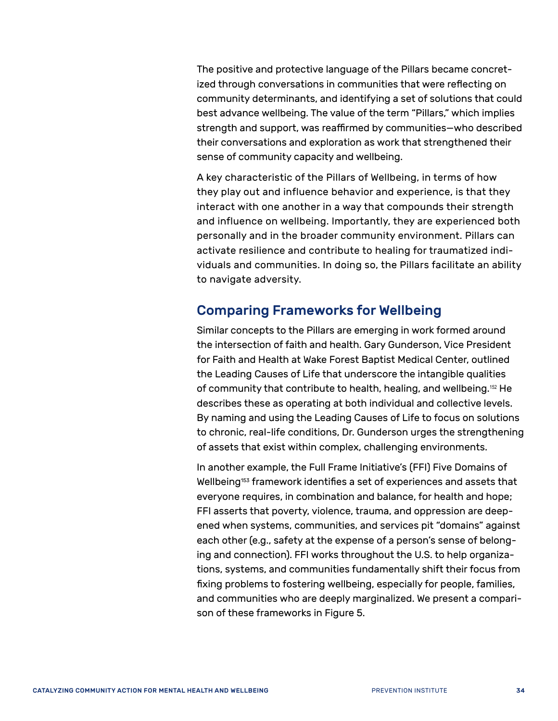The positive and protective language of the Pillars became concretized through conversations in communities that were reflecting on community determinants, and identifying a set of solutions that could best advance wellbeing. The value of the term "Pillars," which implies strength and support, was reaffirmed by communities—who described their conversations and exploration as work that strengthened their sense of community capacity and wellbeing.

A key characteristic of the Pillars of Wellbeing, in terms of how they play out and influence behavior and experience, is that they interact with one another in a way that compounds their strength and influence on wellbeing. Importantly, they are experienced both personally and in the broader community environment. Pillars can activate resilience and contribute to healing for traumatized individuals and communities. In doing so, the Pillars facilitate an ability to navigate adversity.

#### <span id="page-37-0"></span>Comparing Frameworks for Wellbeing

Similar concepts to the Pillars are emerging in work formed around the intersection of faith and health. Gary Gunderson, Vice President for Faith and Health at Wake Forest Baptist Medical Center, outlined the Leading Causes of Life that underscore the intangible qualities of community that contribute to health, healing, and wellbeing.[152](#page-66-18) He describes these as operating at both individual and collective levels. By naming and using the Leading Causes of Life to focus on solutions to chronic, real-life conditions, Dr. Gunderson urges the strengthening of assets that exist within complex, challenging environments.

In another example, the Full Frame Initiative's (FFI) Five Domains of Wellbeing<sup>153</sup> framework identifies a set of experiences and assets that everyone requires, in combination and balance, for health and hope; FFI asserts that poverty, violence, trauma, and oppression are deepened when systems, communities, and services pit "domains" against each other (e.g., safety at the expense of a person's sense of belonging and connection). FFI works throughout the U.S. to help organizations, systems, and communities fundamentally shift their focus from fixing problems to fostering wellbeing, especially for people, families, and communities who are deeply marginalized. We present a comparison of these frameworks in Figure 5.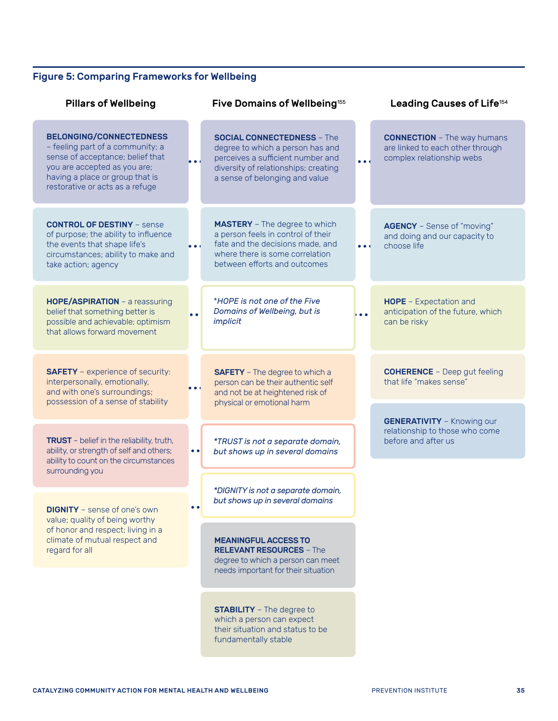#### Figure 5: Comparing Frameworks for Wellbeing

| <b>Pillars of Wellbeing</b>                                                                                                                                                                                  |                               | Five Domains of Wellbeing <sup>155</sup>                                                                                                                                             |                               | Leading Causes of Life <sup>154</sup>                                                               |
|--------------------------------------------------------------------------------------------------------------------------------------------------------------------------------------------------------------|-------------------------------|--------------------------------------------------------------------------------------------------------------------------------------------------------------------------------------|-------------------------------|-----------------------------------------------------------------------------------------------------|
| <b>BELONGING/CONNECTEDNESS</b><br>- feeling part of a community; a<br>sense of acceptance; belief that<br>you are accepted as you are;<br>having a place or group that is<br>restorative or acts as a refuge | $\bullet$                     | <b>SOCIAL CONNECTEDNESS - The</b><br>degree to which a person has and<br>perceives a sufficient number and<br>diversity of relationships; creating<br>a sense of belonging and value | $\bullet$ $\bullet$ $\bullet$ | <b>CONNECTION</b> - The way humans<br>are linked to each other through<br>complex relationship webs |
| <b>CONTROL OF DESTINY - sense</b><br>of purpose; the ability to influence<br>the events that shape life's<br>circumstances; ability to make and<br>take action; agency                                       | $\bullet$ $\bullet$ $\bullet$ | <b>MASTERY</b> - The degree to which<br>a person feels in control of their<br>fate and the decisions made, and<br>where there is some correlation<br>between efforts and outcomes    | $\bullet$ $\bullet$ $\bullet$ | <b>AGENCY</b> - Sense of "moving"<br>and doing and our capacity to<br>choose life                   |
| HOPE/ASPIRATION - a reassuring<br>belief that something better is<br>possible and achievable; optimism<br>that allows forward movement                                                                       | $\bullet$                     | *HOPE is not one of the Five<br>Domains of Wellbeing, but is<br>implicit                                                                                                             | • • •                         | HOPE - Expectation and<br>anticipation of the future, which<br>can be risky                         |
| <b>SAFETY</b> - experience of security:<br>interpersonally, emotionally,<br>and with one's surroundings;<br>possession of a sense of stability                                                               | $\bullet$                     | <b>SAFETY</b> - The degree to which a<br>person can be their authentic self<br>and not be at heightened risk of<br>physical or emotional harm                                        |                               | <b>COHERENCE</b> - Deep gut feeling<br>that life "makes sense"                                      |
| TRUST - belief in the reliability, truth,<br>ability, or strength of self and others;<br>ability to count on the circumstances                                                                               |                               | *TRUST is not a separate domain,<br>but shows up in several domains                                                                                                                  |                               | <b>GENERATIVITY</b> - Knowing our<br>relationship to those who come<br>before and after us          |
| surrounding you                                                                                                                                                                                              |                               |                                                                                                                                                                                      |                               |                                                                                                     |
| <b>DIGNITY</b> - sense of one's own                                                                                                                                                                          | <b></b>                       | *DIGNITY is not a separate domain,<br>but shows up in several domains                                                                                                                |                               |                                                                                                     |
| value; quality of being worthy<br>of honor and respect; living in a<br>climate of mutual respect and<br>regard for all                                                                                       |                               | <b>MEANINGFUL ACCESS TO</b><br><b>RELEVANT RESOURCES - The</b><br>degree to which a person can meet<br>needs important for their situation                                           |                               |                                                                                                     |
|                                                                                                                                                                                                              |                               |                                                                                                                                                                                      |                               |                                                                                                     |
|                                                                                                                                                                                                              |                               | <b>STABILITY</b> - The degree to<br>which a person can expect<br>their situation and status to be<br>fundamentally stable                                                            |                               |                                                                                                     |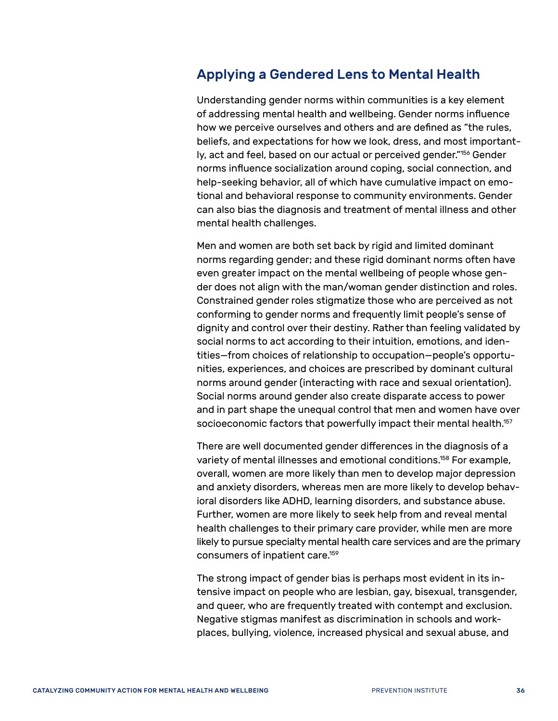#### <span id="page-39-0"></span>Applying a Gendered Lens to Mental Health

Understanding gender norms within communities is a key element of addressing mental health and wellbeing. Gender norms influence how we perceive ourselves and others and are defined as "the rules, beliefs, and expectations for how we look, dress, and most importantly, act and feel, based on our actual or perceived gender."[156](#page-66-22) Gender norms influence socialization around coping, social connection, and help-seeking behavior, all of which have cumulative impact on emotional and behavioral response to community environments. Gender can also bias the diagnosis and treatment of mental illness and other mental health challenges.

Men and women are both set back by rigid and limited dominant norms regarding gender; and these rigid dominant norms often have even greater impact on the mental wellbeing of people whose gender does not align with the man/woman gender distinction and roles. Constrained gender roles stigmatize those who are perceived as not conforming to gender norms and frequently limit people's sense of dignity and control over their destiny. Rather than feeling validated by social norms to act according to their intuition, emotions, and identities—from choices of relationship to occupation—people's opportunities, experiences, and choices are prescribed by dominant cultural norms around gender (interacting with race and sexual orientation). Social norms around gender also create disparate access to power and in part shape the unequal control that men and women have over socioeconomic factors that powerfully impact their mental health.<sup>157</sup>

There are well documented gender differences in the diagnosis of a variety of mental illnesses and emotional conditions[.158](#page-66-24) For example, overall, women are more likely than men to develop major depression and anxiety disorders, whereas men are more likely to develop behavioral disorders like ADHD, learning disorders, and substance abuse. Further, women are more likely to seek help from and reveal mental health challenges to their primary care provider, while men are more likely to pursue specialty mental health care services and are the primary consumers of inpatient care[.159](#page-66-25) 

The strong impact of gender bias is perhaps most evident in its intensive impact on people who are lesbian, gay, bisexual, transgender, and queer, who are frequently treated with contempt and exclusion. Negative stigmas manifest as discrimination in schools and workplaces, bullying, violence, increased physical and sexual abuse, and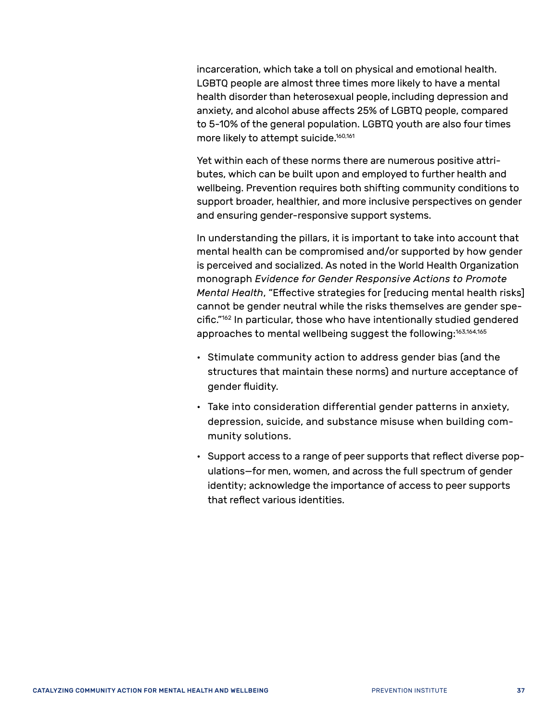incarceration, which take a toll on physical and emotional health. LGBTQ people are almost three times more likely to have a mental health disorder than heterosexual people, including depression and anxiety, and alcohol abuse affects 25% of LGBTQ people, compared to 5-10% of the general population. LGBTQ youth are also four times more likely to attempt suicide.<sup>160[,161](#page-66-27)</sup>

Yet within each of these norms there are numerous positive attributes, which can be built upon and employed to further health and wellbeing. Prevention requires both shifting community conditions to support broader, healthier, and more inclusive perspectives on gender and ensuring gender-responsive support systems.

In understanding the pillars, it is important to take into account that mental health can be compromised and/or supported by how gender is perceived and socialized. As noted in the World Health Organization monograph *Evidence for Gender Responsive Actions to Promote Mental Health*, "Effective strategies for [reducing mental health risks] cannot be gender neutral while the risks themselves are gender specific."[162](#page-66-28) In particular, those who have intentionally studied gendered approaches to mental wellbeing suggest the following:<sup>163[,164,](#page-67-0)[165](#page-67-1)</sup>

- Stimulate community action to address gender bias (and the structures that maintain these norms) and nurture acceptance of gender fluidity.
- Take into consideration differential gender patterns in anxiety, depression, suicide, and substance misuse when building community solutions.
- Support access to a range of peer supports that reflect diverse populations—for men, women, and across the full spectrum of gender identity; acknowledge the importance of access to peer supports that reflect various identities.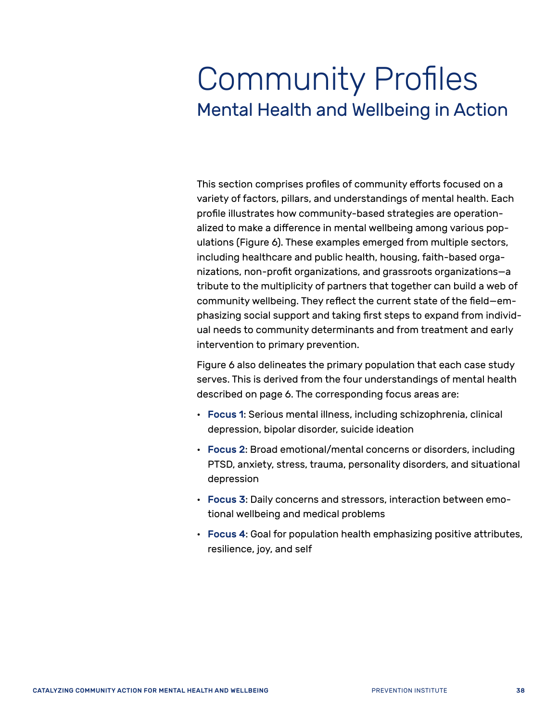## <span id="page-41-0"></span>Community Profiles Mental Health and Wellbeing in Action

This section comprises profiles of community efforts focused on a variety of factors, pillars, and understandings of mental health. Each profile illustrates how community-based strategies are operationalized to make a difference in mental wellbeing among various populations (Figure 6). These examples emerged from multiple sectors, including healthcare and public health, housing, faith-based organizations, non-profit organizations, and grassroots organizations—a tribute to the multiplicity of partners that together can build a web of community wellbeing. They reflect the current state of the field—emphasizing social support and taking first steps to expand from individual needs to community determinants and from treatment and early intervention to primary prevention.

Figure 6 also delineates the primary population that each case study serves. This is derived from the four understandings of mental health described on page 6. The corresponding focus areas are:

- Focus 1: Serious mental illness, including schizophrenia, clinical depression, bipolar disorder, suicide ideation
- Focus 2: Broad emotional/mental concerns or disorders, including PTSD, anxiety, stress, trauma, personality disorders, and situational depression
- Focus 3: Daily concerns and stressors, interaction between emotional wellbeing and medical problems
- Focus 4: Goal for population health emphasizing positive attributes, resilience, joy, and self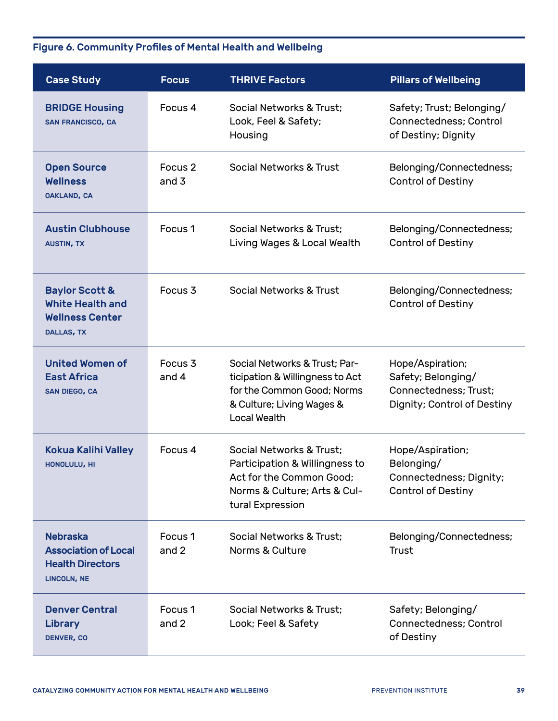#### Figure 6. Community Profiles of Mental Health and Wellbeing

| <b>Case Study</b>                                                                               | <b>Focus</b>                  | <b>THRIVE Factors</b>                                                                                                                       | <b>Pillars of Wellbeing</b>                                                                    |
|-------------------------------------------------------------------------------------------------|-------------------------------|---------------------------------------------------------------------------------------------------------------------------------------------|------------------------------------------------------------------------------------------------|
| <b>BRIDGE Housing</b><br><b>SAN FRANCISCO, CA</b>                                               | Focus 4                       | Social Networks & Trust:<br>Look, Feel & Safety;<br>Housing                                                                                 | Safety; Trust; Belonging/<br>Connectedness: Control<br>of Destiny; Dignity                     |
| <b>Open Source</b><br><b>Wellness</b><br><b>OAKLAND, CA</b>                                     | Focus <sub>2</sub><br>and $3$ | Social Networks & Trust                                                                                                                     | Belonging/Connectedness;<br><b>Control of Destiny</b>                                          |
| <b>Austin Clubhouse</b><br><b>AUSTIN, TX</b>                                                    | Focus <sub>1</sub>            | Social Networks & Trust:<br>Living Wages & Local Wealth                                                                                     | Belonging/Connectedness;<br><b>Control of Destiny</b>                                          |
| <b>Baylor Scott &amp;</b><br>White Health and<br><b>Wellness Center</b><br>DALLAS, TX           | Focus <sub>3</sub>            | Social Networks & Trust                                                                                                                     | Belonging/Connectedness;<br><b>Control of Destiny</b>                                          |
| <b>United Women of</b><br><b>East Africa</b><br><b>SAN DIEGO, CA</b>                            | Focus <sub>3</sub><br>and 4   | Social Networks & Trust; Par-<br>ticipation & Willingness to Act<br>for the Common Good; Norms<br>& Culture; Living Wages &<br>Local Wealth | Hope/Aspiration;<br>Safety; Belonging/<br>Connectedness: Trust:<br>Dignity; Control of Destiny |
| <b>Kokua Kalihi Valley</b><br><b>HONOLULU, HI</b>                                               | Focus 4                       | Social Networks & Trust:<br>Participation & Willingness to<br>Act for the Common Good:<br>Norms & Culture; Arts & Cul-<br>tural Expression  | Hope/Aspiration;<br>Belonging/<br>Connectedness; Dignity;<br><b>Control of Destiny</b>         |
| <b>Nebraska</b><br><b>Association of Local</b><br><b>Health Directors</b><br><b>LINCOLN, NE</b> | Focus <sub>1</sub><br>and 2   | Social Networks & Trust;<br>Norms & Culture                                                                                                 | Belonging/Connectedness;<br>Trust                                                              |
| <b>Denver Central</b><br><b>Library</b><br><b>DENVER, CO</b>                                    | Focus <sub>1</sub><br>and 2   | Social Networks & Trust;<br>Look; Feel & Safety                                                                                             | Safety; Belonging/<br>Connectedness; Control<br>of Destiny                                     |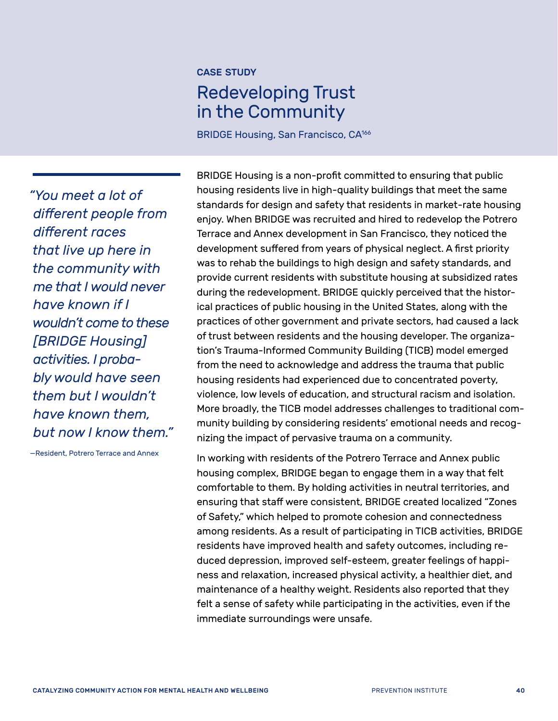## <span id="page-43-0"></span>Redeveloping Trust in the Community

BRIDGE Housing, San Francisco, CA<sup>166</sup>

*"You meet a lot of different people from different races that live up here in the community with me that I would never have known if I wouldn't come to these [BRIDGE Housing] activities. I probably would have seen them but I wouldn't have known them, but now I know them."*

—Resident, Potrero Terrace and Annex

BRIDGE Housing is a non-profit committed to ensuring that public housing residents live in high-quality buildings that meet the same standards for design and safety that residents in market-rate housing enjoy. When BRIDGE was recruited and hired to redevelop the Potrero Terrace and Annex development in San Francisco, they noticed the development suffered from years of physical neglect. A first priority was to rehab the buildings to high design and safety standards, and provide current residents with substitute housing at subsidized rates during the redevelopment. BRIDGE quickly perceived that the historical practices of public housing in the United States, along with the practices of other government and private sectors, had caused a lack of trust between residents and the housing developer. The organization's Trauma-Informed Community Building (TICB) model emerged from the need to acknowledge and address the trauma that public housing residents had experienced due to concentrated poverty, violence, low levels of education, and structural racism and isolation. More broadly, the TICB model addresses challenges to traditional community building by considering residents' emotional needs and recognizing the impact of pervasive trauma on a community.

In working with residents of the Potrero Terrace and Annex public housing complex, BRIDGE began to engage them in a way that felt comfortable to them. By holding activities in neutral territories, and ensuring that staff were consistent, BRIDGE created localized "Zones of Safety," which helped to promote cohesion and connectedness among residents. As a result of participating in TICB activities, BRIDGE residents have improved health and safety outcomes, including reduced depression, improved self-esteem, greater feelings of happiness and relaxation, increased physical activity, a healthier diet, and maintenance of a healthy weight. Residents also reported that they felt a sense of safety while participating in the activities, even if the immediate surroundings were unsafe.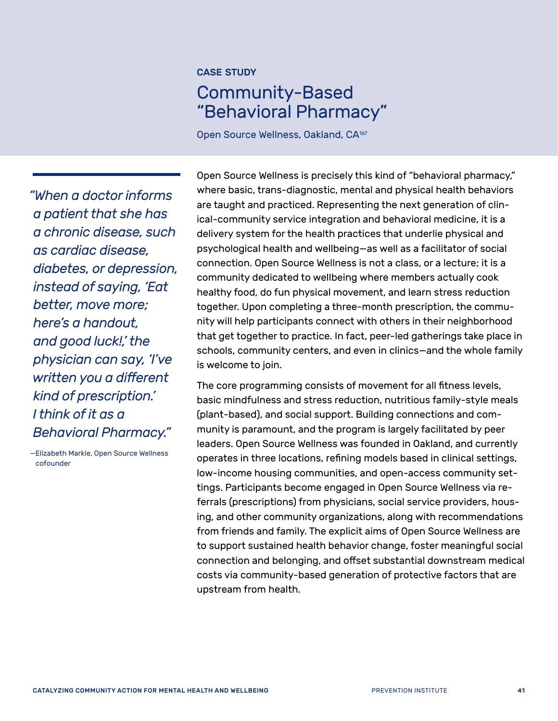## Community-Based "Behavioral Pharmacy"

Open Source Wellness, Oakland, CA<sup>[167](#page-67-3)</sup>

*"When a doctor informs a patient that she has a chronic disease, such as cardiac disease, diabetes, or depression, instead of saying, 'Eat better, move more; here's a handout, and good luck!,' the physician can say, 'I've written you a different kind of prescription.' I think of it as a Behavioral Pharmacy."* 

—Elizabeth Markle, Open Source Wellness cofounder

Open Source Wellness is precisely this kind of "behavioral pharmacy," where basic, trans-diagnostic, mental and physical health behaviors are taught and practiced. Representing the next generation of clinical-community service integration and behavioral medicine, it is a delivery system for the health practices that underlie physical and psychological health and wellbeing—as well as a facilitator of social connection. Open Source Wellness is not a class, or a lecture; it is a community dedicated to wellbeing where members actually cook healthy food, do fun physical movement, and learn stress reduction together. Upon completing a three-month prescription, the community will help participants connect with others in their neighborhood that get together to practice. In fact, peer-led gatherings take place in schools, community centers, and even in clinics—and the whole family is welcome to join.

The core programming consists of movement for all fitness levels, basic mindfulness and stress reduction, nutritious family-style meals (plant-based), and social support. Building connections and community is paramount, and the program is largely facilitated by peer leaders. Open Source Wellness was founded in Oakland, and currently operates in three locations, refining models based in clinical settings, low-income housing communities, and open-access community settings. Participants become engaged in Open Source Wellness via referrals (prescriptions) from physicians, social service providers, housing, and other community organizations, along with recommendations from friends and family. The explicit aims of Open Source Wellness are to support sustained health behavior change, foster meaningful social connection and belonging, and offset substantial downstream medical costs via community-based generation of protective factors that are upstream from health.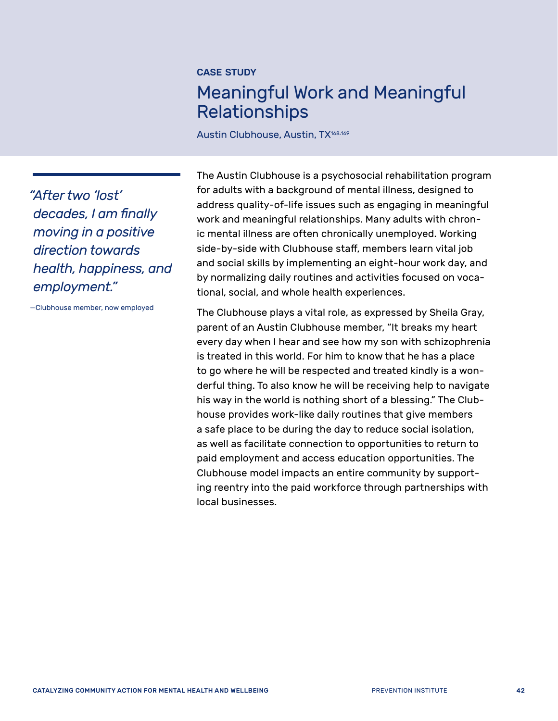## <span id="page-45-0"></span>Meaningful Work and Meaningful Relationships

Austin Clubhouse, Austin, TX<sup>168[,169](#page-67-5)</sup>

*"After two 'lost' decades, I am finally moving in a positive direction towards health, happiness, and employment."* 

—Clubhouse member, now employed

The Austin Clubhouse is a psychosocial rehabilitation program for adults with a background of mental illness, designed to address quality-of-life issues such as engaging in meaningful work and meaningful relationships. Many adults with chronic mental illness are often chronically unemployed. Working side-by-side with Clubhouse staff, members learn vital job and social skills by implementing an eight-hour work day, and by normalizing daily routines and activities focused on vocational, social, and whole health experiences.

The Clubhouse plays a vital role, as expressed by Sheila Gray, parent of an Austin Clubhouse member, "It breaks my heart every day when I hear and see how my son with schizophrenia is treated in this world. For him to know that he has a place to go where he will be respected and treated kindly is a wonderful thing. To also know he will be receiving help to navigate his way in the world is nothing short of a blessing." The Clubhouse provides work-like daily routines that give members a safe place to be during the day to reduce social isolation, as well as facilitate connection to opportunities to return to paid employment and access education opportunities. The Clubhouse model impacts an entire community by supporting reentry into the paid workforce through partnerships with local businesses.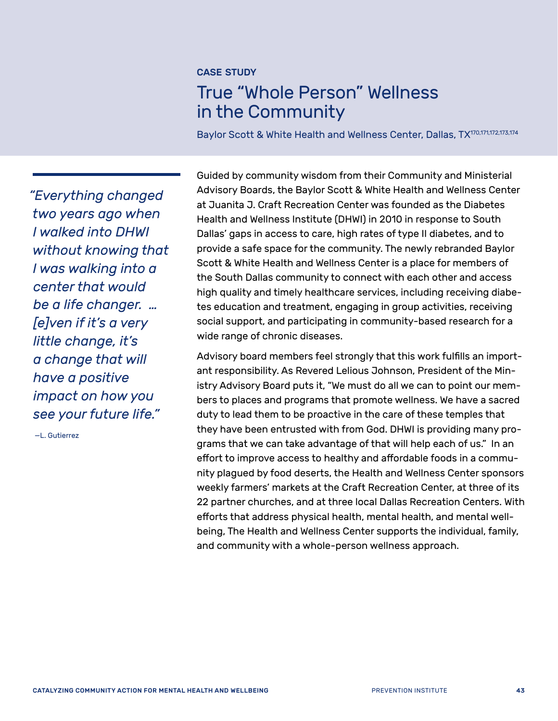## <span id="page-46-0"></span>True "Whole Person" Wellness in the Community

Baylor Scott & White Health and Wellness Center, Dallas, TX<sup>170[,171](#page-67-7)[,172](#page-67-8)[,173](#page-67-9)[,174](#page-67-10)</sup>

*"Everything changed two years ago when I walked into DHWI without knowing that I was walking into a center that would be a life changer. … [e]ven if it's a very little change, it's a change that will have a positive impact on how you see your future life."* 

—L. Gutierrez

Guided by community wisdom from their Community and Ministerial Advisory Boards, the Baylor Scott & White Health and Wellness Center at Juanita J. Craft Recreation Center was founded as the Diabetes Health and Wellness Institute (DHWI) in 2010 in response to South Dallas' gaps in access to care, high rates of type II diabetes, and to provide a safe space for the community. The newly rebranded Baylor Scott & White Health and Wellness Center is a place for members of the South Dallas community to connect with each other and access high quality and timely healthcare services, including receiving diabetes education and treatment, engaging in group activities, receiving social support, and participating in community-based research for a wide range of chronic diseases.

Advisory board members feel strongly that this work fulfills an important responsibility. As Revered Lelious Johnson, President of the Ministry Advisory Board puts it, "We must do all we can to point our members to places and programs that promote wellness. We have a sacred duty to lead them to be proactive in the care of these temples that they have been entrusted with from God. DHWI is providing many programs that we can take advantage of that will help each of us." In an effort to improve access to healthy and affordable foods in a community plagued by food deserts, the Health and Wellness Center sponsors weekly farmers' markets at the Craft Recreation Center, at three of its 22 partner churches, and at three local Dallas Recreation Centers. With efforts that address physical health, mental health, and mental wellbeing, The Health and Wellness Center supports the individual, family, and community with a whole-person wellness approach.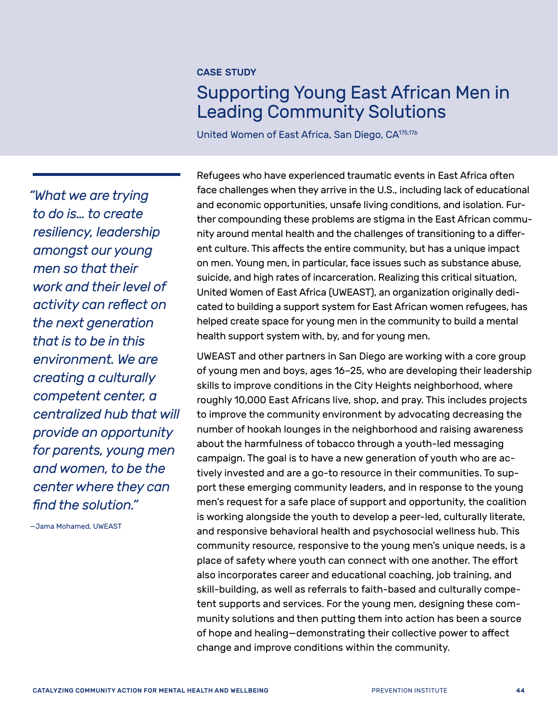## <span id="page-47-0"></span>Supporting Young East African Men in Leading Community Solutions

United Women of East Africa, San Diego, C[A175](#page-67-11)[,176](#page-67-12)

*"What we are trying to do is… to create resiliency, leadership amongst our young men so that their work and their level of activity can reflect on the next generation that is to be in this environment. We are creating a culturally competent center, a centralized hub that will provide an opportunity for parents, young men and women, to be the center where they can find the solution."* 

—Jama Mohamed, UWEAST

Refugees who have experienced traumatic events in East Africa often face challenges when they arrive in the U.S., including lack of educational and economic opportunities, unsafe living conditions, and isolation. Further compounding these problems are stigma in the East African community around mental health and the challenges of transitioning to a different culture. This affects the entire community, but has a unique impact on men. Young men, in particular, face issues such as substance abuse, suicide, and high rates of incarceration. Realizing this critical situation, United Women of East Africa (UWEAST), an organization originally dedicated to building a support system for East African women refugees, has helped create space for young men in the community to build a mental health support system with, by, and for young men.

UWEAST and other partners in San Diego are working with a core group of young men and boys, ages 16–25, who are developing their leadership skills to improve conditions in the City Heights neighborhood, where roughly 10,000 East Africans live, shop, and pray. This includes projects to improve the community environment by advocating decreasing the number of hookah lounges in the neighborhood and raising awareness about the harmfulness of tobacco through a youth-led messaging campaign. The goal is to have a new generation of youth who are actively invested and are a go-to resource in their communities. To support these emerging community leaders, and in response to the young men's request for a safe place of support and opportunity, the coalition is working alongside the youth to develop a peer-led, culturally literate, and responsive behavioral health and psychosocial wellness hub. This community resource, responsive to the young men's unique needs, is a place of safety where youth can connect with one another. The effort also incorporates career and educational coaching, job training, and skill-building, as well as referrals to faith-based and culturally competent supports and services. For the young men, designing these community solutions and then putting them into action has been a source of hope and healing—demonstrating their collective power to affect change and improve conditions within the community.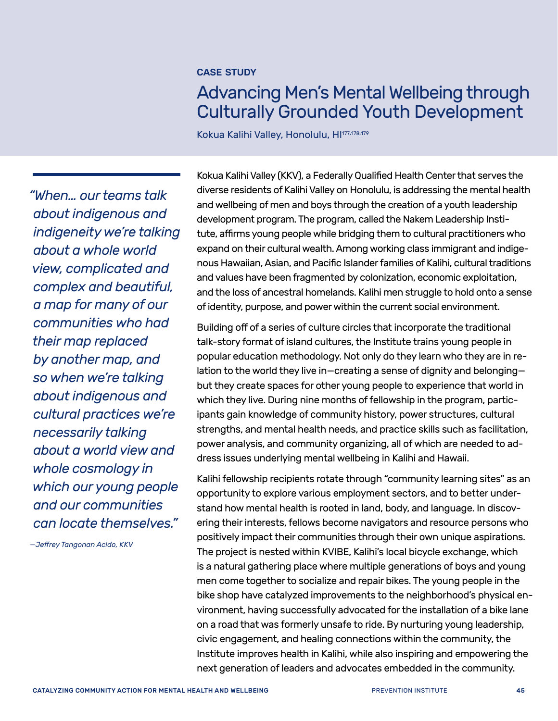## <span id="page-48-0"></span>Advancing Men's Mental Wellbeing through Culturally Grounded Youth Development

Kokua Kalihi Valley, Honolulu, H[I177,](#page-67-13)[178,](#page-67-14)[179](#page-67-15)

*"When… our teams talk about indigenous and indigeneity we're talking about a whole world view, complicated and complex and beautiful, a map for many of our communities who had their map replaced by another map, and so when we're talking about indigenous and cultural practices we're necessarily talking about a world view and whole cosmology in which our young people and our communities can locate themselves."* 

—*Jeffrey Tangonan Acido, KKV*

Kokua Kalihi Valley (KKV), a Federally Qualified Health Center that serves the diverse residents of Kalihi Valley on Honolulu, is addressing the mental health and wellbeing of men and boys through the creation of a youth leadership development program. The program, called the Nakem Leadership Institute, affirms young people while bridging them to cultural practitioners who expand on their cultural wealth. Among working class immigrant and indigenous Hawaiian, Asian, and Pacific Islander families of Kalihi, cultural traditions and values have been fragmented by colonization, economic exploitation, and the loss of ancestral homelands. Kalihi men struggle to hold onto a sense of identity, purpose, and power within the current social environment.

Building off of a series of culture circles that incorporate the traditional talk-story format of island cultures, the Institute trains young people in popular education methodology. Not only do they learn who they are in relation to the world they live in—creating a sense of dignity and belonging but they create spaces for other young people to experience that world in which they live. During nine months of fellowship in the program, participants gain knowledge of community history, power structures, cultural strengths, and mental health needs, and practice skills such as facilitation, power analysis, and community organizing, all of which are needed to address issues underlying mental wellbeing in Kalihi and Hawaii.

Kalihi fellowship recipients rotate through "community learning sites" as an opportunity to explore various employment sectors, and to better understand how mental health is rooted in land, body, and language. In discovering their interests, fellows become navigators and resource persons who positively impact their communities through their own unique aspirations. The project is nested within KVIBE, Kalihi's local bicycle exchange, which is a natural gathering place where multiple generations of boys and young men come together to socialize and repair bikes. The young people in the bike shop have catalyzed improvements to the neighborhood's physical environment, having successfully advocated for the installation of a bike lane on a road that was formerly unsafe to ride. By nurturing young leadership, civic engagement, and healing connections within the community, the Institute improves health in Kalihi, while also inspiring and empowering the next generation of leaders and advocates embedded in the community.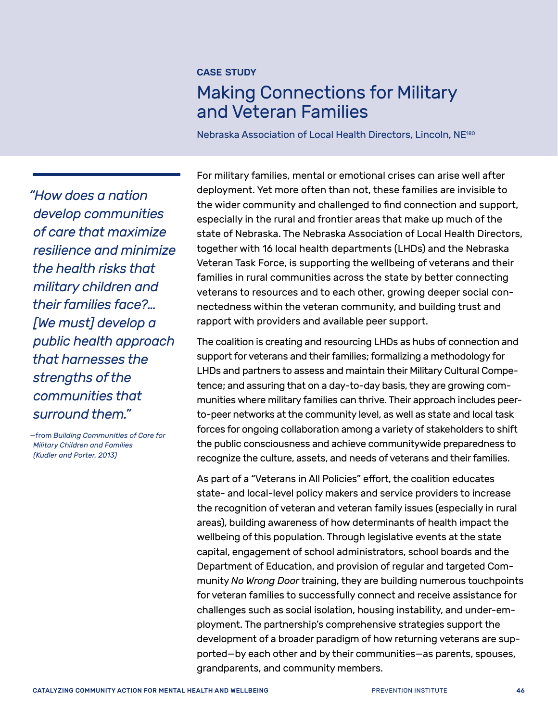## <span id="page-49-0"></span>Making Connections for Military and Veteran Families

Nebraska Association of Local Health Directors, Lincoln, NE[180](#page-67-16)

*"How does a nation develop communities of care that maximize resilience and minimize the health risks that military children and their families face?… [We must] develop a public health approach that harnesses the strengths of the communities that surround them."*

*—*from *Building Communities of Care for Military Children and Families (Kudler and Porter, 2013)*

For military families, mental or emotional crises can arise well after deployment. Yet more often than not, these families are invisible to the wider community and challenged to find connection and support, especially in the rural and frontier areas that make up much of the state of Nebraska. The Nebraska Association of Local Health Directors, together with 16 local health departments (LHDs) and the Nebraska Veteran Task Force, is supporting the wellbeing of veterans and their families in rural communities across the state by better connecting veterans to resources and to each other, growing deeper social connectedness within the veteran community, and building trust and rapport with providers and available peer support.

The coalition is creating and resourcing LHDs as hubs of connection and support for veterans and their families; formalizing a methodology for LHDs and partners to assess and maintain their Military Cultural Competence; and assuring that on a day-to-day basis, they are growing communities where military families can thrive. Their approach includes peerto-peer networks at the community level, as well as state and local task forces for ongoing collaboration among a variety of stakeholders to shift the public consciousness and achieve communitywide preparedness to recognize the culture, assets, and needs of veterans and their families.

As part of a "Veterans in All Policies" effort, the coalition educates state- and local-level policy makers and service providers to increase the recognition of veteran and veteran family issues (especially in rural areas), building awareness of how determinants of health impact the wellbeing of this population. Through legislative events at the state capital, engagement of school administrators, school boards and the Department of Education, and provision of regular and targeted Community *No Wrong Door* training, they are building numerous touchpoints for veteran families to successfully connect and receive assistance for challenges such as social isolation, housing instability, and under-employment. The partnership's comprehensive strategies support the development of a broader paradigm of how returning veterans are supported—by each other and by their communities—as parents, spouses, grandparents, and community members.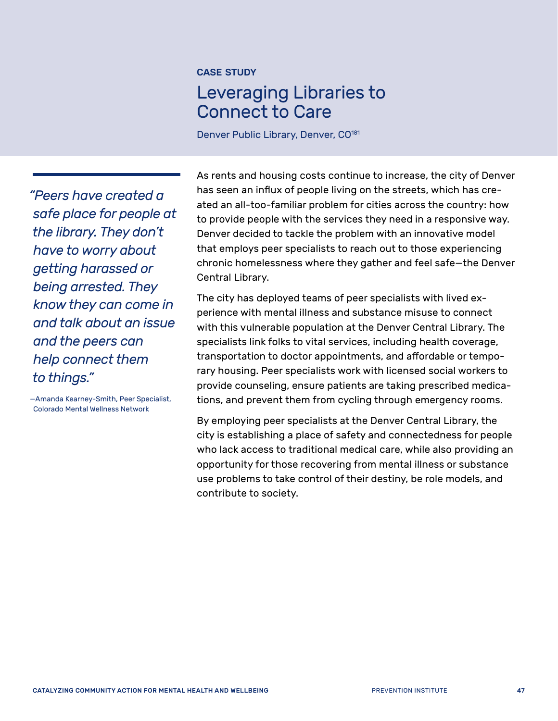## <span id="page-50-0"></span>Leveraging Libraries to Connect to Care

Denver Public Library, Denver, CO<sup>[181](#page-67-17)</sup>

*"Peers have created a safe place for people at the library. They don't have to worry about getting harassed or being arrested. They know they can come in and talk about an issue and the peers can help connect them to things."* 

—Amanda Kearney-Smith, Peer Specialist, Colorado Mental Wellness Network

As rents and housing costs continue to increase, the city of Denver has seen an influx of people living on the streets, which has created an all-too-familiar problem for cities across the country: how to provide people with the services they need in a responsive way. Denver decided to tackle the problem with an innovative model that employs peer specialists to reach out to those experiencing chronic homelessness where they gather and feel safe—the Denver Central Library.

The city has deployed teams of peer specialists with lived experience with mental illness and substance misuse to connect with this vulnerable population at the Denver Central Library. The specialists link folks to vital services, including health coverage, transportation to doctor appointments, and affordable or temporary housing. Peer specialists work with licensed social workers to provide counseling, ensure patients are taking prescribed medications, and prevent them from cycling through emergency rooms.

By employing peer specialists at the Denver Central Library, the city is establishing a place of safety and connectedness for people who lack access to traditional medical care, while also providing an opportunity for those recovering from mental illness or substance use problems to take control of their destiny, be role models, and contribute to society.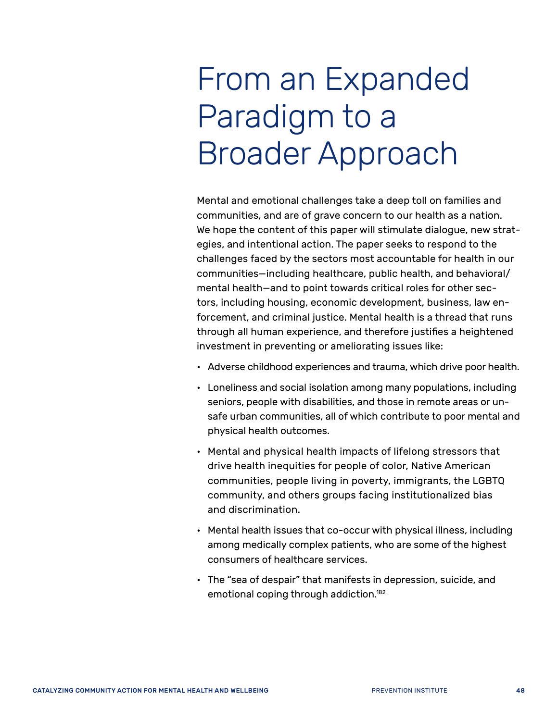# <span id="page-51-0"></span>From an Expanded Paradigm to a Broader Approach

Mental and emotional challenges take a deep toll on families and communities, and are of grave concern to our health as a nation. We hope the content of this paper will stimulate dialogue, new strategies, and intentional action. The paper seeks to respond to the challenges faced by the sectors most accountable for health in our communities—including healthcare, public health, and behavioral/ mental health—and to point towards critical roles for other sectors, including housing, economic development, business, law enforcement, and criminal justice. Mental health is a thread that runs through all human experience, and therefore justifies a heightened investment in preventing or ameliorating issues like:

- Adverse childhood experiences and trauma, which drive poor health.
- Loneliness and social isolation among many populations, including seniors, people with disabilities, and those in remote areas or unsafe urban communities, all of which contribute to poor mental and physical health outcomes.
- Mental and physical health impacts of lifelong stressors that drive health inequities for people of color, Native American communities, people living in poverty, immigrants, the LGBTQ community, and others groups facing institutionalized bias and discrimination.
- Mental health issues that co-occur with physical illness, including among medically complex patients, who are some of the highest consumers of healthcare services.
- The "sea of despair" that manifests in depression, suicide, and emotional coping through addiction[.182](#page-67-18)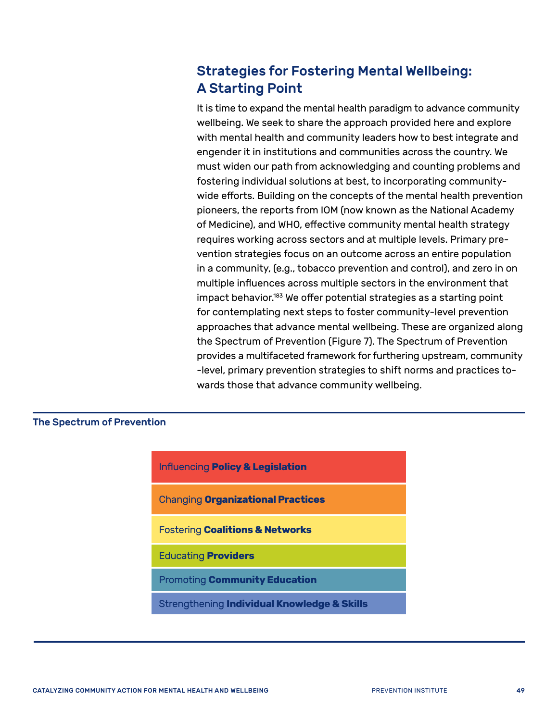## <span id="page-52-0"></span>Strategies for Fostering Mental Wellbeing: A Starting Point

It is time to expand the mental health paradigm to advance community wellbeing. We seek to share the approach provided here and explore with mental health and community leaders how to best integrate and engender it in institutions and communities across the country. We must widen our path from acknowledging and counting problems and fostering individual solutions at best, to incorporating communitywide efforts. Building on the concepts of the mental health prevention pioneers, the reports from IOM (now known as the National Academy of Medicine), and WHO, effective community mental health strategy requires working across sectors and at multiple levels. Primary prevention strategies focus on an outcome across an entire population in a community, (e.g., tobacco prevention and control), and zero in on multiple influences across multiple sectors in the environment that impact behavior.<sup>183</sup> We offer potential strategies as a starting point for contemplating next steps to foster community-level prevention approaches that advance mental wellbeing. These are organized along the Spectrum of Prevention (Figure 7). The Spectrum of Prevention provides a multifaceted framework for furthering upstream, community -level, primary prevention strategies to shift norms and practices towards those that advance community wellbeing.

#### The Spectrum of Prevention

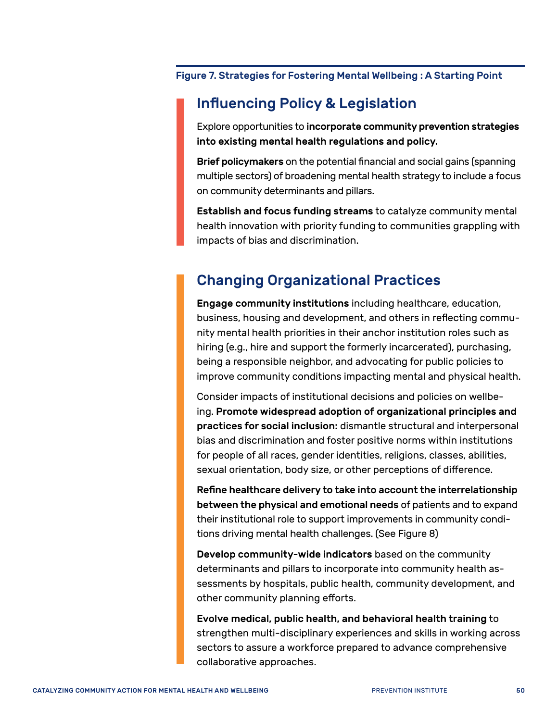Figure 7. Strategies for Fostering Mental Wellbeing : A Starting Point

### Influencing Policy & Legislation

Explore opportunities to incorporate community prevention strategies into existing mental health regulations and policy.

Brief policymakers on the potential financial and social gains (spanning multiple sectors) of broadening mental health strategy to include a focus on community determinants and pillars.

Establish and focus funding streams to catalyze community mental health innovation with priority funding to communities grappling with impacts of bias and discrimination.

## Changing Organizational Practices

Engage community institutions including healthcare, education, business, housing and development, and others in reflecting community mental health priorities in their anchor institution roles such as hiring (e.g., hire and support the formerly incarcerated), purchasing, being a responsible neighbor, and advocating for public policies to improve community conditions impacting mental and physical health.

Consider impacts of institutional decisions and policies on wellbeing. Promote widespread adoption of organizational principles and practices for social inclusion: dismantle structural and interpersonal bias and discrimination and foster positive norms within institutions for people of all races, gender identities, religions, classes, abilities, sexual orientation, body size, or other perceptions of difference.

Refine healthcare delivery to take into account the interrelationship between the physical and emotional needs of patients and to expand their institutional role to support improvements in community conditions driving mental health challenges. (See Figure 8)

Develop community-wide indicators based on the community determinants and pillars to incorporate into community health assessments by hospitals, public health, community development, and other community planning efforts.

Evolve medical, public health, and behavioral health training to strengthen multi-disciplinary experiences and skills in working across sectors to assure a workforce prepared to advance comprehensive collaborative approaches.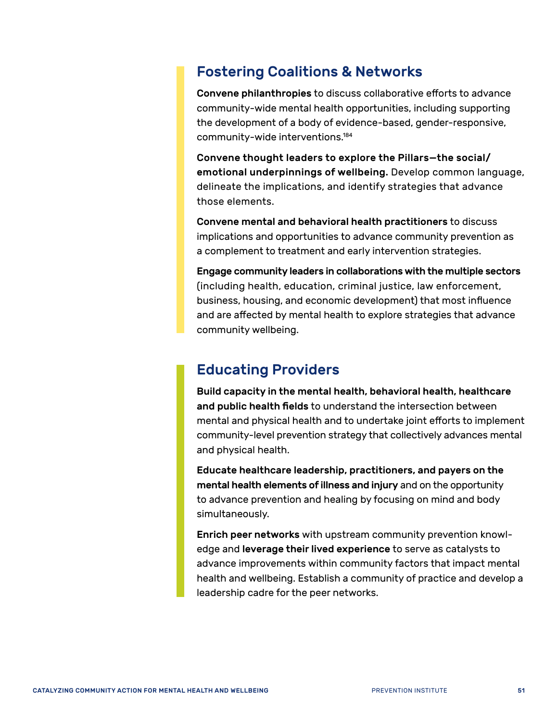#### Fostering Coalitions & Networks

Convene philanthropies to discuss collaborative efforts to advance community-wide mental health opportunities, including supporting the development of a body of evidence-based, gender-responsive, community-wide interventions[.184](#page-67-20)

Convene thought leaders to explore the Pillars—the social/ emotional underpinnings of wellbeing. Develop common language, delineate the implications, and identify strategies that advance those elements.

Convene mental and behavioral health practitioners to discuss implications and opportunities to advance community prevention as a complement to treatment and early intervention strategies.

Engage community leaders in collaborations with the multiple sectors (including health, education, criminal justice, law enforcement, business, housing, and economic development) that most influence and are affected by mental health to explore strategies that advance community wellbeing.

#### Educating Providers

Build capacity in the mental health, behavioral health, healthcare and public health fields to understand the intersection between mental and physical health and to undertake joint efforts to implement community-level prevention strategy that collectively advances mental and physical health.

Educate healthcare leadership, practitioners, and payers on the mental health elements of illness and injury and on the opportunity to advance prevention and healing by focusing on mind and body simultaneously.

Enrich peer networks with upstream community prevention knowledge and leverage their lived experience to serve as catalysts to advance improvements within community factors that impact mental health and wellbeing. Establish a community of practice and develop a leadership cadre for the peer networks.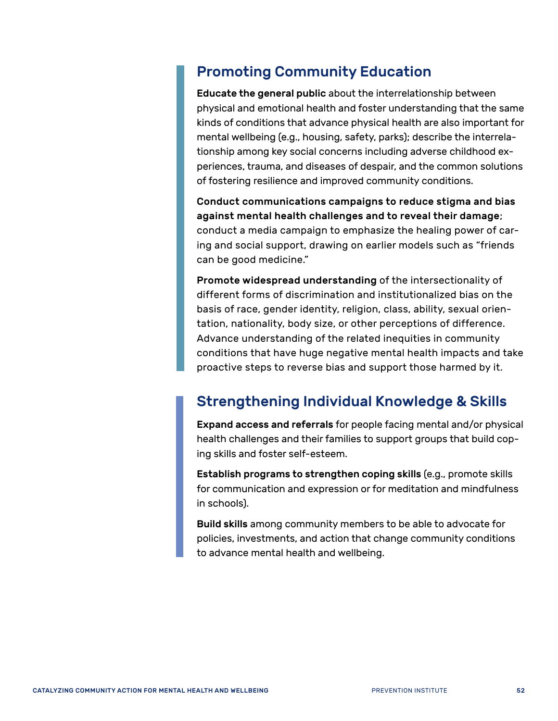## Promoting Community Education

Educate the general public about the interrelationship between physical and emotional health and foster understanding that the same kinds of conditions that advance physical health are also important for mental wellbeing (e.g., housing, safety, parks); describe the interrelationship among key social concerns including adverse childhood experiences, trauma, and diseases of despair, and the common solutions of fostering resilience and improved community conditions.

Conduct communications campaigns to reduce stigma and bias against mental health challenges and to reveal their damage; conduct a media campaign to emphasize the healing power of caring and social support, drawing on earlier models such as "friends can be good medicine."

Promote widespread understanding of the intersectionality of different forms of discrimination and institutionalized bias on the basis of race, gender identity, religion, class, ability, sexual orientation, nationality, body size, or other perceptions of difference. Advance understanding of the related inequities in community conditions that have huge negative mental health impacts and take proactive steps to reverse bias and support those harmed by it.

## Strengthening Individual Knowledge & Skills

Expand access and referrals for people facing mental and/or physical health challenges and their families to support groups that build coping skills and foster self-esteem.

Establish programs to strengthen coping skills (e.g., promote skills for communication and expression or for meditation and mindfulness in schools).

Build skills among community members to be able to advocate for policies, investments, and action that change community conditions to advance mental health and wellbeing.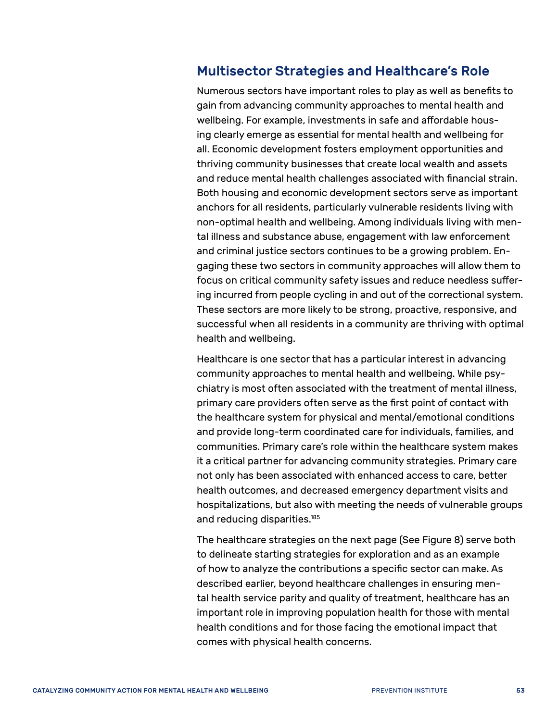#### <span id="page-56-0"></span>Multisector Strategies and Healthcare's Role

Numerous sectors have important roles to play as well as benefits to gain from advancing community approaches to mental health and wellbeing. For example, investments in safe and affordable housing clearly emerge as essential for mental health and wellbeing for all. Economic development fosters employment opportunities and thriving community businesses that create local wealth and assets and reduce mental health challenges associated with financial strain. Both housing and economic development sectors serve as important anchors for all residents, particularly vulnerable residents living with non-optimal health and wellbeing. Among individuals living with mental illness and substance abuse, engagement with law enforcement and criminal justice sectors continues to be a growing problem. Engaging these two sectors in community approaches will allow them to focus on critical community safety issues and reduce needless suffering incurred from people cycling in and out of the correctional system. These sectors are more likely to be strong, proactive, responsive, and successful when all residents in a community are thriving with optimal health and wellbeing.

Healthcare is one sector that has a particular interest in advancing community approaches to mental health and wellbeing. While psychiatry is most often associated with the treatment of mental illness, primary care providers often serve as the first point of contact with the healthcare system for physical and mental/emotional conditions and provide long-term coordinated care for individuals, families, and communities. Primary care's role within the healthcare system makes it a critical partner for advancing community strategies. Primary care not only has been associated with enhanced access to care, better health outcomes, and decreased emergency department visits and hospitalizations, but also with meeting the needs of vulnerable groups and reducing disparities[.185](#page-67-21)

The healthcare strategies on the next page (See Figure 8) serve both to delineate starting strategies for exploration and as an example of how to analyze the contributions a specific sector can make. As described earlier, beyond healthcare challenges in ensuring mental health service parity and quality of treatment, healthcare has an important role in improving population health for those with mental health conditions and for those facing the emotional impact that comes with physical health concerns.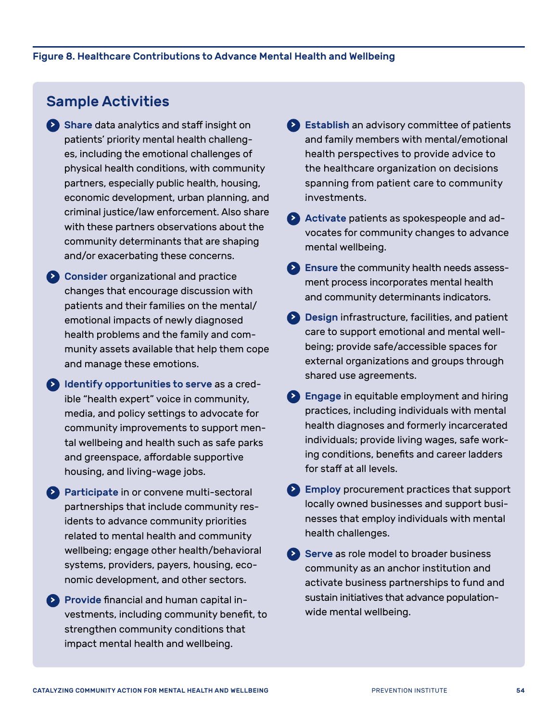### Sample Activities

- **<sup>&</sup>gt;** Share data analytics and staff insight on patients' priority mental health challenges, including the emotional challenges of physical health conditions, with community partners, especially public health, housing, economic development, urban planning, and criminal justice/law enforcement. Also share with these partners observations about the community determinants that are shaping and/or exacerbating these concerns.
- **<sup>&</sup>gt;** Consider organizational and practice changes that encourage discussion with patients and their families on the mental/ emotional impacts of newly diagnosed health problems and the family and community assets available that help them cope and manage these emotions.
- **<sup>&</sup>gt;** Identify opportunities to serve as a credible "health expert" voice in community, media, and policy settings to advocate for community improvements to support mental wellbeing and health such as safe parks and greenspace, affordable supportive housing, and living-wage jobs.
- **<sup>&</sup>gt;** Participate in or convene multi-sectoral partnerships that include community residents to advance community priorities related to mental health and community wellbeing; engage other health/behavioral systems, providers, payers, housing, economic development, and other sectors.
- **<sup>&</sup>gt;** Provide financial and human capital investments, including community benefit, to strengthen community conditions that impact mental health and wellbeing.
- **<sup>&</sup>gt;** Establish an advisory committee of patients and family members with mental/emotional health perspectives to provide advice to the healthcare organization on decisions spanning from patient care to community investments.
- **<sup>&</sup>gt;** Activate patients as spokespeople and advocates for community changes to advance mental wellbeing.
- **<sup>&</sup>gt;** Ensure the community health needs assessment process incorporates mental health and community determinants indicators.
- **<sup>&</sup>gt;** Design infrastructure, facilities, and patient care to support emotional and mental wellbeing; provide safe/accessible spaces for external organizations and groups through shared use agreements.
- **<sup>&</sup>gt;** Engage in equitable employment and hiring practices, including individuals with mental health diagnoses and formerly incarcerated individuals; provide living wages, safe working conditions, benefits and career ladders for staff at all levels.
- **<sup>&</sup>gt;** Employ procurement practices that support locally owned businesses and support businesses that employ individuals with mental health challenges.
- **<sup>&</sup>gt;** Serve as role model to broader business community as an anchor institution and activate business partnerships to fund and sustain initiatives that advance populationwide mental wellbeing.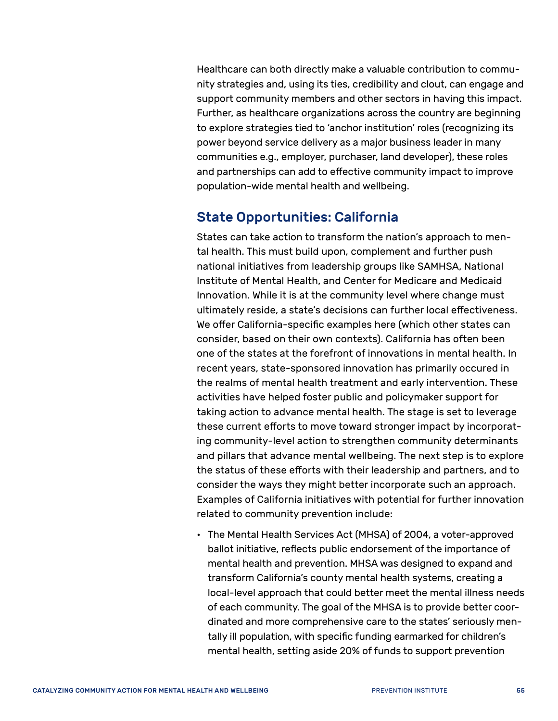Healthcare can both directly make a valuable contribution to community strategies and, using its ties, credibility and clout, can engage and support community members and other sectors in having this impact. Further, as healthcare organizations across the country are beginning to explore strategies tied to 'anchor institution' roles (recognizing its power beyond service delivery as a major business leader in many communities e.g., employer, purchaser, land developer), these roles and partnerships can add to effective community impact to improve population-wide mental health and wellbeing.

#### <span id="page-58-0"></span>State Opportunities: California

States can take action to transform the nation's approach to mental health. This must build upon, complement and further push national initiatives from leadership groups like SAMHSA, National Institute of Mental Health, and Center for Medicare and Medicaid Innovation. While it is at the community level where change must ultimately reside, a state's decisions can further local effectiveness. We offer California-specific examples here (which other states can consider, based on their own contexts). California has often been one of the states at the forefront of innovations in mental health. In recent years, state-sponsored innovation has primarily occured in the realms of mental health treatment and early intervention. These activities have helped foster public and policymaker support for taking action to advance mental health. The stage is set to leverage these current efforts to move toward stronger impact by incorporating community-level action to strengthen community determinants and pillars that advance mental wellbeing. The next step is to explore the status of these efforts with their leadership and partners, and to consider the ways they might better incorporate such an approach. Examples of California initiatives with potential for further innovation related to community prevention include:

• The Mental Health Services Act (MHSA) of 2004, a voter-approved ballot initiative, reflects public endorsement of the importance of mental health and prevention. MHSA was designed to expand and transform California's county mental health systems, creating a local-level approach that could better meet the mental illness needs of each community. The goal of the MHSA is to provide better coordinated and more comprehensive care to the states' seriously mentally ill population, with specific funding earmarked for children's mental health, setting aside 20% of funds to support prevention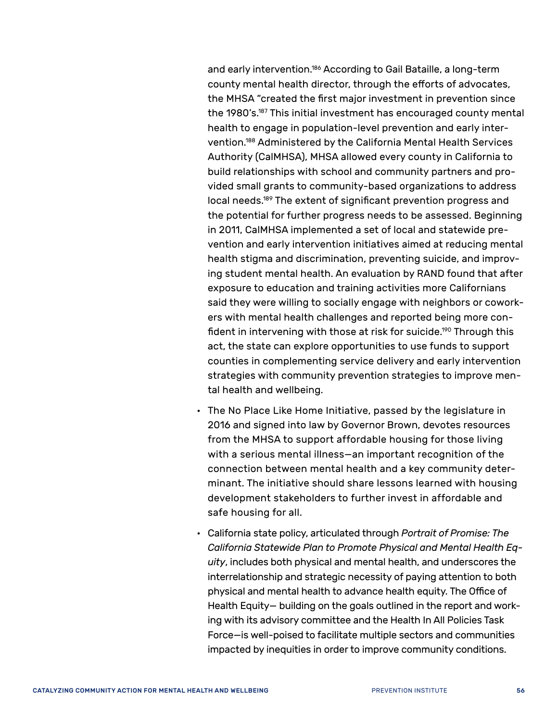and early intervention.<sup>186</sup> According to Gail Bataille, a long-term county mental health director, through the efforts of advocates, the MHSA "created the first major investment in prevention since the 1980's[.187](#page-67-23) This initial investment has encouraged county mental health to engage in population-level prevention and early intervention[.188](#page-67-24) Administered by the California Mental Health Services Authority (CalMHSA), MHSA allowed every county in California to build relationships with school and community partners and provided small grants to community-based organizations to address local needs.<sup>189</sup> The extent of significant prevention progress and the potential for further progress needs to be assessed. Beginning in 2011, CalMHSA implemented a set of local and statewide prevention and early intervention initiatives aimed at reducing mental health stigma and discrimination, preventing suicide, and improving student mental health. An evaluation by RAND found that after exposure to education and training activities more Californians said they were willing to socially engage with neighbors or coworkers with mental health challenges and reported being more confident in intervening with those at risk for suicide.<sup>190</sup> Through this act, the state can explore opportunities to use funds to support counties in complementing service delivery and early intervention strategies with community prevention strategies to improve mental health and wellbeing.

- The No Place Like Home Initiative, passed by the legislature in 2016 and signed into law by Governor Brown, devotes resources from the MHSA to support affordable housing for those living with a serious mental illness—an important recognition of the connection between mental health and a key community determinant. The initiative should share lessons learned with housing development stakeholders to further invest in affordable and safe housing for all.
- California state policy, articulated through *Portrait of Promise: The California Statewide Plan to Promote Physical and Mental Health Equity*, includes both physical and mental health, and underscores the interrelationship and strategic necessity of paying attention to both physical and mental health to advance health equity. The Office of Health Equity— building on the goals outlined in the report and working with its advisory committee and the Health In All Policies Task Force—is well-poised to facilitate multiple sectors and communities impacted by inequities in order to improve community conditions.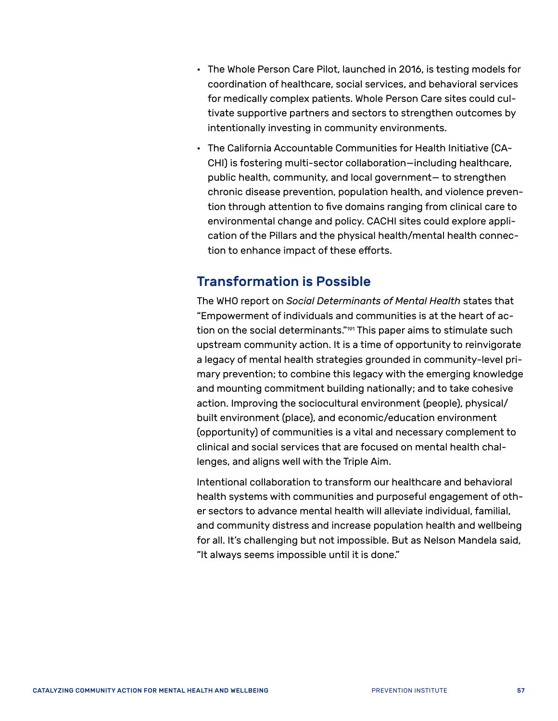- The Whole Person Care Pilot, launched in 2016, is testing models for coordination of healthcare, social services, and behavioral services for medically complex patients. Whole Person Care sites could cultivate supportive partners and sectors to strengthen outcomes by intentionally investing in community environments.
- The California Accountable Communities for Health Initiative (CA-CHI) is fostering multi-sector collaboration—including healthcare, public health, community, and local government— to strengthen chronic disease prevention, population health, and violence prevention through attention to five domains ranging from clinical care to environmental change and policy. CACHI sites could explore application of the Pillars and the physical health/mental health connection to enhance impact of these efforts.

#### <span id="page-60-0"></span>Transformation is Possible

The WHO report on *Social Determinants of Mental Health* states that "Empowerment of individuals and communities is at the heart of action on the social determinants.["191](#page-67-27) This paper aims to stimulate such upstream community action. It is a time of opportunity to reinvigorate a legacy of mental health strategies grounded in community-level primary prevention; to combine this legacy with the emerging knowledge and mounting commitment building nationally; and to take cohesive action. Improving the sociocultural environment (people), physical/ built environment (place), and economic/education environment (opportunity) of communities is a vital and necessary complement to clinical and social services that are focused on mental health challenges, and aligns well with the Triple Aim.

Intentional collaboration to transform our healthcare and behavioral health systems with communities and purposeful engagement of other sectors to advance mental health will alleviate individual, familial, and community distress and increase population health and wellbeing for all. It's challenging but not impossible. But as Nelson Mandela said, "It always seems impossible until it is done."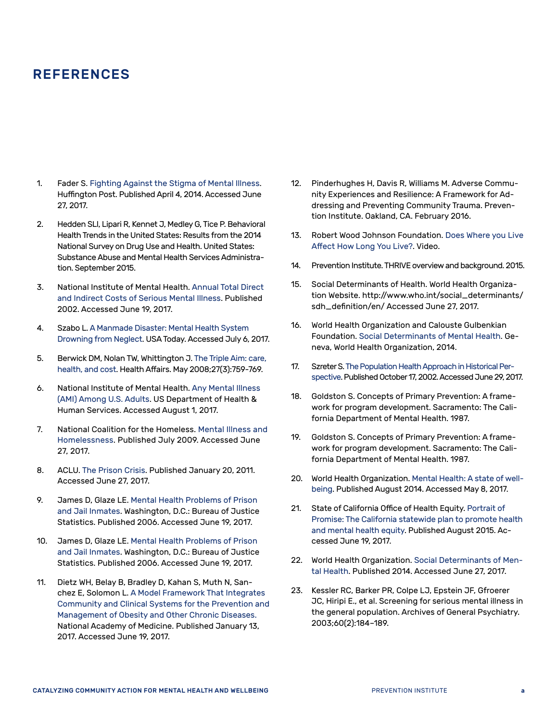#### REFERENCES

- <span id="page-61-0"></span>1. Fader S. [Fighting Against the Stigma of Mental Illness.](http://www.huffingtonpost.com/sarah-fader/stigma-mental-illness_b_4680835.html) Huffington Post. Published April 4, 2014. Accessed June 27, 2017.
- <span id="page-61-1"></span>2. Hedden SLl, Lipari R, Kennet J, Medley G, Tice P. Behavioral Health Trends in the United States: Results from the 2014 National Survey on Drug Use and Health. United States: Substance Abuse and Mental Health Services Administration. September 2015.
- <span id="page-61-2"></span>3. National Institute of Mental Health. [Annual Total Direct](https://www.nimh.nih.gov/health/statistics/cost/index.shtml)  [and Indirect Costs of Serious Mental Illness](https://www.nimh.nih.gov/health/statistics/cost/index.shtml). Published 2002. Accessed June 19, 2017.
- <span id="page-61-3"></span>4. Szabo L. [A Manmade Disaster: Mental Health System](https://www.usatoday.com/story/news/nation/2014/05/12/mental-health-system-crisis/7746535/)  [Drowning from Neglect](https://www.usatoday.com/story/news/nation/2014/05/12/mental-health-system-crisis/7746535/). USA Today. Accessed July 6, 2017.
- <span id="page-61-4"></span>5. Berwick DM, Nolan TW, Whittington J. [The Triple Aim: care,](https://www.ncbi.nlm.nih.gov/pubmed/18474969?ordinalpos=7&itool=EntrezSystem2.PEntrez.Pubmed.Pubmed_ResultsPanel.Pubmed_DefaultReportPanel.Pubmed_RVDocSum)  [health, and cost](https://www.ncbi.nlm.nih.gov/pubmed/18474969?ordinalpos=7&itool=EntrezSystem2.PEntrez.Pubmed.Pubmed_ResultsPanel.Pubmed_DefaultReportPanel.Pubmed_RVDocSum). Health Affairs. May 2008;27(3):759-769.
- <span id="page-61-5"></span>6. National Institute of Mental Health. [Any Mental Illness](https://www.nimh.nih.gov/health/statistics/prevalence/any-mental-illness-ami-among-us-adults.shtml)  [\(AMI\) Among U.S. Adults](https://www.nimh.nih.gov/health/statistics/prevalence/any-mental-illness-ami-among-us-adults.shtml). US Department of Health & Human Services. Accessed August 1, 2017.
- <span id="page-61-6"></span>7. National Coalition for the Homeless. [Mental Illness and](http://nationalhomeless.org/wp-content/uploads/2014/06/Mental_Illness-Fact-Sheet.pdf)  [Homelessness.](http://nationalhomeless.org/wp-content/uploads/2014/06/Mental_Illness-Fact-Sheet.pdf) Published July 2009. Accessed June 27, 2017.
- <span id="page-61-7"></span>8. ACLU. [The Prison Crisis](https://www.aclu.org/prison-crisis). Published January 20, 2011. Accessed June 27, 2017.
- <span id="page-61-8"></span>9. James D, Glaze LE. [Mental Health Problems of Prison](http://bjs.gov/content/pub/pdf/mhppji.pdf)  [and Jail Inmates.](http://bjs.gov/content/pub/pdf/mhppji.pdf) Washington, D.C.: Bureau of Justice Statistics. Published 2006. Accessed June 19, 2017.
- <span id="page-61-9"></span>10. James D, Glaze LE. [Mental Health Problems of Prison](http://bjs.gov/content/pub/pdf/mhppji.pdf)  [and Jail Inmates.](http://bjs.gov/content/pub/pdf/mhppji.pdf) Washington, D.C.: Bureau of Justice Statistics. Published 2006. Accessed June 19, 2017.
- <span id="page-61-10"></span>11. Dietz WH, Belay B, Bradley D, Kahan S, Muth N, Sanchez E, Solomon L. [A Model Framework That Integrates](https://nam.edu/wp-content/uploads/2017/01/A-Model-Framework-That-Integrates-Community-and-Clinical-Systems-for-the-Prevention-and-Management-of-Obesity-and-Other-Chronic-Diseases.pdf)  [Community and Clinical Systems for the Prevention and](https://nam.edu/wp-content/uploads/2017/01/A-Model-Framework-That-Integrates-Community-and-Clinical-Systems-for-the-Prevention-and-Management-of-Obesity-and-Other-Chronic-Diseases.pdf)  [Management of Obesity and Other Chronic Diseases.](https://nam.edu/wp-content/uploads/2017/01/A-Model-Framework-That-Integrates-Community-and-Clinical-Systems-for-the-Prevention-and-Management-of-Obesity-and-Other-Chronic-Diseases.pdf) National Academy of Medicine. Published January 13, 2017. Accessed June 19, 2017.
- <span id="page-61-11"></span>12. Pinderhughes H, Davis R, Williams M. Adverse Community Experiences and Resilience: A Framework for Addressing and Preventing Community Trauma. Prevention Institute. Oakland, CA. February 2016.
- <span id="page-61-12"></span>13. Robert Wood Johnson Foundation. [Does Where you Live](http://www.rwjf.org/en/library/interactives/whereyouliveaffectshowlongyoulive.html)  [Affect How Long You Live?](http://www.rwjf.org/en/library/interactives/whereyouliveaffectshowlongyoulive.html). Video.
- <span id="page-61-13"></span>14. Prevention Institute. THRIVE overview and background. 2015.
- <span id="page-61-14"></span>15. Social Determinants of Health. World Health Organization Website. http://www.who.int/social\_determinants/ sdh\_definition/en/ Accessed June 27, 2017.
- <span id="page-61-15"></span>16. World Health Organization and Calouste Gulbenkian Foundation. [Social Determinants of Mental Health.](http://apps.who.int/iris/bitstream/10665/112828/1/9789241506809_eng.pdf) Geneva, World Health Organization, 2014.
- <span id="page-61-16"></span>17. Szreter S. [The Population Health Approach in Historical Per](https://www.ncbi.nlm.nih.gov/pmc/articles/PMC1449802/)[spective](https://www.ncbi.nlm.nih.gov/pmc/articles/PMC1449802/). Published October 17, 2002. Accessed June 29, 2017.
- <span id="page-61-17"></span>18. Goldston S. Concepts of Primary Prevention: A framework for program development. Sacramento: The California Department of Mental Health. 1987.
- <span id="page-61-18"></span>19. Goldston S. Concepts of Primary Prevention: A framework for program development. Sacramento: The California Department of Mental Health. 1987.
- <span id="page-61-19"></span>20. World Health Organization. [Mental Health: A state of well](http://www.who.int/features/factfiles/mental_health/en/)[being.](http://www.who.int/features/factfiles/mental_health/en/) Published August 2014. Accessed May 8, 2017.
- <span id="page-61-20"></span>21. State of California Office of Health Equity. [Portrait of](https://www.cdph.ca.gov/Programs/OHE/CDPH%20Document%20Library/Accessible-CDPH_OHE_Disparity_Report_Final%20(2).pdf)  [Promise: The California statewide plan to promote health](https://www.cdph.ca.gov/Programs/OHE/CDPH%20Document%20Library/Accessible-CDPH_OHE_Disparity_Report_Final%20(2).pdf)  [and mental health equity.](https://www.cdph.ca.gov/Programs/OHE/CDPH%20Document%20Library/Accessible-CDPH_OHE_Disparity_Report_Final%20(2).pdf) Published August 2015. Accessed June 19, 2017.
- <span id="page-61-21"></span>22. World Health Organization. [Social Determinants of Men](http://apps.who.int/iris/bitstream/10665/112828/1/9789241506809_eng.pdf)[tal Health](http://apps.who.int/iris/bitstream/10665/112828/1/9789241506809_eng.pdf). Published 2014. Accessed June 27, 2017.
- <span id="page-61-22"></span>23. Kessler RC, Barker PR, Colpe LJ, Epstein JF, Gfroerer JC, Hiripi E., et al. Screening for serious mental illness in the general population. Archives of General Psychiatry. 2003;60(2):184–189.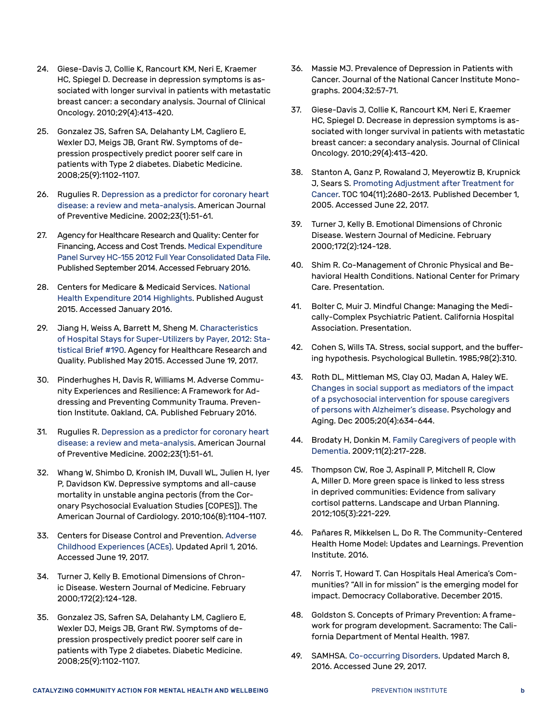- <span id="page-62-0"></span>24. Giese-Davis J, Collie K, Rancourt KM, Neri E, Kraemer HC, Spiegel D. Decrease in depression symptoms is associated with longer survival in patients with metastatic breast cancer: a secondary analysis. Journal of Clinical Oncology. 2010;29(4):413-420.
- <span id="page-62-1"></span>25. Gonzalez JS, Safren SA, Delahanty LM, Cagliero E, Wexler DJ, Meigs JB, Grant RW. Symptoms of depression prospectively predict poorer self care in patients with Type 2 diabetes. Diabetic Medicine. 2008;25(9):1102-1107.
- <span id="page-62-2"></span>26. Rugulies R. Depression as a predictor for coronary heart disease: a review and meta-analysis. American Journal of Preventive Medicine. 2002;23(1):51-61.
- <span id="page-62-3"></span>27. Agency for Healthcare Research and Quality: Center for Financing, Access and Cost Trends. [Medical Expenditure](http://meps.ahrq.gov/mepsweb/data_stats/download_data/pufs/h155/h155doc.pdf)  [Panel Survey HC-155 2012 Full Year Consolidated Data File.](http://meps.ahrq.gov/mepsweb/data_stats/download_data/pufs/h155/h155doc.pdf) Published September 2014. Accessed February 2016.
- <span id="page-62-4"></span>28. Centers for Medicare & Medicaid Services. [National](https://www.cms.gov/Research-Statistics-Data-and-Systems/Statistics-Trends-and-Reports/NationalHealthExpendData/Downloads/highlights.pdf)  [Health Expenditure 2014 Highlights](https://www.cms.gov/Research-Statistics-Data-and-Systems/Statistics-Trends-and-Reports/NationalHealthExpendData/Downloads/highlights.pdf). Published August 2015. Accessed January 2016.
- <span id="page-62-5"></span>29. Jiang H, Weiss A, Barrett M, Sheng M. [Characteristics](https://www.hcup-us.ahrq.gov/reports/statbriefs/sb190-Hospital-Stays-Super-Utilizers-Payer-2012.pdf)  [of Hospital Stays for Super-Utilizers by Payer, 2012: Sta](https://www.hcup-us.ahrq.gov/reports/statbriefs/sb190-Hospital-Stays-Super-Utilizers-Payer-2012.pdf)[tistical Brief #190](https://www.hcup-us.ahrq.gov/reports/statbriefs/sb190-Hospital-Stays-Super-Utilizers-Payer-2012.pdf). Agency for Healthcare Research and Quality. Published May 2015. Accessed June 19, 2017.
- <span id="page-62-6"></span>30. Pinderhughes H, Davis R, Williams M. Adverse Community Experiences and Resilience: A Framework for Addressing and Preventing Community Trauma. Prevention Institute. Oakland, CA. Published February 2016.
- <span id="page-62-7"></span>31. Rugulies R. Depression as a predictor for coronary heart disease: a review and meta-analysis. American Journal of Preventive Medicine. 2002;23(1):51-61.
- <span id="page-62-8"></span>32. Whang W, Shimbo D, Kronish IM, Duvall WL, Julien H, Iyer P, Davidson KW. Depressive symptoms and all-cause mortality in unstable angina pectoris (from the Coronary Psychosocial Evaluation Studies [COPES]). The American Journal of Cardiology. 2010;106(8):1104-1107.
- <span id="page-62-9"></span>33. Centers for Disease Control and Prevention. [Adverse](https://www.cdc.gov/violenceprevention/acestudy/)  [Childhood Experiences \(ACEs\)](https://www.cdc.gov/violenceprevention/acestudy/). Updated April 1, 2016. Accessed June 19, 2017.
- <span id="page-62-10"></span>34. Turner J, Kelly B. Emotional Dimensions of Chronic Disease. Western Journal of Medicine. February 2000;172(2):124-128.
- <span id="page-62-11"></span>35. Gonzalez JS, Safren SA, Delahanty LM, Cagliero E, Wexler DJ, Meigs JB, Grant RW. Symptoms of depression prospectively predict poorer self care in patients with Type 2 diabetes. Diabetic Medicine. 2008;25(9):1102-1107.
- <span id="page-62-12"></span>36. Massie MJ. Prevalence of Depression in Patients with Cancer. Journal of the National Cancer Institute Monographs. 2004;32:57-71.
- <span id="page-62-13"></span>37. Giese-Davis J, Collie K, Rancourt KM, Neri E, Kraemer HC, Spiegel D. Decrease in depression symptoms is associated with longer survival in patients with metastatic breast cancer: a secondary analysis. Journal of Clinical Oncology. 2010;29(4):413-420.
- <span id="page-62-14"></span>38. Stanton A, Ganz P, Rowaland J, Meyerowtiz B, Krupnick J, Sears S. [Promoting Adjustment after Treatment for](http://onlinelibrary.wiley.com/doi/10.1002/cncr.21246/full)  [Cancer](http://onlinelibrary.wiley.com/doi/10.1002/cncr.21246/full). TOC 104(11);2680-2613. Published December 1, 2005. Accessed June 22, 2017.
- <span id="page-62-15"></span>39. Turner J, Kelly B. Emotional Dimensions of Chronic Disease. Western Journal of Medicine. February 2000;172(2):124-128.
- <span id="page-62-16"></span>40. Shim R. Co-Management of Chronic Physical and Behavioral Health Conditions. National Center for Primary Care. Presentation.
- <span id="page-62-17"></span>41. Bolter C, Muir J. Mindful Change: Managing the Medically-Complex Psychiatric Patient. California Hospital Association. Presentation.
- <span id="page-62-18"></span>42. Cohen S, Wills TA. Stress, social support, and the buffering hypothesis. Psychological Bulletin. 1985;98(2):310.
- <span id="page-62-19"></span>43. Roth DL, Mittleman MS, Clay OJ, Madan A, Haley WE. Changes in social support as mediators of the impact of a psychosocial intervention for spouse caregivers of persons with Alzheimer's disease. Psychology and Aging. Dec 2005;20(4):634-644.
- <span id="page-62-20"></span>44. Brodaty H, Donkin M. [Family Caregivers of people with](https://www.ncbi.nlm.nih.gov/pmc/articles/PMC3181916/)  [Dementia](https://www.ncbi.nlm.nih.gov/pmc/articles/PMC3181916/). 2009;11(2):217-228.
- <span id="page-62-21"></span>45. Thompson CW, Roe J, Aspinall P, Mitchell R, Clow A, Miller D. More green space is linked to less stress in deprived communities: Evidence from salivary cortisol patterns. Landscape and Urban Planning. 2012;105(3):221-229.
- <span id="page-62-22"></span>46. Pañares R, Mikkelsen L, Do R. The Community-Centered Health Home Model: Updates and Learnings. Prevention Institute. 2016.
- <span id="page-62-23"></span>47. Norris T, Howard T. Can Hospitals Heal America's Communities? "All in for mission" is the emerging model for impact. Democracy Collaborative. December 2015.
- <span id="page-62-24"></span>48. Goldston S. Concepts of Primary Prevention: A framework for program development. Sacramento: The California Department of Mental Health. 1987.
- <span id="page-62-25"></span>49. SAMHSA. [Co-occurring Disorders](https://www.samhsa.gov/disorders/co-occurring). Updated March 8, 2016. Accessed June 29, 2017.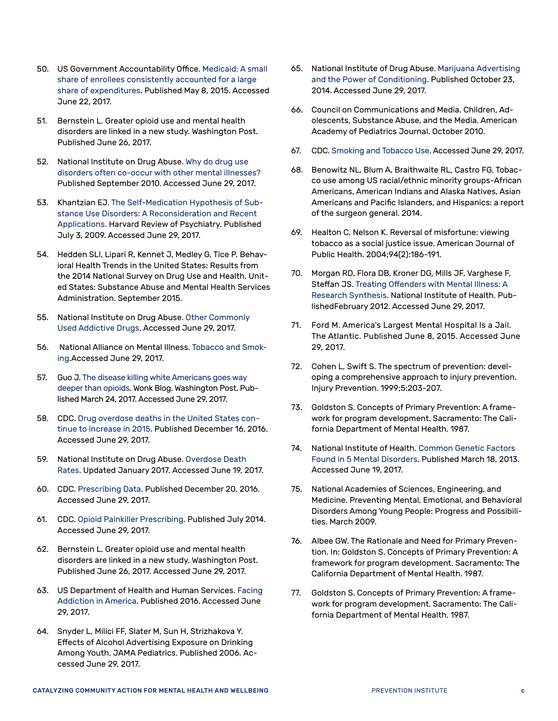- <span id="page-63-0"></span>50. US Government Accountability Office. [Medicaid: A small](http://www.gao.gov/products/GAO-15-460)  [share of enrollees consistently accounted for a large](http://www.gao.gov/products/GAO-15-460)  [share of expenditures](http://www.gao.gov/products/GAO-15-460). Published May 8, 2015. Accessed June 22, 2017.
- <span id="page-63-1"></span>51. Bernstein L. Greater opioid use and mental health disorders are linked in a new study. Washington Post. Published June 26, 2017.
- <span id="page-63-2"></span>52. National Institute on Drug Abuse. [Why do drug use](https://www.drugabuse.gov/publications/research-reports/comorbidity-addiction-other-mental-illnesses/why-do-drug-use-disorders-often-co-occur-other-men)  [disorders often co-occur with other mental illnesses?](https://www.drugabuse.gov/publications/research-reports/comorbidity-addiction-other-mental-illnesses/why-do-drug-use-disorders-often-co-occur-other-men) Published September 2010. Accessed June 29, 2017.
- <span id="page-63-3"></span>53. Khantzian EJ. [The Self-Medication Hypothesis of Sub](http://www.tandfonline.com/doi/abs/10.3109/10673229709030550)[stance Use Disorders: A Reconsideration and Recent](http://www.tandfonline.com/doi/abs/10.3109/10673229709030550)  [Applications](http://www.tandfonline.com/doi/abs/10.3109/10673229709030550). Harvard Review of Psychiatry. Published July 3, 2009. Accessed June 29, 2017.
- <span id="page-63-4"></span>54. Hedden SLl, Lipari R, Kennet J, Medley G, Tice P. Behavioral Health Trends in the United States: Results from the 2014 National Survey on Drug Use and Health. United States: Substance Abuse and Mental Health Services Administration. September 2015.
- <span id="page-63-5"></span>55. National Institute on Drug Abuse. [Other Commonly](https://www.drugabuse.gov/publications/media-guide/other-commonly-used-addictive-drugs)  [Used Addictive Drugs.](https://www.drugabuse.gov/publications/media-guide/other-commonly-used-addictive-drugs) Accessed June 29, 2017.
- <span id="page-63-6"></span>56. National Alliance on Mental Illness. [Tobacco and Smok](https://www.nami.org/Learn-More/Mental-Health-Public-Policy/Tobacco-and-Smoking)[ing](https://www.nami.org/Learn-More/Mental-Health-Public-Policy/Tobacco-and-Smoking).Accessed June 29, 2017.
- <span id="page-63-7"></span>57. Guo J. [The disease killing white Americans goes way](https://www.washingtonpost.com/news/wonk/wp/2017/03/24/the-disease-killing-white-americans-goes-way-deeper-than-opioids/?tid=a_inl&utm_term=.efbbaa4d96f4)  [deeper than opioids](https://www.washingtonpost.com/news/wonk/wp/2017/03/24/the-disease-killing-white-americans-goes-way-deeper-than-opioids/?tid=a_inl&utm_term=.efbbaa4d96f4). Wonk Blog. Washington Post. Published March 24, 2017. Accessed June 29, 2017.
- <span id="page-63-8"></span>58. CDC. [Drug overdose deaths in the United States con](https://www.cdc.gov/drugoverdose/epidemic/)[tinue to increase in 2015](https://www.cdc.gov/drugoverdose/epidemic/). Published December 16, 2016. Accessed June 29, 2017.
- <span id="page-63-9"></span>59. National Institute on Drug Abuse. [Overdose Death](https://www.drugabuse.gov/related-topics/trends-statistics/overdose-death-rates)  [Rates.](https://www.drugabuse.gov/related-topics/trends-statistics/overdose-death-rates) Updated January 2017. Accessed June 19, 2017.
- <span id="page-63-10"></span>60. CDC. [Prescribing Data.](https://www.cdc.gov/drugoverdose/data/prescribing.html) Published December 20, 2016. Accessed June 29, 2017.
- <span id="page-63-11"></span>61. CDC. [Opioid Painkiller Prescribing](https://www.cdc.gov/vitalsigns/opioid-prescribing/). Published July 2014. Accessed June 29, 2017.
- <span id="page-63-12"></span>62. Bernstein L. Greater opioid use and mental health disorders are linked in a new study. Washington Post. Published June 26, 2017. Accessed June 29, 2017.
- <span id="page-63-13"></span>63. US Department of Health and Human Services. [Facing](https://addiction.surgeongeneral.gov/surgeon-generals-report.pdf)  [Addiction in America.](https://addiction.surgeongeneral.gov/surgeon-generals-report.pdf) Published 2016. Accessed June 29, 2017.
- <span id="page-63-14"></span>64. Snyder L, Milici FF, Slater M, Sun H, Strizhakova Y. Effects of Alcohol Advertising Exposure on Drinking Among Youth. JAMA Pediatrics. Published 2006. Accessed June 29, 2017.
- <span id="page-63-15"></span>65. National Institute of Drug Abuse. [Marijuana Advertising](https://www.drugabuse.gov/about-nida/noras-blog/2014/10/marijuana-advertising-power-conditioning)  [and the Power of Conditioning](https://www.drugabuse.gov/about-nida/noras-blog/2014/10/marijuana-advertising-power-conditioning). Published October 23, 2014. Accessed June 29, 2017.
- <span id="page-63-16"></span>66. Council on Communications and Media. Children, Adolescents, Substance Abuse, and the Media. American Academy of Pediatrics Journal. October 2010.
- <span id="page-63-17"></span>67. CDC. [Smoking and Tobacco Use](https://www.cdc.gov/tobacco/data_statistics/fact_sheets/fast_facts/index.htm). Accessed June 29, 2017.
- <span id="page-63-18"></span>68. Benowitz NL, Blum A, Braithwaite RL, Castro FG. Tobacco use among US racial/ethnic minority groups-African Americans, American Indians and Alaska Natives, Asian Americans and Pacific Islanders, and Hispanics: a report of the surgeon general. 2014.
- <span id="page-63-19"></span>69. Healton C, Nelson K. Reversal of misfortune: viewing tobacco as a social justice issue. American Journal of Public Health. 2004;94(2):186-191.
- <span id="page-63-20"></span>70. Morgan RD, Flora DB, Kroner DG, Mills JF, Varghese F, Steffan JS. [Treating Offenders with Mental Illness: A](https://www.ncbi.nlm.nih.gov/pmc/articles/PMC3266968/)  [Research Synthesis.](https://www.ncbi.nlm.nih.gov/pmc/articles/PMC3266968/) National Institute of Health. PublishedFebruary 2012. Accessed June 29, 2017.
- <span id="page-63-21"></span>71. Ford M. America's Largest Mental Hospital Is a Jail. The Atlantic. Published June 8, 2015. Accessed June 29, 2017.
- <span id="page-63-22"></span>72. Cohen L, Swift S. The spectrum of prevention: developing a comprehensive approach to injury prevention. Injury Prevention. 1999;5:203-207.
- <span id="page-63-23"></span>73. Goldston S. Concepts of Primary Prevention: A framework for program development. Sacramento: The California Department of Mental Health. 1987.
- <span id="page-63-24"></span>74. National Institute of Health. [Common Genetic Factors](https://www.nih.gov/news-events/nih-research-matters/common-genetic-factors-found-5-mental-disorders)  [Found in 5 Mental Disorders](https://www.nih.gov/news-events/nih-research-matters/common-genetic-factors-found-5-mental-disorders). Published March 18, 2013. Accessed June 19, 2017.
- <span id="page-63-25"></span>75. National Academies of Sciences, Engineering, and Medicine. Preventing Mental, Emotional, and Behavioral Disorders Among Young People: Progress and Possibilities. March 2009.
- <span id="page-63-26"></span>76. Albee GW. The Rationale and Need for Primary Prevention. In: Goldston S. Concepts of Primary Prevention: A framework for program development. Sacramento: The California Department of Mental Health. 1987.
- <span id="page-63-27"></span>77. Goldston S. Concepts of Primary Prevention: A framework for program development. Sacramento: The California Department of Mental Health. 1987.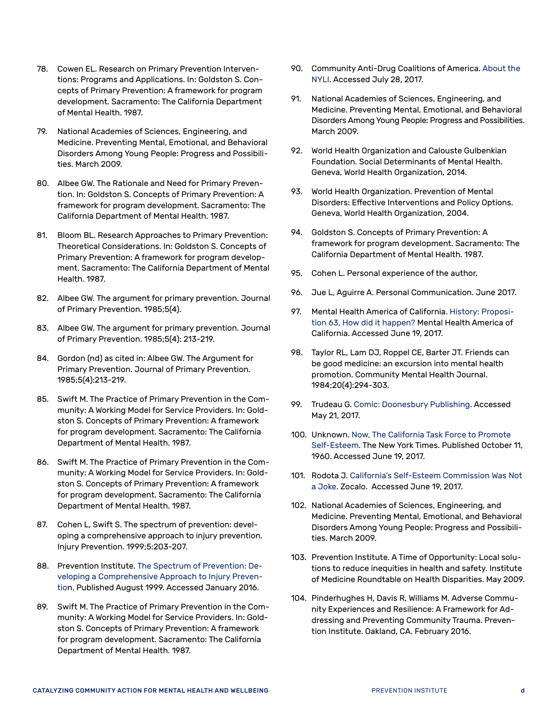- <span id="page-64-0"></span>78. Cowen EL. Research on Primary Prevention Interventions: Programs and Applications. In: Goldston S. Concepts of Primary Prevention: A framework for program development. Sacramento: The California Department of Mental Health. 1987.
- <span id="page-64-1"></span>79. National Academies of Sciences, Engineering, and Medicine. Preventing Mental, Emotional, and Behavioral Disorders Among Young People: Progress and Possibilities. March 2009.
- <span id="page-64-2"></span>80. Albee GW. The Rationale and Need for Primary Prevention. In: Goldston S. Concepts of Primary Prevention: A framework for program development. Sacramento: The California Department of Mental Health. 1987.
- <span id="page-64-3"></span>81. Bloom BL. Research Approaches to Primary Prevention: Theoretical Considerations. In: Goldston S. Concepts of Primary Prevention: A framework for program development. Sacramento: The California Department of Mental Health. 1987.
- <span id="page-64-10"></span>82. Albee GW. The argument for primary prevention. Journal of Primary Prevention. 1985;5(4).
- <span id="page-64-4"></span>83. Albee GW. The argument for primary prevention. Journal of Primary Prevention. 1985;5(4): 213-219.
- <span id="page-64-5"></span>84. Gordon (nd) as cited in: Albee GW. The Argument for Primary Prevention. Journal of Primary Prevention. 1985;5(4):213-219.
- <span id="page-64-6"></span>85. Swift M. The Practice of Primary Prevention in the Community: A Working Model for Service Providers. In: Goldston S. Concepts of Primary Prevention: A framework for program development. Sacramento: The California Department of Mental Health. 1987.
- <span id="page-64-7"></span>86. Swift M. The Practice of Primary Prevention in the Community: A Working Model for Service Providers. In: Goldston S. Concepts of Primary Prevention: A framework for program development. Sacramento: The California Department of Mental Health. 1987.
- <span id="page-64-8"></span>87. Cohen L, Swift S. The spectrum of prevention: developing a comprehensive approach to injury prevention. Injury Prevention. 1999;5:203-207.
- <span id="page-64-9"></span>88. Prevention Institute. [The Spectrum of Prevention: De](https://www.preventioninstitute.org/publications/spectrum-prevention-developing-comprehensive-approach-injury-prevention)[veloping a Comprehensive Approach to Injury Preven](https://www.preventioninstitute.org/publications/spectrum-prevention-developing-comprehensive-approach-injury-prevention)[tion](https://www.preventioninstitute.org/publications/spectrum-prevention-developing-comprehensive-approach-injury-prevention). Published August 1999. Accessed January 2016.
- <span id="page-64-11"></span>89. Swift M. The Practice of Primary Prevention in the Community: A Working Model for Service Providers. In: Goldston S. Concepts of Primary Prevention: A framework for program development. Sacramento: The California Department of Mental Health. 1987.
- <span id="page-64-12"></span>90. Community Anti-Drug Coalitions of America. [About the](http://www.cadca.org/about-nyli)  [NYLI.](http://www.cadca.org/about-nyli) Accessed July 28, 2017.
- <span id="page-64-13"></span>91. National Academies of Sciences, Engineering, and Medicine. Preventing Mental, Emotional, and Behavioral Disorders Among Young People: Progress and Possibilities. March 2009.
- <span id="page-64-14"></span>92. World Health Organization and Calouste Gulbenkian Foundation. Social Determinants of Mental Health. Geneva, World Health Organization, 2014.
- <span id="page-64-15"></span>93. World Health Organization. Prevention of Mental Disorders: Effective Interventions and Policy Options. Geneva, World Health Organization, 2004.
- <span id="page-64-19"></span>94. Goldston S. Concepts of Primary Prevention: A framework for program development. Sacramento: The California Department of Mental Health. 1987.
- <span id="page-64-16"></span>95. Cohen L. Personal experience of the author.
- <span id="page-64-17"></span>96. Jue L, Aguirre A. Personal Communication. June 2017.
- <span id="page-64-18"></span>97. Mental Health America of California. [History: Proposi](http://mhac.org/mhservices/history.aspx)[tion 63, How did it happen?](http://mhac.org/mhservices/history.aspx) Mental Health America of California. Accessed June 19, 2017.
- <span id="page-64-20"></span>98. Taylor RL, Lam DJ, Roppel CE, Barter JT. [Friends can](https://www.ncbi.nlm.nih.gov/pubmed/6518742)  [be good medicine: an excursion into mental health](https://www.ncbi.nlm.nih.gov/pubmed/6518742)  [promotion](https://www.ncbi.nlm.nih.gov/pubmed/6518742). Community Mental Health Journal. 1984;20(4):294-303.
- <span id="page-64-23"></span>99. Trudeau G. [Comic: Doonesbury Publishing.](http://www.gocomics.com/doonesbury/1987/02/17) Accessed May 21, 2017.
- <span id="page-64-21"></span>100. Unknown. [Now, The California Task Force to Promote](http://www.nytimes.com/1986/10/11/us/now-the-california-task-force-to-promote-self-esteem.html)  [Self-Esteem](http://www.nytimes.com/1986/10/11/us/now-the-california-task-force-to-promote-self-esteem.html). The New York Times. Published October 11, 1960. Accessed June 19, 2017.
- <span id="page-64-22"></span>101. Rodota J. [California's Self-Esteem Commission Was Not](http://www.zocalopublicsquare.org/2014/05/30/californias-self-esteem-commission-was-not-a-joke/chronicles/who-we-were/)  [a Jok](http://www.zocalopublicsquare.org/2014/05/30/californias-self-esteem-commission-was-not-a-joke/chronicles/who-we-were/)e. Zocalo. Accessed June 19, 2017.
- <span id="page-64-24"></span>102. National Academies of Sciences, Engineering, and Medicine. Preventing Mental, Emotional, and Behavioral Disorders Among Young People: Progress and Possibilities. March 2009.
- <span id="page-64-25"></span>103. Prevention Institute. A Time of Opportunity: Local solutions to reduce inequities in health and safety. Institute of Medicine Roundtable on Health Disparities. May 2009.
- <span id="page-64-26"></span>104. Pinderhughes H, Davis R, Williams M. Adverse Community Experiences and Resilience: A Framework for Addressing and Preventing Community Trauma. Prevention Institute. Oakland, CA. February 2016.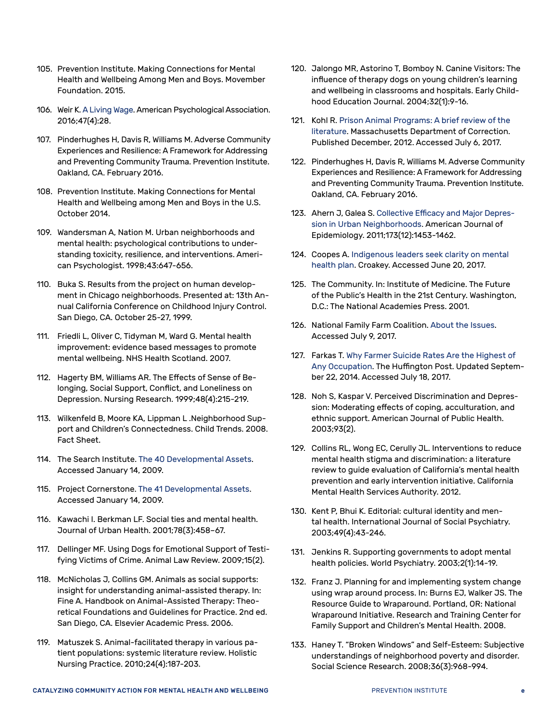- <span id="page-65-0"></span>105. Prevention Institute. Making Connections for Mental Health and Wellbeing Among Men and Boys. Movember Foundation. 2015.
- <span id="page-65-1"></span>106. Weir K. [A Living Wage](http://www.apa.org/monitor/2016/04/living-wage.aspx). American Psychological Association. 2016;47(4):28.
- <span id="page-65-2"></span>107. Pinderhughes H, Davis R, Williams M. Adverse Community Experiences and Resilience: A Framework for Addressing and Preventing Community Trauma. Prevention Institute. Oakland, CA. February 2016.
- <span id="page-65-3"></span>108. Prevention Institute. Making Connections for Mental Health and Wellbeing among Men and Boys in the U.S. October 2014.
- <span id="page-65-4"></span>109. Wandersman A, Nation M. Urban neighborhoods and mental health: psychological contributions to understanding toxicity, resilience, and interventions. American Psychologist. 1998;43:647-656.
- <span id="page-65-5"></span>110. Buka S. Results from the project on human development in Chicago neighborhoods. Presented at: 13th Annual California Conference on Childhood Injury Control. San Diego, CA. October 25-27, 1999.
- <span id="page-65-6"></span>111. Friedli L, Oliver C, Tidyman M, Ward G. Mental health improvement: evidence based messages to promote mental wellbeing. NHS Health Scotland. 2007.
- <span id="page-65-7"></span>112. Hagerty BM, Williams AR. The Effects of Sense of Belonging, Social Support, Conflict, and Loneliness on Depression. Nursing Research. 1999;48(4):215-219.
- <span id="page-65-8"></span>113. Wilkenfeld B, Moore KA, Lippman L .Neighborhood Support and Children's Connectedness. Child Trends. 2008. Fact Sheet.
- <span id="page-65-9"></span>114. The Search Institute. The 40 Developmental Assets. Accessed January 14, 2009.
- <span id="page-65-10"></span>115. Project Cornerstone. The 41 Developmental Assets. Accessed January 14, 2009.
- <span id="page-65-11"></span>116. Kawachi I. Berkman LF. Social ties and mental health. Journal of Urban Health. 2001;78(3):458–67.
- <span id="page-65-12"></span>117. Dellinger MF. Using Dogs for Emotional Support of Testifying Victims of Crime. Animal Law Review. 2009;15(2).
- <span id="page-65-13"></span>118. McNicholas J, Collins GM. Animals as social supports: insight for understanding animal-assisted therapy. In: Fine A. Handbook on Animal-Assisted Therapy: Theoretical Foundations and Guidelines for Practice. 2nd ed. San Diego, CA. Elsevier Academic Press. 2006.
- <span id="page-65-14"></span>119. Matuszek S. Animal-facilitated therapy in various patient populations: systemic literature review. Holistic Nursing Practice. 2010;24(4):187-203.
- <span id="page-65-15"></span>120. Jalongo MR, Astorino T, Bomboy N. Canine Visitors: The influence of therapy dogs on young children's learning and wellbeing in classrooms and hospitals. Early Childhood Education Journal. 2004;32(1):9-16.
- <span id="page-65-16"></span>121. Kohl R. [Prison Animal Programs: A brief review of the](http://www.mass.gov/eopss/docs/doc/research-reports/prisonanimalprogramsliteraturereviewfinal.pdf)  [literature](http://www.mass.gov/eopss/docs/doc/research-reports/prisonanimalprogramsliteraturereviewfinal.pdf). Massachusetts Department of Correction. Published December, 2012. Accessed July 6, 2017.
- <span id="page-65-17"></span>122. Pinderhughes H, Davis R, Williams M. Adverse Community Experiences and Resilience: A Framework for Addressing and Preventing Community Trauma. Prevention Institute. Oakland, CA. February 2016.
- <span id="page-65-18"></span>123. Ahern J, Galea S. [Collective Efficacy and Major Depres](https://academic.oup.com/aje/article/173/12/1453/206401/Collective-Efficacy-and-Major-Depression-in-Urban)[sion in Urban Neighborhoods.](https://academic.oup.com/aje/article/173/12/1453/206401/Collective-Efficacy-and-Major-Depression-in-Urban) American Journal of Epidemiology. 2011;173(12):1453-1462.
- <span id="page-65-19"></span>124. Coopes A. [Indigenous leaders seek clarity on mental](http://croakey.org/indigenous-leaders-seek-clarity-on-mental-health-plan/)  [health plan.](http://croakey.org/indigenous-leaders-seek-clarity-on-mental-health-plan/) Croakey. Accessed June 20, 2017.
- <span id="page-65-20"></span>125. The Community. In: Institute of Medicine. The Future of the Public's Health in the 21st Century. Washington, D.C.: The National Academies Press. 2001.
- <span id="page-65-21"></span>126. National Family Farm Coalition. [About the Issues.](http://nffc.net/) Accessed July 9, 2017.
- <span id="page-65-22"></span>127. Farkas T. [Why Farmer Suicide Rates Are the Highest of](http://www.huffingtonpost.com/terezia-farkas/why-farmer-suicide-rates-_1_b_5610279.html)  [Any Occupation](http://www.huffingtonpost.com/terezia-farkas/why-farmer-suicide-rates-_1_b_5610279.html). The Huffington Post. Updated September 22, 2014. Accessed July 18, 2017.
- <span id="page-65-23"></span>128. Noh S, Kaspar V. Perceived Discrimination and Depression: Moderating effects of coping, acculturation, and ethnic support. American Journal of Public Health. 2003;93(2).
- <span id="page-65-24"></span>129. Collins RL, Wong EC, Cerully JL. Interventions to reduce mental health stigma and discrimination: a literature review to guide evaluation of California's mental health prevention and early intervention initiative. California Mental Health Services Authority. 2012.
- <span id="page-65-25"></span>130. Kent P, Bhui K. Editorial: cultural identity and mental health. International Journal of Social Psychiatry. 2003;49(4):43-246.
- <span id="page-65-26"></span>131. Jenkins R. Supporting governments to adopt mental health policies. World Psychiatry. 2003;2(1):14-19.
- <span id="page-65-27"></span>132. Franz J. Planning for and implementing system change using wrap around process. In: Burns EJ, Walker JS. The Resource Guide to Wraparound. Portland, OR: National Wraparound Initiative. Research and Training Center for Family Support and Children's Mental Health. 2008.
- <span id="page-65-28"></span>133. Haney T. "Broken Windows" and Self-Esteem: Subjective understandings of neighborhood poverty and disorder. Social Science Research. 2008;36(3):968-994.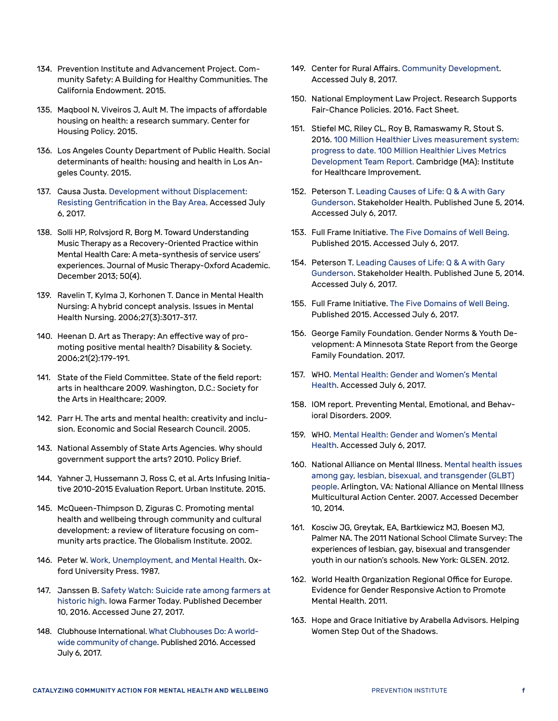- <span id="page-66-0"></span>134. Prevention Institute and Advancement Project. Community Safety: A Building for Healthy Communities. The California Endowment. 2015.
- <span id="page-66-1"></span>135. Maqbool N, Viveiros J, Ault M. The impacts of affordable housing on health: a research summary. Center for Housing Policy. 2015.
- <span id="page-66-2"></span>136. Los Angeles County Department of Public Health. Social determinants of health: housing and health in Los Angeles County. 2015.
- <span id="page-66-3"></span>137. Causa Justa. [Development without Displacement:](http://www.acphd.org/media/343952/cjjc2014.pdf)  [Resisting Gentrification in the Bay Area](http://www.acphd.org/media/343952/cjjc2014.pdf). Accessed July 6, 2017.
- <span id="page-66-4"></span>138. Solli HP, Rolvsjord R, Borg M. Toward Understanding Music Therapy as a Recovery-Oriented Practice within Mental Health Care: A meta-synthesis of service users' experiences. Journal of Music Therapy-Oxford Academic. December 2013; 50(4).
- <span id="page-66-5"></span>139. Ravelin T, Kylma J, Korhonen T. Dance in Mental Health Nursing: A hybrid concept analysis. Issues in Mental Health Nursing. 2006;27(3):3017-317.
- <span id="page-66-6"></span>140. Heenan D. Art as Therapy: An effective way of promoting positive mental health? Disability & Society. 2006;21(2):179-191.
- <span id="page-66-7"></span>141. State of the Field Committee. State of the field report: arts in healthcare 2009. Washington, D.C.: Society for the Arts in Healthcare; 2009.
- <span id="page-66-8"></span>142. Parr H. The arts and mental health: creativity and inclusion. Economic and Social Research Council. 2005.
- <span id="page-66-9"></span>143. National Assembly of State Arts Agencies. Why should government support the arts? 2010. Policy Brief.
- <span id="page-66-10"></span>144. Yahner J, Hussemann J, Ross C, et al. Arts Infusing Initiative 2010-2015 Evaluation Report. Urban Institute. 2015.
- <span id="page-66-11"></span>145. McQueen-Thimpson D, Ziguras C. Promoting mental health and wellbeing through community and cultural development: a review of literature focusing on community arts practice. The Globalism Institute. 2002.
- <span id="page-66-12"></span>146. Peter W. Work, Unemployment, and Mental Health. Oxford University Press. 1987.
- <span id="page-66-13"></span>147. Janssen B. [Safety Watch: Suicide rate among farmers at](http://www.public-health.uiowa.edu/gpcah/wp-content/uploads/2017/04/Safety-Watch_-Suicide-rate-among-farmers-at-historic-high.pdf) [historic high](http://www.public-health.uiowa.edu/gpcah/wp-content/uploads/2017/04/Safety-Watch_-Suicide-rate-among-farmers-at-historic-high.pdf). Iowa Farmer Today. Published December 10, 2016. Accessed June 27, 2017.
- <span id="page-66-14"></span>148. Clubhouse International. [What Clubhouses Do: A world](http://clubhouse-intl.org/what-we-do/what-clubhouses-do/)[wide community of change](http://clubhouse-intl.org/what-we-do/what-clubhouses-do/). Published 2016. Accessed July 6, 2017.
- <span id="page-66-15"></span>149. Center for Rural Affairs. [Community Development.](http://www.cfra.org/community-development) Accessed July 8, 2017.
- <span id="page-66-16"></span>150. National Employment Law Project. Research Supports Fair-Chance Policies. 2016. Fact Sheet.
- <span id="page-66-17"></span>151. Stiefel MC, Riley CL, Roy B, Ramaswamy R, Stout S. 2016. [100 Million Healthier Lives measurement system:](http://hero-health.org/wp-content/uploads/2016/07/100MHL-Measurement-.pdf)  [progress to date. 100 Million Healthier Lives Metrics](http://hero-health.org/wp-content/uploads/2016/07/100MHL-Measurement-.pdf)  [Development Team Report.](http://hero-health.org/wp-content/uploads/2016/07/100MHL-Measurement-.pdf) Cambridge (MA): Institute for Healthcare Improvement.
- <span id="page-66-18"></span>152. Peterson T. [Leading Causes of Life: Q & A with Gary](https://stakeholderhealth.org/leading-causes-of-life/)  [Gunderson.](https://stakeholderhealth.org/leading-causes-of-life/) Stakeholder Health. Published June 5, 2014. Accessed July 6, 2017.
- <span id="page-66-19"></span>153. Full Frame Initiative. [The Five Domains of Well Being.](http://fullframeinitiative.org/wp-content/uploads/2011/05/Five-Domains-of-Wellbeing-Overview-2.pdf) Published 2015. Accessed July 6, 2017.
- <span id="page-66-20"></span>154. Peterson T. [Leading Causes of Life: Q & A with Gary](https://stakeholderhealth.org/leading-causes-of-life/)  [Gunderson.](https://stakeholderhealth.org/leading-causes-of-life/) Stakeholder Health. Published June 5, 2014. Accessed July 6, 2017.
- <span id="page-66-21"></span>155. Full Frame Initiative. [The Five Domains of Well Being.](http://fullframeinitiative.org/wp-content/uploads/2011/05/Five-Domains-of-Wellbeing-Overview-2.pdf) Published 2015. Accessed July 6, 2017.
- <span id="page-66-22"></span>156. George Family Foundation. Gender Norms & Youth Development: A Minnesota State Report from the George Family Foundation. 2017.
- <span id="page-66-23"></span>157. WHO. [Mental Health:](http://www.who.int/mental_health/prevention/genderwomen/en/) Gender and Women's Mental Health. Accessed July 6, 2017.
- <span id="page-66-24"></span>158. IOM report. Preventing Mental, Emotional, and Behavioral Disorders. 2009.
- <span id="page-66-25"></span>159. WHO. [Mental Health:](http://www.who.int/mental_health/prevention/genderwomen/en/) Gender and Women's Mental Health. Accessed July 6, 2017.
- <span id="page-66-26"></span>160. National Alliance on Mental Illness. Mental health issues among gay, lesbian, bisexual, and transgender (GLBT) people. Arlington, VA: National Alliance on Mental Illness Multicultural Action Center. 2007. Accessed December 10, 2014.
- <span id="page-66-27"></span>161. Kosciw JG, Greytak, EA, Bartkiewicz MJ, Boesen MJ, Palmer NA. The 2011 National School Climate Survey: The experiences of lesbian, gay, bisexual and transgender youth in our nation's schools. New York: GLSEN. 2012.
- <span id="page-66-28"></span>162. World Health Organization Regional Office for Europe. Evidence for Gender Responsive Action to Promote Mental Health. 2011.
- <span id="page-66-29"></span>163. Hope and Grace Initiative by Arabella Advisors. Helping Women Step Out of the Shadows.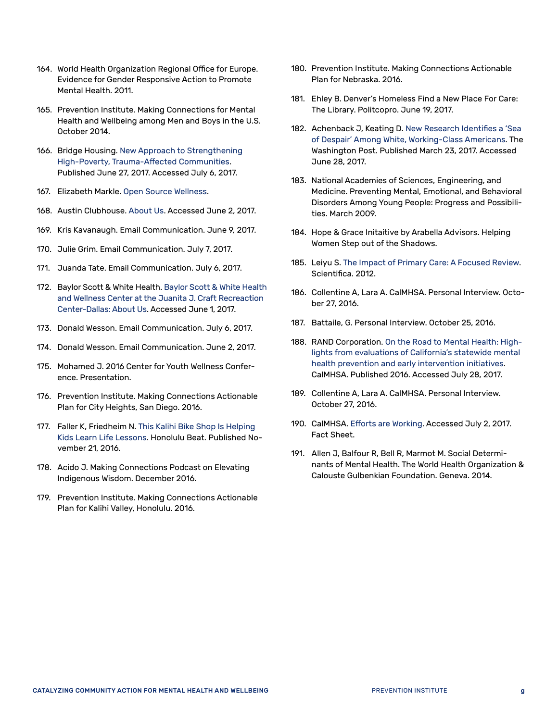- <span id="page-67-0"></span>164. World Health Organization Regional Office for Europe. Evidence for Gender Responsive Action to Promote Mental Health. 2011.
- <span id="page-67-1"></span>165. Prevention Institute. Making Connections for Mental Health and Wellbeing among Men and Boys in the U.S. October 2014.
- <span id="page-67-2"></span>166. Bridge Housing. [New Approach to Strengthening](http://bridgehousing.com/news-media/new-approach-strengthening-high-poverty-trauma-affected-communities)  [High-Poverty, Trauma-Affected Communities](http://bridgehousing.com/news-media/new-approach-strengthening-high-poverty-trauma-affected-communities). Published June 27, 2017. Accessed July 6, 2017.
- <span id="page-67-3"></span>167. Elizabeth Markle. [Open Source Wellness](http://www.opensourcewellness.org/).
- <span id="page-67-4"></span>168. Austin Clubhouse. [About Us.](https://austinclubhouse.org/about-us/) Accessed June 2, 2017.
- <span id="page-67-5"></span>169. Kris Kavanaugh. Email Communication. June 9, 2017.
- <span id="page-67-6"></span>170. Julie Grim. Email Communication. July 7, 2017.
- <span id="page-67-7"></span>171. Juanda Tate. Email Communication. July 6, 2017.
- <span id="page-67-8"></span>172. Baylor Scott & White Health. [Baylor Scott & White Health](https://www.bswhealth.com/locations/health-and-wellness-center/about/Pages/default.aspx)  [and Wellness Center at the Juanita J. Craft Recreaction](https://www.bswhealth.com/locations/health-and-wellness-center/about/Pages/default.aspx)  [Center-Dallas: About Us](https://www.bswhealth.com/locations/health-and-wellness-center/about/Pages/default.aspx). Accessed June 1, 2017.
- <span id="page-67-9"></span>173. Donald Wesson. Email Communication. July 6, 2017.
- <span id="page-67-10"></span>174. Donald Wesson. Email Communication. June 2, 2017.
- <span id="page-67-11"></span>175. Mohamed J. 2016 Center for Youth Wellness Conference. Presentation.
- <span id="page-67-12"></span>176. Prevention Institute. Making Connections Actionable Plan for City Heights, San Diego. 2016.
- <span id="page-67-13"></span>177. Faller K, Friedheim N. [This Kalihi Bike Shop Is Helping](http://www.civilbeat.org/2016/11/this-kalihi-bike-shop-is-helping-kids-learn-life-lessons/)  [Kids Learn Life Lessons.](http://www.civilbeat.org/2016/11/this-kalihi-bike-shop-is-helping-kids-learn-life-lessons/) Honolulu Beat. Published November 21, 2016.
- <span id="page-67-14"></span>178. Acido J. Making Connections Podcast on Elevating Indigenous Wisdom. December 2016.
- <span id="page-67-15"></span>179. Prevention Institute. Making Connections Actionable Plan for Kalihi Valley, Honolulu. 2016.
- <span id="page-67-16"></span>180. Prevention Institute. Making Connections Actionable Plan for Nebraska. 2016.
- <span id="page-67-17"></span>181. Ehley B. Denver's Homeless Find a New Place For Care: The Library. Politcopro. June 19, 2017.
- <span id="page-67-18"></span>182. Achenback J, Keating D. [New Research Identifies a 'Sea](https://www.washingtonpost.com/national/health-science/new-research-identifies-a-sea-of-despair-among-white-working-class-americans/2017/03/22/c777ab6e-0da6-11e7-9b0d-d27c98455440_story.html?utm_term=.18b03c270bd8)  [of Despair' Among White, Working-Class Americans.](https://www.washingtonpost.com/national/health-science/new-research-identifies-a-sea-of-despair-among-white-working-class-americans/2017/03/22/c777ab6e-0da6-11e7-9b0d-d27c98455440_story.html?utm_term=.18b03c270bd8) The Washington Post. Published March 23, 2017. Accessed June 28, 2017.
- <span id="page-67-19"></span>183. National Academies of Sciences, Engineering, and Medicine. Preventing Mental, Emotional, and Behavioral Disorders Among Young People: Progress and Possibilities. March 2009.
- <span id="page-67-20"></span>184. Hope & Grace Initaitive by Arabella Advisors. Helping Women Step out of the Shadows.
- <span id="page-67-21"></span>185. Leiyu S. [The Impact of Primary Care: A Focused Review.](http://dx.doi.org/10.6064/2012/432892) Scientifica. 2012.
- <span id="page-67-22"></span>186. Collentine A, Lara A. CalMHSA. Personal Interview. October 27, 2016.
- <span id="page-67-23"></span>187. Battaile, G. Personal Interview. October 25, 2016.
- <span id="page-67-24"></span>188. RAND Corporation. [On the Road to Mental Health: High](https://www.rand.org/content/dam/rand/pubs/research_briefs/RB9900/RB9917/RAND_RB9917.pdf)[lights from evaluations of California's statewide mental](https://www.rand.org/content/dam/rand/pubs/research_briefs/RB9900/RB9917/RAND_RB9917.pdf)  [health prevention and early intervention initiatives.](https://www.rand.org/content/dam/rand/pubs/research_briefs/RB9900/RB9917/RAND_RB9917.pdf) CalMHSA. Published 2016. Accessed July 28, 2017.
- <span id="page-67-25"></span>189. Collentine A, Lara A. CalMHSA. Personal Interview. October 27, 2016.
- <span id="page-67-26"></span>190. CalMHSA. [Efforts are Working](http://calmhsa.org/wp-content/uploads/2016/05/Infographic-Changes-in-Mental-Illness-Stigma-in-California-During-the-Statewide-Stigma-and-Discrimination-Reduction-Initiative.pdf). Accessed July 2, 2017. Fact Sheet.
- <span id="page-67-27"></span>191. Allen J, Balfour R, Bell R, Marmot M. Social Determinants of Mental Health. The World Health Organization & Calouste Gulbenkian Foundation. Geneva. 2014.